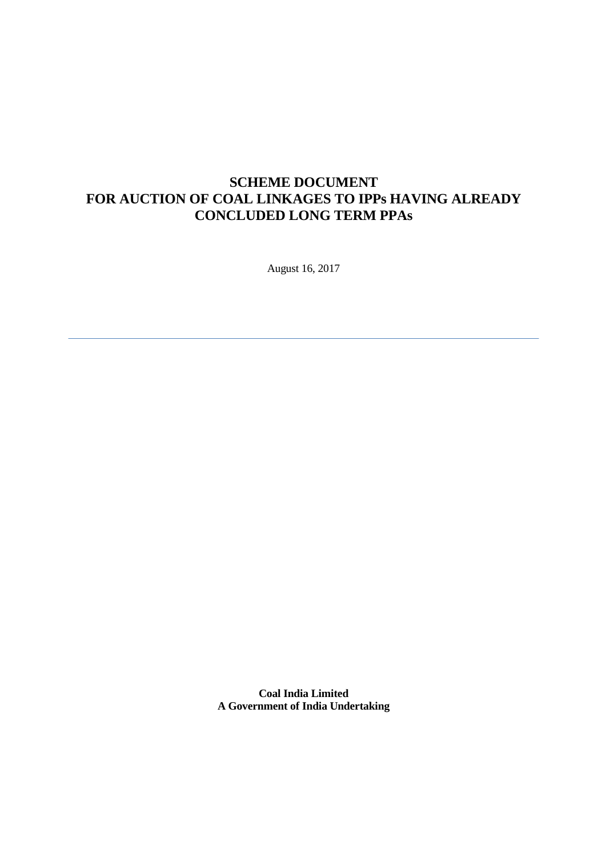# **SCHEME DOCUMENT FOR AUCTION OF COAL LINKAGES TO IPPs HAVING ALREADY CONCLUDED LONG TERM PPAs**

August 16, 2017

**Coal India Limited A Government of India Undertaking**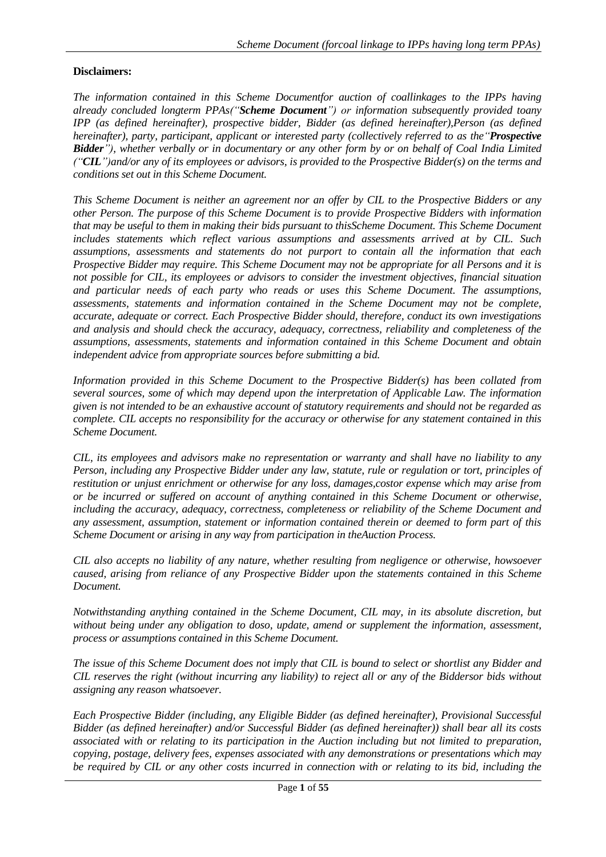## <span id="page-1-0"></span>**Disclaimers:**

*The information contained in this Scheme Documentfor auction of coallinkages to the IPPs having already concluded longterm PPAs("Scheme Document") or information subsequently provided toany IPP (as defined hereinafter), prospective bidder, Bidder (as defined hereinafter),Person (as defined hereinafter), party, participant, applicant or interested party (collectively referred to as the"Prospective Bidder"), whether verbally or in documentary or any other form by or on behalf of Coal India Limited ("CIL")and/or any of its employees or advisors, is provided to the Prospective Bidder(s) on the terms and conditions set out in this Scheme Document.*

*This Scheme Document is neither an agreement nor an offer by CIL to the Prospective Bidders or any other Person. The purpose of this Scheme Document is to provide Prospective Bidders with information that may be useful to them in making their bids pursuant to thisScheme Document. This Scheme Document includes statements which reflect various assumptions and assessments arrived at by CIL. Such assumptions, assessments and statements do not purport to contain all the information that each Prospective Bidder may require. This Scheme Document may not be appropriate for all Persons and it is not possible for CIL, its employees or advisors to consider the investment objectives, financial situation and particular needs of each party who reads or uses this Scheme Document. The assumptions, assessments, statements and information contained in the Scheme Document may not be complete, accurate, adequate or correct. Each Prospective Bidder should, therefore, conduct its own investigations and analysis and should check the accuracy, adequacy, correctness, reliability and completeness of the assumptions, assessments, statements and information contained in this Scheme Document and obtain independent advice from appropriate sources before submitting a bid.*

*Information provided in this Scheme Document to the Prospective Bidder(s) has been collated from several sources, some of which may depend upon the interpretation of Applicable Law. The information given is not intended to be an exhaustive account of statutory requirements and should not be regarded as complete. CIL accepts no responsibility for the accuracy or otherwise for any statement contained in this Scheme Document.*

*CIL, its employees and advisors make no representation or warranty and shall have no liability to any Person, including any Prospective Bidder under any law, statute, rule or regulation or tort, principles of restitution or unjust enrichment or otherwise for any loss, damages,costor expense which may arise from or be incurred or suffered on account of anything contained in this Scheme Document or otherwise, including the accuracy, adequacy, correctness, completeness or reliability of the Scheme Document and any assessment, assumption, statement or information contained therein or deemed to form part of this Scheme Document or arising in any way from participation in theAuction Process.*

*CIL also accepts no liability of any nature, whether resulting from negligence or otherwise, howsoever caused, arising from reliance of any Prospective Bidder upon the statements contained in this Scheme Document.*

*Notwithstanding anything contained in the Scheme Document, CIL may, in its absolute discretion, but without being under any obligation to doso, update, amend or supplement the information, assessment, process or assumptions contained in this Scheme Document.*

*The issue of this Scheme Document does not imply that CIL is bound to select or shortlist any Bidder and CIL reserves the right (without incurring any liability) to reject all or any of the Biddersor bids without assigning any reason whatsoever.*

*Each Prospective Bidder (including, any Eligible Bidder (as defined hereinafter), Provisional Successful Bidder (as defined hereinafter) and/or Successful Bidder (as defined hereinafter)) shall bear all its costs associated with or relating to its participation in the Auction including but not limited to preparation, copying, postage, delivery fees, expenses associated with any demonstrations or presentations which may be required by CIL or any other costs incurred in connection with or relating to its bid, including the*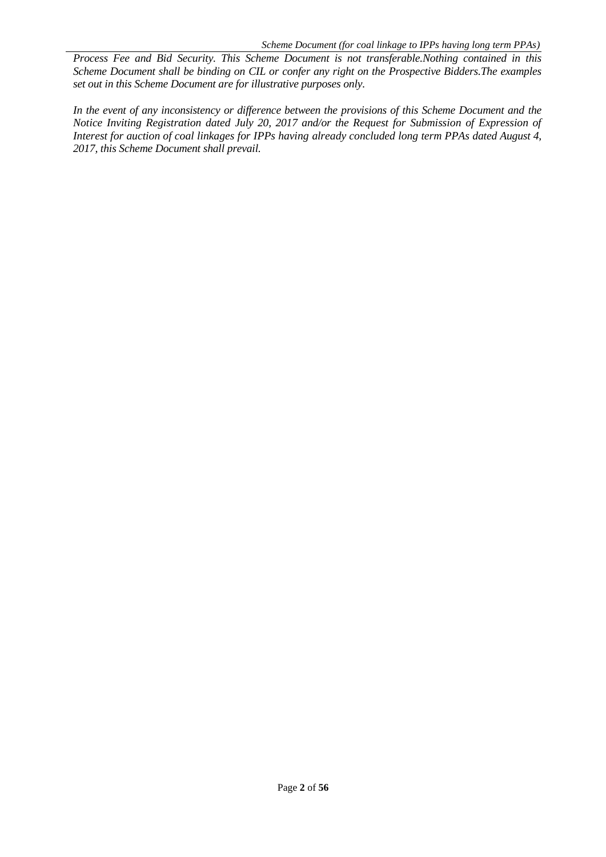*Process Fee and Bid Security. This Scheme Document is not transferable.Nothing contained in this Scheme Document shall be binding on CIL or confer any right on the Prospective Bidders.The examples set out in this Scheme Document are for illustrative purposes only.*

*In the event of any inconsistency or difference between the provisions of this Scheme Document and the Notice Inviting Registration dated July 20, 2017 and/or the Request for Submission of Expression of Interest for auction of coal linkages for IPPs having already concluded long term PPAs dated August 4, 2017, this Scheme Document shall prevail.*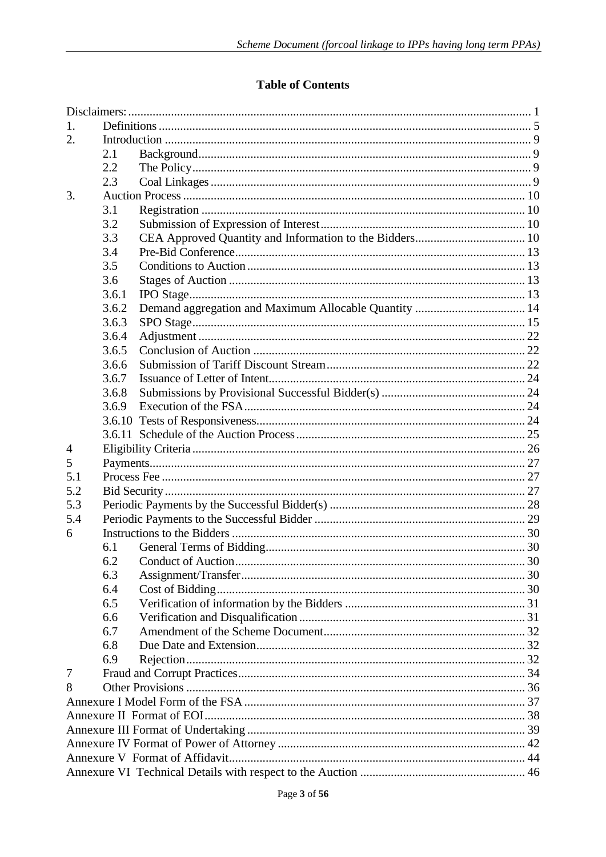## **Table of Contents**

| 2.1   |                                               |  |  |  |  |  |
|-------|-----------------------------------------------|--|--|--|--|--|
| 2.2   |                                               |  |  |  |  |  |
| 2.3   |                                               |  |  |  |  |  |
|       |                                               |  |  |  |  |  |
| 3.1   |                                               |  |  |  |  |  |
| 3.2   |                                               |  |  |  |  |  |
| 3.3   |                                               |  |  |  |  |  |
| 3.4   |                                               |  |  |  |  |  |
| 3.5   |                                               |  |  |  |  |  |
| 3.6   |                                               |  |  |  |  |  |
| 3.6.1 |                                               |  |  |  |  |  |
| 3.6.2 |                                               |  |  |  |  |  |
| 3.6.3 |                                               |  |  |  |  |  |
| 3.6.4 |                                               |  |  |  |  |  |
| 3.6.5 |                                               |  |  |  |  |  |
| 3.6.6 |                                               |  |  |  |  |  |
| 3.6.7 |                                               |  |  |  |  |  |
| 3.6.8 |                                               |  |  |  |  |  |
| 3.6.9 |                                               |  |  |  |  |  |
|       |                                               |  |  |  |  |  |
|       |                                               |  |  |  |  |  |
|       |                                               |  |  |  |  |  |
|       |                                               |  |  |  |  |  |
|       |                                               |  |  |  |  |  |
|       |                                               |  |  |  |  |  |
|       |                                               |  |  |  |  |  |
|       |                                               |  |  |  |  |  |
|       |                                               |  |  |  |  |  |
| 6.1   |                                               |  |  |  |  |  |
|       |                                               |  |  |  |  |  |
|       |                                               |  |  |  |  |  |
|       |                                               |  |  |  |  |  |
|       |                                               |  |  |  |  |  |
|       |                                               |  |  |  |  |  |
|       |                                               |  |  |  |  |  |
|       |                                               |  |  |  |  |  |
|       |                                               |  |  |  |  |  |
|       |                                               |  |  |  |  |  |
|       |                                               |  |  |  |  |  |
|       |                                               |  |  |  |  |  |
|       |                                               |  |  |  |  |  |
|       |                                               |  |  |  |  |  |
|       |                                               |  |  |  |  |  |
|       |                                               |  |  |  |  |  |
|       |                                               |  |  |  |  |  |
|       | 6.3<br>6.4<br>6.5<br>6.6<br>6.7<br>6.8<br>6.9 |  |  |  |  |  |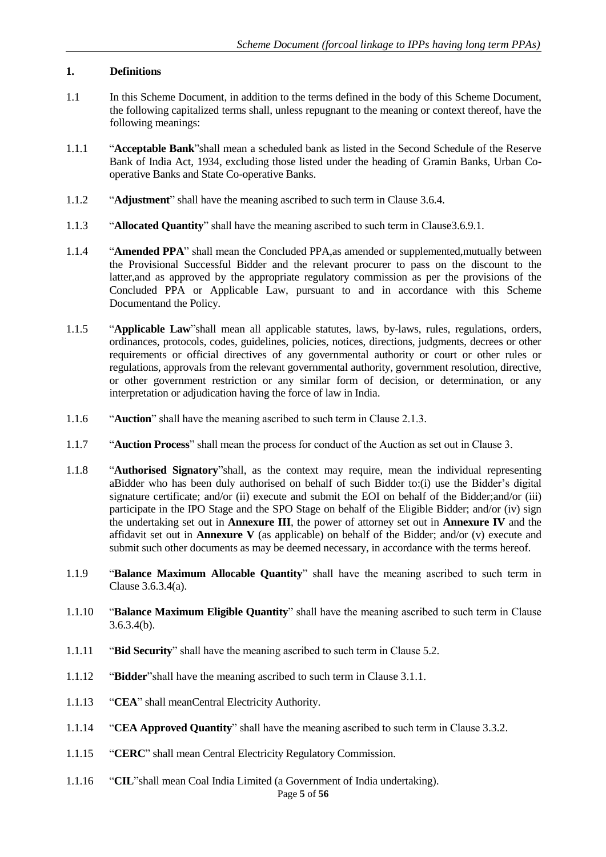## <span id="page-5-0"></span>**1. Definitions**

- 1.1 In this Scheme Document, in addition to the terms defined in the body of this Scheme Document, the following capitalized terms shall, unless repugnant to the meaning or context thereof, have the following meanings:
- 1.1.1 "**Acceptable Bank**"shall mean a scheduled bank as listed in the Second Schedule of the Reserve Bank of India Act, 1934, excluding those listed under the heading of Gramin Banks, Urban Cooperative Banks and State Co-operative Banks.
- 1.1.2 "**Adjustment**" shall have the meaning ascribed to such term in Clause 3.6.4.
- 1.1.3 "**Allocated Quantity**" shall have the meaning ascribed to such term in Clause3.6.9.1.
- 1.1.4 "**Amended PPA**" shall mean the Concluded PPA,as amended or supplemented,mutually between the Provisional Successful Bidder and the relevant procurer to pass on the discount to the latter,and as approved by the appropriate regulatory commission as per the provisions of the Concluded PPA or Applicable Law, pursuant to and in accordance with this Scheme Documentand the Policy.
- 1.1.5 "**Applicable Law**"shall mean all applicable statutes, laws, by-laws, rules, regulations, orders, ordinances, protocols, codes, guidelines, policies, notices, directions, judgments, decrees or other requirements or official directives of any governmental authority or court or other rules or regulations, approvals from the relevant governmental authority, government resolution, directive, or other government restriction or any similar form of decision, or determination, or any interpretation or adjudication having the force of law in India.
- 1.1.6 "**Auction**" shall have the meaning ascribed to such term in Clause 2.1.3.
- 1.1.7 "**Auction Process**" shall mean the process for conduct of the Auction as set out in Clause 3.
- 1.1.8 "**Authorised Signatory**"shall, as the context may require, mean the individual representing aBidder who has been duly authorised on behalf of such Bidder to:(i) use the Bidder's digital signature certificate; and/or (ii) execute and submit the EOI on behalf of the Bidder; and/or (iii) participate in the IPO Stage and the SPO Stage on behalf of the Eligible Bidder; and/or (iv) sign the undertaking set out in **Annexure III**, the power of attorney set out in **Annexure IV** and the affidavit set out in **Annexure V** (as applicable) on behalf of the Bidder; and/or (v) execute and submit such other documents as may be deemed necessary, in accordance with the terms hereof.
- 1.1.9 "**Balance Maximum Allocable Quantity**" shall have the meaning ascribed to such term in Clause 3.6.3.4(a).
- 1.1.10 "**Balance Maximum Eligible Quantity**" shall have the meaning ascribed to such term in Clause 3.6.3.4(b).
- 1.1.11 "**Bid Security**" shall have the meaning ascribed to such term in Clause 5.2.
- 1.1.12 "**Bidder**"shall have the meaning ascribed to such term in Clause 3.1.1.
- 1.1.13 "**CEA**" shall meanCentral Electricity Authority.
- 1.1.14 "**CEA Approved Quantity**" shall have the meaning ascribed to such term in Clause 3.3.2.
- 1.1.15 "**CERC**" shall mean Central Electricity Regulatory Commission.
- 1.1.16 "**CIL**"shall mean Coal India Limited (a Government of India undertaking).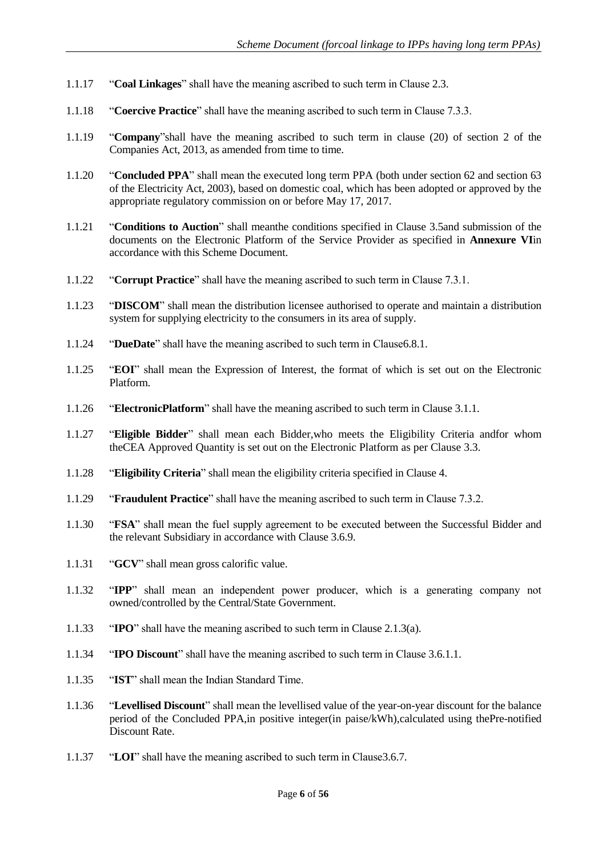- 1.1.17 "**Coal Linkages**" shall have the meaning ascribed to such term in Clause 2.3.
- 1.1.18 "**Coercive Practice**" shall have the meaning ascribed to such term in Clause 7.3.3.
- 1.1.19 "**Company**"shall have the meaning ascribed to such term in clause (20) of section 2 of the Companies Act, 2013, as amended from time to time.
- 1.1.20 "**Concluded PPA**" shall mean the executed long term PPA (both under section 62 and section 63 of the Electricity Act, 2003), based on domestic coal, which has been adopted or approved by the appropriate regulatory commission on or before May 17, 2017.
- 1.1.21 "**Conditions to Auction**" shall meanthe conditions specified in Clause 3.5and submission of the documents on the Electronic Platform of the Service Provider as specified in **Annexure VI**in accordance with this Scheme Document.
- 1.1.22 "**Corrupt Practice**" shall have the meaning ascribed to such term in Clause 7.3.1.
- 1.1.23 "**DISCOM**" shall mean the distribution licensee authorised to operate and maintain a distribution system for supplying electricity to the consumers in its area of supply.
- 1.1.24 "**DueDate**" shall have the meaning ascribed to such term in Clause6.8.1.
- 1.1.25 "**EOI**" shall mean the Expression of Interest, the format of which is set out on the Electronic Platform.
- 1.1.26 "**ElectronicPlatform**" shall have the meaning ascribed to such term in Clause 3.1.1.
- 1.1.27 "**Eligible Bidder**" shall mean each Bidder,who meets the Eligibility Criteria andfor whom theCEA Approved Quantity is set out on the Electronic Platform as per Clause 3.3.
- 1.1.28 "**Eligibility Criteria**" shall mean the eligibility criteria specified in Clause 4.
- 1.1.29 "**Fraudulent Practice**" shall have the meaning ascribed to such term in Clause 7.3.2.
- 1.1.30 "**FSA**" shall mean the fuel supply agreement to be executed between the Successful Bidder and the relevant Subsidiary in accordance with Clause 3.6.9.
- 1.1.31 "**GCV**" shall mean gross calorific value.
- 1.1.32 "**IPP**" shall mean an independent power producer, which is a generating company not owned/controlled by the Central/State Government.
- 1.1.33 "**IPO**" shall have the meaning ascribed to such term in Clause 2.1.3(a).
- 1.1.34 "**IPO Discount**" shall have the meaning ascribed to such term in Clause 3.6.1.1.
- 1.1.35 "**IST**" shall mean the Indian Standard Time.
- 1.1.36 "**Levellised Discount**" shall mean the levellised value of the year-on-year discount for the balance period of the Concluded PPA,in positive integer(in paise/kWh),calculated using thePre-notified Discount Rate.
- 1.1.37 "**LOI**" shall have the meaning ascribed to such term in Clause3.6.7.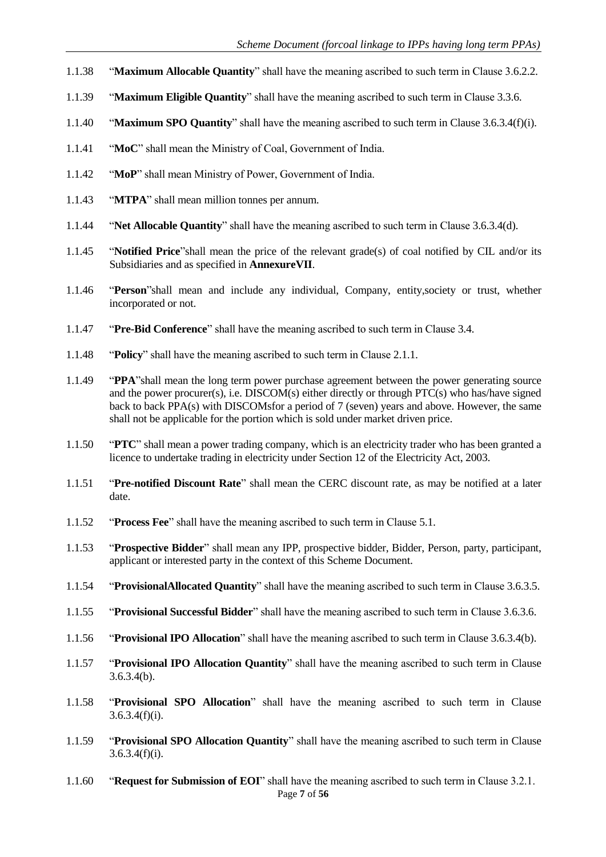- 1.1.38 "**Maximum Allocable Quantity**" shall have the meaning ascribed to such term in Clause 3.6.2.2.
- 1.1.39 "**Maximum Eligible Quantity**" shall have the meaning ascribed to such term in Clause 3.3.6.
- 1.1.40 "**Maximum SPO Quantity**" shall have the meaning ascribed to such term in Clause 3.6.3.4(f)(i).
- 1.1.41 "**MoC**" shall mean the Ministry of Coal, Government of India.
- 1.1.42 "**MoP**" shall mean Ministry of Power, Government of India.
- 1.1.43 "**MTPA**" shall mean million tonnes per annum.
- 1.1.44 "**Net Allocable Quantity**" shall have the meaning ascribed to such term in Clause 3.6.3.4(d).
- 1.1.45 "**Notified Price**"shall mean the price of the relevant grade(s) of coal notified by CIL and/or its Subsidiaries and as specified in **AnnexureVII**.
- 1.1.46 "**Person**"shall mean and include any individual, Company, entity,society or trust, whether incorporated or not.
- 1.1.47 "**Pre-Bid Conference**" shall have the meaning ascribed to such term in Clause 3.4.
- 1.1.48 "**Policy**" shall have the meaning ascribed to such term in Clause 2.1.1.
- 1.1.49 "**PPA**"shall mean the long term power purchase agreement between the power generating source and the power procurer(s), i.e. DISCOM(s) either directly or through PTC(s) who has/have signed back to back PPA(s) with DISCOMsfor a period of 7 (seven) years and above. However, the same shall not be applicable for the portion which is sold under market driven price.
- 1.1.50 "**PTC**" shall mean a power trading company, which is an electricity trader who has been granted a licence to undertake trading in electricity under Section 12 of the Electricity Act, 2003.
- 1.1.51 "**Pre-notified Discount Rate**" shall mean the CERC discount rate, as may be notified at a later date.
- 1.1.52 "**Process Fee**" shall have the meaning ascribed to such term in Clause 5.1.
- 1.1.53 "**Prospective Bidder**" shall mean any IPP, prospective bidder, Bidder, Person, party, participant, applicant or interested party in the context of this Scheme Document.
- 1.1.54 "**ProvisionalAllocated Quantity**" shall have the meaning ascribed to such term in Clause 3.6.3.5.
- 1.1.55 "**Provisional Successful Bidder**" shall have the meaning ascribed to such term in Clause 3.6.3.6.
- 1.1.56 "**Provisional IPO Allocation**" shall have the meaning ascribed to such term in Clause 3.6.3.4(b).
- 1.1.57 "**Provisional IPO Allocation Quantity**" shall have the meaning ascribed to such term in Clause  $3.6.3.4(b)$ .
- 1.1.58 "**Provisional SPO Allocation**" shall have the meaning ascribed to such term in Clause  $3.6.3.4(f)(i)$ .
- 1.1.59 "**Provisional SPO Allocation Quantity**" shall have the meaning ascribed to such term in Clause  $3.6.3.4(f)(i)$ .
- Page **7** of **56** 1.1.60 "**Request for Submission of EOI**" shall have the meaning ascribed to such term in Clause 3.2.1.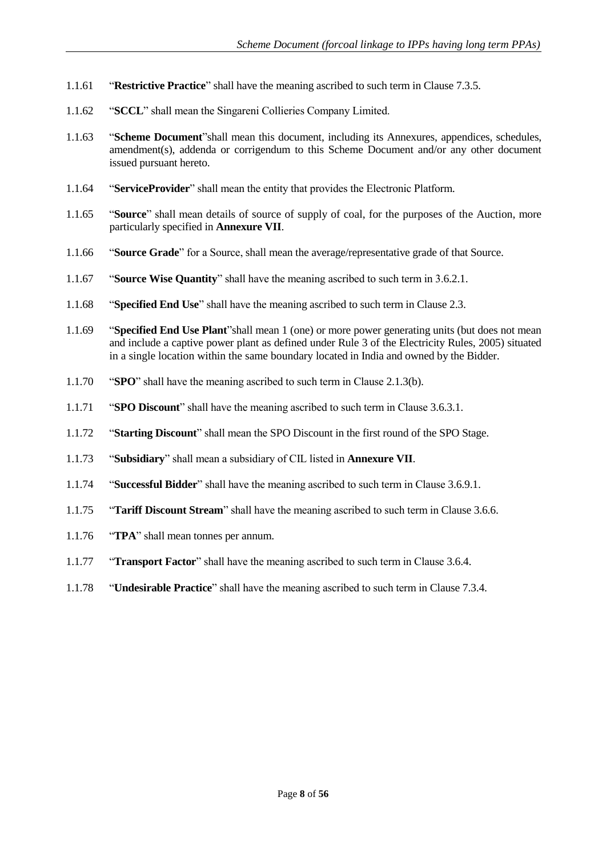- 1.1.61 "**Restrictive Practice**" shall have the meaning ascribed to such term in Clause 7.3.5.
- 1.1.62 "**SCCL**" shall mean the Singareni Collieries Company Limited.
- 1.1.63 "**Scheme Document**"shall mean this document, including its Annexures, appendices, schedules, amendment(s), addenda or corrigendum to this Scheme Document and/or any other document issued pursuant hereto.
- 1.1.64 "**ServiceProvider**" shall mean the entity that provides the Electronic Platform.
- 1.1.65 "**Source**" shall mean details of source of supply of coal, for the purposes of the Auction, more particularly specified in **Annexure VII**.
- 1.1.66 "**Source Grade**" for a Source, shall mean the average/representative grade of that Source.
- 1.1.67 "**Source Wise Quantity**" shall have the meaning ascribed to such term in 3.6.2.1.
- 1.1.68 "**Specified End Use**" shall have the meaning ascribed to such term in Clause 2.3.
- 1.1.69 "**Specified End Use Plant**"shall mean 1 (one) or more power generating units (but does not mean and include a captive power plant as defined under Rule 3 of the Electricity Rules, 2005) situated in a single location within the same boundary located in India and owned by the Bidder.
- 1.1.70 "**SPO**" shall have the meaning ascribed to such term in Clause 2.1.3(b).
- 1.1.71 "**SPO Discount**" shall have the meaning ascribed to such term in Clause 3.6.3.1.
- 1.1.72 "**Starting Discount**" shall mean the SPO Discount in the first round of the SPO Stage.
- 1.1.73 "**Subsidiary**" shall mean a subsidiary of CIL listed in **Annexure VII**.
- 1.1.74 "**Successful Bidder**" shall have the meaning ascribed to such term in Clause 3.6.9.1.
- 1.1.75 "**Tariff Discount Stream**" shall have the meaning ascribed to such term in Clause 3.6.6.
- 1.1.76 "**TPA**" shall mean tonnes per annum.
- 1.1.77 "**Transport Factor**" shall have the meaning ascribed to such term in Clause 3.6.4.
- 1.1.78 "**Undesirable Practice**" shall have the meaning ascribed to such term in Clause 7.3.4.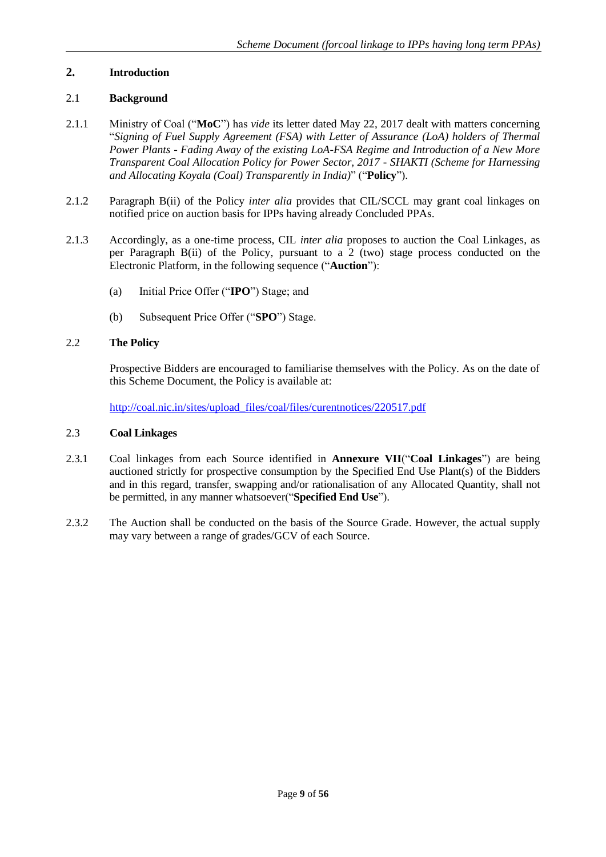## <span id="page-9-0"></span>**2. Introduction**

## <span id="page-9-1"></span>2.1 **Background**

- 2.1.1 Ministry of Coal ("**MoC**") has *vide* its letter dated May 22, 2017 dealt with matters concerning "*Signing of Fuel Supply Agreement (FSA) with Letter of Assurance (LoA) holders of Thermal Power Plants - Fading Away of the existing LoA-FSA Regime and Introduction of a New More Transparent Coal Allocation Policy for Power Sector, 2017 - SHAKTI (Scheme for Harnessing and Allocating Koyala (Coal) Transparently in India)*" ("**Policy**").
- 2.1.2 Paragraph B(ii) of the Policy *inter alia* provides that CIL/SCCL may grant coal linkages on notified price on auction basis for IPPs having already Concluded PPAs.
- 2.1.3 Accordingly, as a one-time process, CIL *inter alia* proposes to auction the Coal Linkages, as per Paragraph B(ii) of the Policy, pursuant to a 2 (two) stage process conducted on the Electronic Platform, in the following sequence ("**Auction**"):
	- (a) Initial Price Offer ("**IPO**") Stage; and
	- (b) Subsequent Price Offer ("**SPO**") Stage.

## <span id="page-9-2"></span>2.2 **The Policy**

Prospective Bidders are encouraged to familiarise themselves with the Policy. As on the date of this Scheme Document, the Policy is available at:

<span id="page-9-3"></span>[http://coal.nic.in/sites/upload\\_files/coal/files/curentnotices/220517.pdf](http://coal.nic.in/sites/upload_files/coal/files/curentnotices/220517.pdf)

#### 2.3 **Coal Linkages**

- 2.3.1 Coal linkages from each Source identified in **Annexure VII**("**Coal Linkages**") are being auctioned strictly for prospective consumption by the Specified End Use Plant(s) of the Bidders and in this regard, transfer, swapping and/or rationalisation of any Allocated Quantity, shall not be permitted, in any manner whatsoever("**Specified End Use**").
- 2.3.2 The Auction shall be conducted on the basis of the Source Grade. However, the actual supply may vary between a range of grades/GCV of each Source.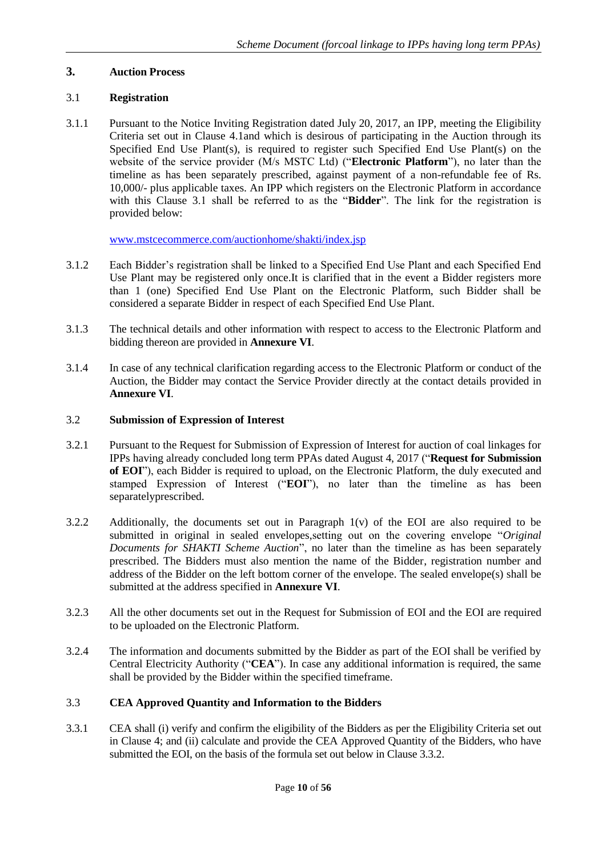## <span id="page-10-0"></span>**3. Auction Process**

## <span id="page-10-1"></span>3.1 **Registration**

3.1.1 Pursuant to the Notice Inviting Registration dated July 20, 2017, an IPP, meeting the Eligibility Criteria set out in Clause 4.1and which is desirous of participating in the Auction through its Specified End Use Plant(s), is required to register such Specified End Use Plant(s) on the website of the service provider (M/s MSTC Ltd) ("**Electronic Platform**"), no later than the timeline as has been separately prescribed, against payment of a non-refundable fee of Rs. 10,000/- plus applicable taxes. An IPP which registers on the Electronic Platform in accordance with this Clause 3.1 shall be referred to as the "**Bidder**". The link for the registration is provided below:

[www.mstcecommerce.com/auctionhome/shakti/index.jsp](http://www.mstcecommerce.com/auctionhome/shakti/index.jsp)

- 3.1.2 Each Bidder's registration shall be linked to a Specified End Use Plant and each Specified End Use Plant may be registered only once.It is clarified that in the event a Bidder registers more than 1 (one) Specified End Use Plant on the Electronic Platform, such Bidder shall be considered a separate Bidder in respect of each Specified End Use Plant.
- 3.1.3 The technical details and other information with respect to access to the Electronic Platform and bidding thereon are provided in **Annexure VI**.
- 3.1.4 In case of any technical clarification regarding access to the Electronic Platform or conduct of the Auction, the Bidder may contact the Service Provider directly at the contact details provided in **Annexure VI**.

## <span id="page-10-2"></span>3.2 **Submission of Expression of Interest**

- 3.2.1 Pursuant to the Request for Submission of Expression of Interest for auction of coal linkages for IPPs having already concluded long term PPAs dated August 4, 2017 ("**Request for Submission of EOI**"), each Bidder is required to upload, on the Electronic Platform, the duly executed and stamped Expression of Interest ("**EOI**"), no later than the timeline as has been separatelyprescribed.
- 3.2.2 Additionally, the documents set out in Paragraph  $1(v)$  of the EOI are also required to be submitted in original in sealed envelopes,setting out on the covering envelope "*Original Documents for SHAKTI Scheme Auction*", no later than the timeline as has been separately prescribed. The Bidders must also mention the name of the Bidder, registration number and address of the Bidder on the left bottom corner of the envelope. The sealed envelope(s) shall be submitted at the address specified in **Annexure VI**.
- 3.2.3 All the other documents set out in the Request for Submission of EOI and the EOI are required to be uploaded on the Electronic Platform.
- 3.2.4 The information and documents submitted by the Bidder as part of the EOI shall be verified by Central Electricity Authority ("**CEA**"). In case any additional information is required, the same shall be provided by the Bidder within the specified timeframe.

## <span id="page-10-3"></span>3.3 **CEA Approved Quantity and Information to the Bidders**

3.3.1 CEA shall (i) verify and confirm the eligibility of the Bidders as per the Eligibility Criteria set out in Clause 4; and (ii) calculate and provide the CEA Approved Quantity of the Bidders, who have submitted the EOI, on the basis of the formula set out below in Clause 3.3.2.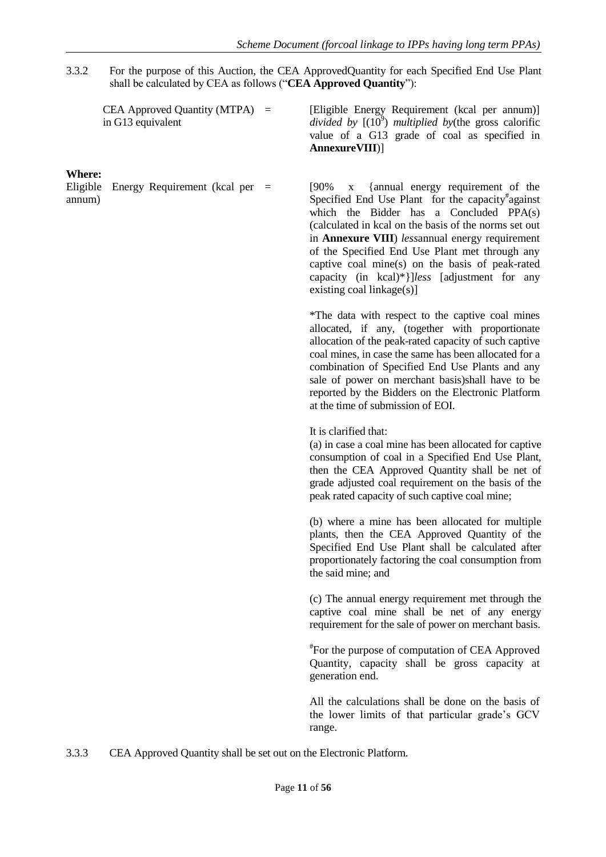3.3.2 For the purpose of this Auction, the CEA ApprovedQuantity for each Specified End Use Plant shall be calculated by CEA as follows ("**CEA Approved Quantity**"):

| <b>CEA Approved Quantity (MTPA)</b> | $\equiv$ |
|-------------------------------------|----------|
| in G13 equivalent                   |          |

**Where:**

Eligible Energy Requirement (kcal per annum)

[Eligible Energy Requirement (kcal per annum)] divided by  $[(10^9)$  *multiplied by*(the gross calorific value of a G13 grade of coal as specified in **AnnexureVIII**)]

= [90% x {annual energy requirement of the Specified End Use Plant for the capacity<sup>#</sup>against which the Bidder has a Concluded PPA(s) (calculated in kcal on the basis of the norms set out in **Annexure VIII**) *less*annual energy requirement of the Specified End Use Plant met through any captive coal mine(s) on the basis of peak-rated capacity (in kcal)\*}]*less* [adjustment for any existing coal linkage(s)]

\*The data with respect to the captive coal mines allocated, if any, (together with proportionate allocation of the peak-rated capacity of such captive coal mines, in case the same has been allocated for a combination of Specified End Use Plants and any sale of power on merchant basis)shall have to be reported by the Bidders on the Electronic Platform at the time of submission of EOI.

It is clarified that:

(a) in case a coal mine has been allocated for captive consumption of coal in a Specified End Use Plant, then the CEA Approved Quantity shall be net of grade adjusted coal requirement on the basis of the peak rated capacity of such captive coal mine;

(b) where a mine has been allocated for multiple plants, then the CEA Approved Quantity of the Specified End Use Plant shall be calculated after proportionately factoring the coal consumption from the said mine; and

(c) The annual energy requirement met through the captive coal mine shall be net of any energy requirement for the sale of power on merchant basis.

# For the purpose of computation of CEA Approved Quantity, capacity shall be gross capacity at generation end.

All the calculations shall be done on the basis of the lower limits of that particular grade's GCV range.

3.3.3 CEA Approved Quantity shall be set out on the Electronic Platform.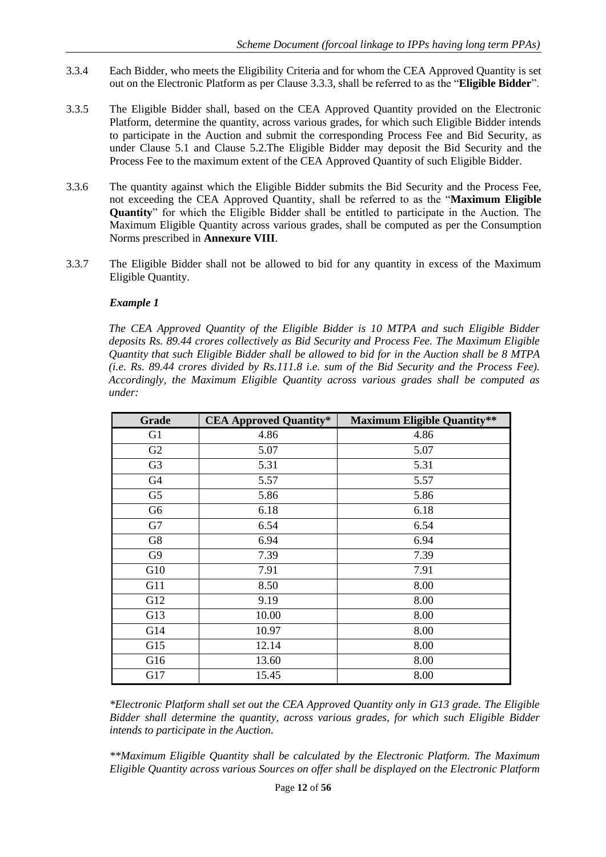- 3.3.4 Each Bidder, who meets the Eligibility Criteria and for whom the CEA Approved Quantity is set out on the Electronic Platform as per Clause 3.3.3, shall be referred to as the "**Eligible Bidder**".
- 3.3.5 The Eligible Bidder shall, based on the CEA Approved Quantity provided on the Electronic Platform, determine the quantity, across various grades, for which such Eligible Bidder intends to participate in the Auction and submit the corresponding Process Fee and Bid Security, as under Clause 5.1 and Clause 5.2.The Eligible Bidder may deposit the Bid Security and the Process Fee to the maximum extent of the CEA Approved Quantity of such Eligible Bidder.
- 3.3.6 The quantity against which the Eligible Bidder submits the Bid Security and the Process Fee, not exceeding the CEA Approved Quantity, shall be referred to as the "**Maximum Eligible Quantity**" for which the Eligible Bidder shall be entitled to participate in the Auction. The Maximum Eligible Quantity across various grades, shall be computed as per the Consumption Norms prescribed in **Annexure VIII**.
- 3.3.7 The Eligible Bidder shall not be allowed to bid for any quantity in excess of the Maximum Eligible Quantity.

## *Example 1*

*The CEA Approved Quantity of the Eligible Bidder is 10 MTPA and such Eligible Bidder deposits Rs. 89.44 crores collectively as Bid Security and Process Fee. The Maximum Eligible Quantity that such Eligible Bidder shall be allowed to bid for in the Auction shall be 8 MTPA (i.e. Rs. 89.44 crores divided by Rs.111.8 i.e. sum of the Bid Security and the Process Fee). Accordingly, the Maximum Eligible Quantity across various grades shall be computed as under:*

| Grade          | <b>CEA Approved Quantity*</b> | <b>Maximum Eligible Quantity**</b> |
|----------------|-------------------------------|------------------------------------|
| G <sub>1</sub> | 4.86                          | 4.86                               |
| G2             | 5.07                          | 5.07                               |
| G <sub>3</sub> | 5.31                          | 5.31                               |
| G4             | 5.57                          | 5.57                               |
| G <sub>5</sub> | 5.86                          | 5.86                               |
| G6             | 6.18                          | 6.18                               |
| G7             | 6.54                          | 6.54                               |
| G8             | 6.94                          | 6.94                               |
| G <sub>9</sub> | 7.39                          | 7.39                               |
| G10            | 7.91                          | 7.91                               |
| G11            | 8.50                          | 8.00                               |
| G12            | 9.19                          | 8.00                               |
| G13            | 10.00                         | 8.00                               |
| G14            | 10.97                         | 8.00                               |
| G15            | 12.14                         | 8.00                               |
| G16            | 13.60                         | 8.00                               |
| G17            | 15.45                         | 8.00                               |

*\*Electronic Platform shall set out the CEA Approved Quantity only in G13 grade. The Eligible Bidder shall determine the quantity, across various grades, for which such Eligible Bidder intends to participate in the Auction.*

*\*\*Maximum Eligible Quantity shall be calculated by the Electronic Platform. The Maximum Eligible Quantity across various Sources on offer shall be displayed on the Electronic Platform*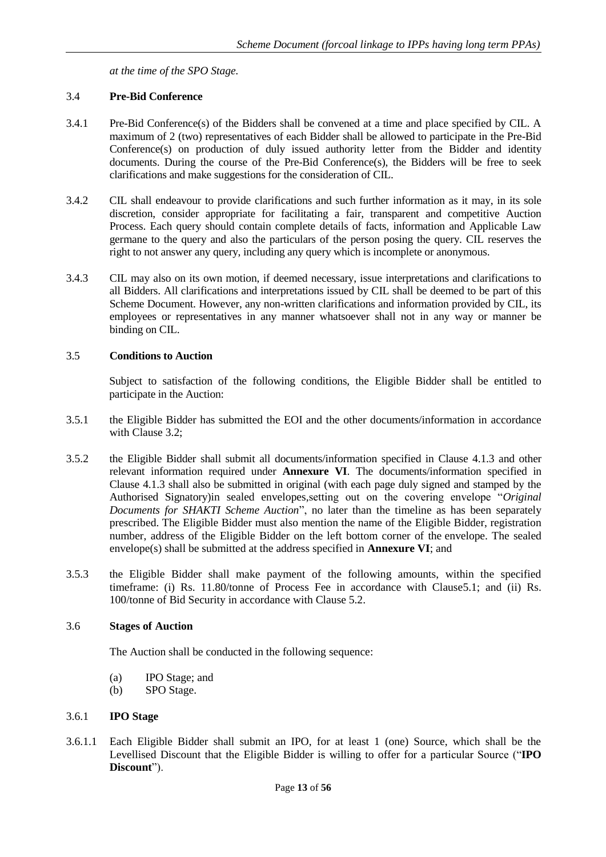*at the time of the SPO Stage.*

## <span id="page-13-0"></span>3.4 **Pre-Bid Conference**

- 3.4.1 Pre-Bid Conference(s) of the Bidders shall be convened at a time and place specified by CIL. A maximum of 2 (two) representatives of each Bidder shall be allowed to participate in the Pre-Bid Conference(s) on production of duly issued authority letter from the Bidder and identity documents. During the course of the Pre-Bid Conference(s), the Bidders will be free to seek clarifications and make suggestions for the consideration of CIL.
- 3.4.2 CIL shall endeavour to provide clarifications and such further information as it may, in its sole discretion, consider appropriate for facilitating a fair, transparent and competitive Auction Process. Each query should contain complete details of facts, information and Applicable Law germane to the query and also the particulars of the person posing the query. CIL reserves the right to not answer any query, including any query which is incomplete or anonymous.
- 3.4.3 CIL may also on its own motion, if deemed necessary, issue interpretations and clarifications to all Bidders. All clarifications and interpretations issued by CIL shall be deemed to be part of this Scheme Document. However, any non-written clarifications and information provided by CIL, its employees or representatives in any manner whatsoever shall not in any way or manner be binding on CIL.

#### <span id="page-13-1"></span>3.5 **Conditions to Auction**

Subject to satisfaction of the following conditions, the Eligible Bidder shall be entitled to participate in the Auction:

- 3.5.1 the Eligible Bidder has submitted the EOI and the other documents/information in accordance with Clause 3.2;
- 3.5.2 the Eligible Bidder shall submit all documents/information specified in Clause 4.1.3 and other relevant information required under **Annexure VI**. The documents/information specified in Clause 4.1.3 shall also be submitted in original (with each page duly signed and stamped by the Authorised Signatory)in sealed envelopes,setting out on the covering envelope "*Original Documents for SHAKTI Scheme Auction*", no later than the timeline as has been separately prescribed. The Eligible Bidder must also mention the name of the Eligible Bidder, registration number, address of the Eligible Bidder on the left bottom corner of the envelope. The sealed envelope(s) shall be submitted at the address specified in **Annexure VI**; and
- 3.5.3 the Eligible Bidder shall make payment of the following amounts, within the specified timeframe: (i) Rs. 11.80/tonne of Process Fee in accordance with Clause5.1; and (ii) Rs. 100/tonne of Bid Security in accordance with Clause 5.2.

#### <span id="page-13-2"></span>3.6 **Stages of Auction**

The Auction shall be conducted in the following sequence:

- (a) IPO Stage; and
- (b) SPO Stage.

## <span id="page-13-3"></span>3.6.1 **IPO Stage**

3.6.1.1 Each Eligible Bidder shall submit an IPO, for at least 1 (one) Source, which shall be the Levellised Discount that the Eligible Bidder is willing to offer for a particular Source ("**IPO Discount**").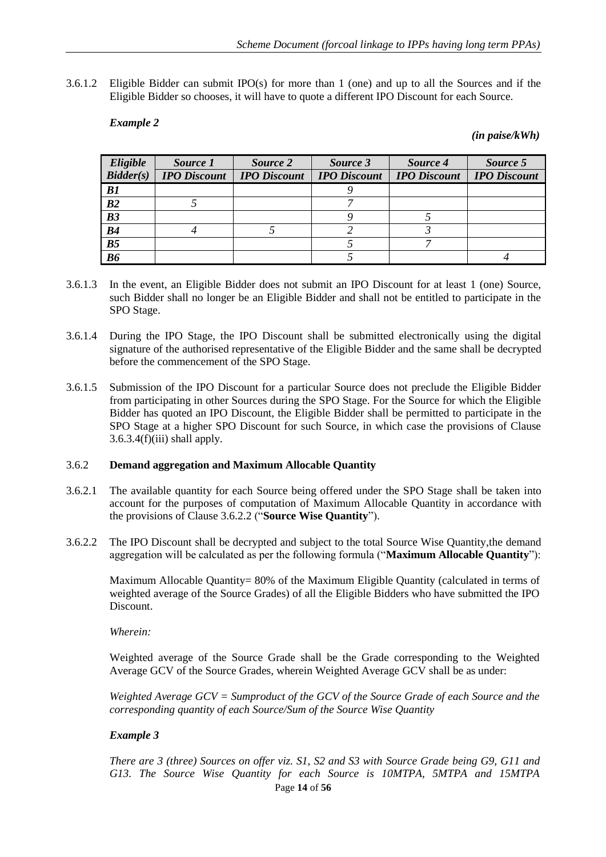3.6.1.2 Eligible Bidder can submit IPO(s) for more than 1 (one) and up to all the Sources and if the Eligible Bidder so chooses, it will have to quote a different IPO Discount for each Source.

#### *Example 2*

#### *(in paise/kWh)*

| Eligible       | Source 1            | Source 2            | Source 3            | Source 4            | Source 5            |
|----------------|---------------------|---------------------|---------------------|---------------------|---------------------|
| Bidder(s)      | <b>IPO</b> Discount | <b>IPO</b> Discount | <b>IPO Discount</b> | <b>IPO</b> Discount | <b>IPO</b> Discount |
| B1             |                     |                     |                     |                     |                     |
| B2             |                     |                     |                     |                     |                     |
| B3             |                     |                     |                     |                     |                     |
| B4             |                     |                     |                     |                     |                     |
| B <sub>5</sub> |                     |                     |                     |                     |                     |
| <b>B6</b>      |                     |                     |                     |                     |                     |

- 3.6.1.3 In the event, an Eligible Bidder does not submit an IPO Discount for at least 1 (one) Source, such Bidder shall no longer be an Eligible Bidder and shall not be entitled to participate in the SPO Stage.
- 3.6.1.4 During the IPO Stage, the IPO Discount shall be submitted electronically using the digital signature of the authorised representative of the Eligible Bidder and the same shall be decrypted before the commencement of the SPO Stage.
- 3.6.1.5 Submission of the IPO Discount for a particular Source does not preclude the Eligible Bidder from participating in other Sources during the SPO Stage. For the Source for which the Eligible Bidder has quoted an IPO Discount, the Eligible Bidder shall be permitted to participate in the SPO Stage at a higher SPO Discount for such Source, in which case the provisions of Clause  $3.6.3.4(f)(iii)$  shall apply.

## <span id="page-14-0"></span>3.6.2 **Demand aggregation and Maximum Allocable Quantity**

- 3.6.2.1 The available quantity for each Source being offered under the SPO Stage shall be taken into account for the purposes of computation of Maximum Allocable Quantity in accordance with the provisions of Clause 3.6.2.2 ("**Source Wise Quantity**").
- 3.6.2.2 The IPO Discount shall be decrypted and subject to the total Source Wise Quantity,the demand aggregation will be calculated as per the following formula ("**Maximum Allocable Quantity**"):

Maximum Allocable Quantity= 80% of the Maximum Eligible Quantity (calculated in terms of weighted average of the Source Grades) of all the Eligible Bidders who have submitted the IPO Discount.

*Wherein:*

Weighted average of the Source Grade shall be the Grade corresponding to the Weighted Average GCV of the Source Grades, wherein Weighted Average GCV shall be as under:

*Weighted Average GCV = Sumproduct of the GCV of the Source Grade of each Source and the corresponding quantity of each Source/Sum of the Source Wise Quantity*

## *Example 3*

Page **14** of **56** *There are 3 (three) Sources on offer viz. S1, S2 and S3 with Source Grade being G9, G11 and G13. The Source Wise Quantity for each Source is 10MTPA, 5MTPA and 15MTPA*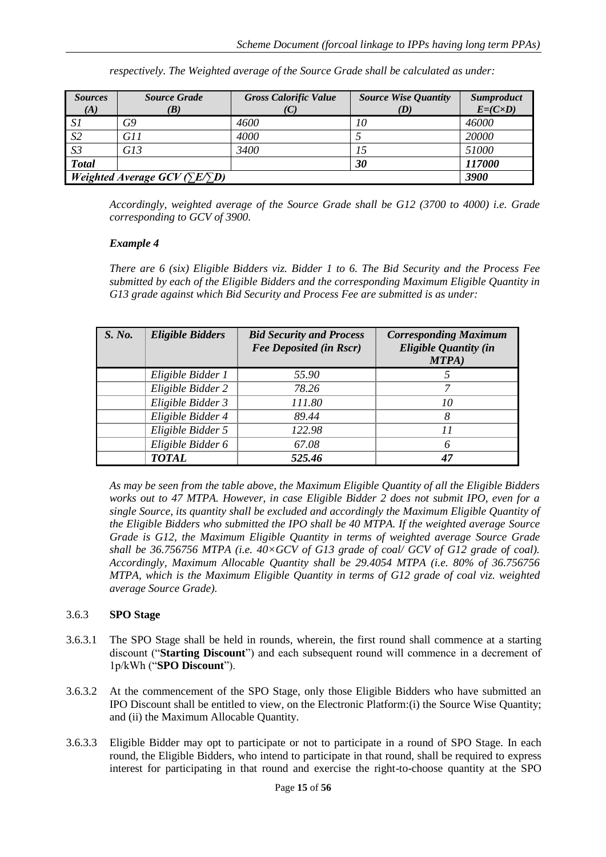| <b>Sources</b><br>(A)                                        | <b>Source Grade</b><br>(B) | <b>Gross Calorific Value</b><br>(C) | <b>Source Wise Quantity</b><br>(D) | Sumproduct<br>$E=(C\times D)$ |
|--------------------------------------------------------------|----------------------------|-------------------------------------|------------------------------------|-------------------------------|
| S1                                                           | G9                         | 4600                                | 10                                 | 46000                         |
| S <sub>2</sub>                                               | G11                        | 4000                                |                                    | 20000                         |
| S <sub>3</sub>                                               | G13                        | 3400                                |                                    | 51000                         |
| <b>Total</b>                                                 |                            |                                     | 30                                 | 117000                        |
| <i>Weighted Average GCV (<math>\Sigma E \Sigma D</math>)</i> | 3900                       |                                     |                                    |                               |

*respectively. The Weighted average of the Source Grade shall be calculated as under:*

*Accordingly, weighted average of the Source Grade shall be G12 (3700 to 4000) i.e. Grade corresponding to GCV of 3900.*

#### *Example 4*

*There are 6 (six) Eligible Bidders viz. Bidder 1 to 6. The Bid Security and the Process Fee submitted by each of the Eligible Bidders and the corresponding Maximum Eligible Quantity in G13 grade against which Bid Security and Process Fee are submitted is as under:*

| S. No. | <b>Eligible Bidders</b> | <b>Bid Security and Process</b><br><b>Fee Deposited (in Rscr)</b> | <b>Corresponding Maximum</b><br><b>Eligible Quantity (in</b><br>MTPA) |
|--------|-------------------------|-------------------------------------------------------------------|-----------------------------------------------------------------------|
|        | Eligible Bidder 1       | 55.90                                                             |                                                                       |
|        | Eligible Bidder 2       | 78.26                                                             |                                                                       |
|        | Eligible Bidder 3       | 111.80                                                            | 10                                                                    |
|        | Eligible Bidder 4       | 89.44                                                             |                                                                       |
|        | Eligible Bidder 5       | 122.98                                                            | $\overline{1}$                                                        |
|        | Eligible Bidder 6       | 67.08                                                             |                                                                       |
|        | <b>TOTAL</b>            | 525.46                                                            |                                                                       |

*As may be seen from the table above, the Maximum Eligible Quantity of all the Eligible Bidders works out to 47 MTPA. However, in case Eligible Bidder 2 does not submit IPO, even for a single Source, its quantity shall be excluded and accordingly the Maximum Eligible Quantity of the Eligible Bidders who submitted the IPO shall be 40 MTPA. If the weighted average Source Grade is G12, the Maximum Eligible Quantity in terms of weighted average Source Grade shall be 36.756756 MTPA (i.e. 40×GCV of G13 grade of coal/ GCV of G12 grade of coal). Accordingly, Maximum Allocable Quantity shall be 29.4054 MTPA (i.e. 80% of 36.756756 MTPA, which is the Maximum Eligible Quantity in terms of G12 grade of coal viz. weighted average Source Grade).*

#### <span id="page-15-0"></span>3.6.3 **SPO Stage**

- 3.6.3.1 The SPO Stage shall be held in rounds, wherein, the first round shall commence at a starting discount ("**Starting Discount**") and each subsequent round will commence in a decrement of 1p/kWh ("**SPO Discount**").
- 3.6.3.2 At the commencement of the SPO Stage, only those Eligible Bidders who have submitted an IPO Discount shall be entitled to view, on the Electronic Platform:(i) the Source Wise Quantity; and (ii) the Maximum Allocable Quantity.
- 3.6.3.3 Eligible Bidder may opt to participate or not to participate in a round of SPO Stage. In each round, the Eligible Bidders, who intend to participate in that round, shall be required to express interest for participating in that round and exercise the right-to-choose quantity at the SPO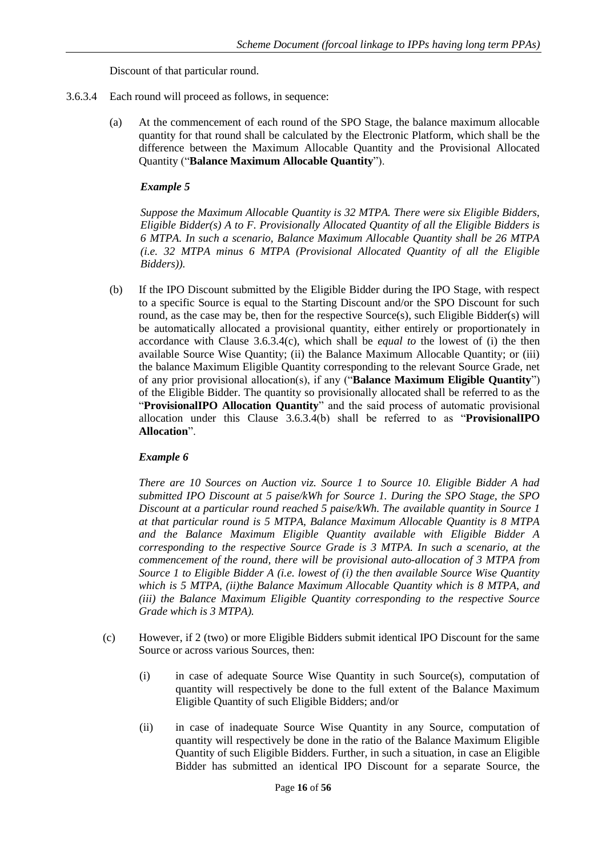Discount of that particular round.

- 3.6.3.4 Each round will proceed as follows, in sequence:
	- (a) At the commencement of each round of the SPO Stage, the balance maximum allocable quantity for that round shall be calculated by the Electronic Platform, which shall be the difference between the Maximum Allocable Quantity and the Provisional Allocated Quantity ("**Balance Maximum Allocable Quantity**").

#### *Example 5*

*Suppose the Maximum Allocable Quantity is 32 MTPA. There were six Eligible Bidders, Eligible Bidder(s) A to F. Provisionally Allocated Quantity of all the Eligible Bidders is 6 MTPA. In such a scenario, Balance Maximum Allocable Quantity shall be 26 MTPA (i.e. 32 MTPA minus 6 MTPA (Provisional Allocated Quantity of all the Eligible Bidders)).*

(b) If the IPO Discount submitted by the Eligible Bidder during the IPO Stage, with respect to a specific Source is equal to the Starting Discount and/or the SPO Discount for such round, as the case may be, then for the respective Source(s), such Eligible Bidder(s) will be automatically allocated a provisional quantity, either entirely or proportionately in accordance with Clause 3.6.3.4(c), which shall be *equal to* the lowest of (i) the then available Source Wise Quantity; (ii) the Balance Maximum Allocable Quantity; or (iii) the balance Maximum Eligible Quantity corresponding to the relevant Source Grade, net of any prior provisional allocation(s), if any ("**Balance Maximum Eligible Quantity**") of the Eligible Bidder. The quantity so provisionally allocated shall be referred to as the "**ProvisionalIPO Allocation Quantity**" and the said process of automatic provisional allocation under this Clause 3.6.3.4(b) shall be referred to as "**ProvisionalIPO Allocation**".

## *Example 6*

*There are 10 Sources on Auction viz. Source 1 to Source 10. Eligible Bidder A had submitted IPO Discount at 5 paise/kWh for Source 1. During the SPO Stage, the SPO Discount at a particular round reached 5 paise/kWh. The available quantity in Source 1 at that particular round is 5 MTPA, Balance Maximum Allocable Quantity is 8 MTPA and the Balance Maximum Eligible Quantity available with Eligible Bidder A corresponding to the respective Source Grade is 3 MTPA. In such a scenario, at the commencement of the round, there will be provisional auto-allocation of 3 MTPA from Source 1 to Eligible Bidder A (i.e. lowest of (i) the then available Source Wise Quantity which is 5 MTPA, (ii)the Balance Maximum Allocable Quantity which is 8 MTPA, and (iii) the Balance Maximum Eligible Quantity corresponding to the respective Source Grade which is 3 MTPA).* 

- (c) However, if 2 (two) or more Eligible Bidders submit identical IPO Discount for the same Source or across various Sources, then:
	- (i) in case of adequate Source Wise Quantity in such Source(s), computation of quantity will respectively be done to the full extent of the Balance Maximum Eligible Quantity of such Eligible Bidders; and/or
	- (ii) in case of inadequate Source Wise Quantity in any Source, computation of quantity will respectively be done in the ratio of the Balance Maximum Eligible Quantity of such Eligible Bidders. Further, in such a situation, in case an Eligible Bidder has submitted an identical IPO Discount for a separate Source, the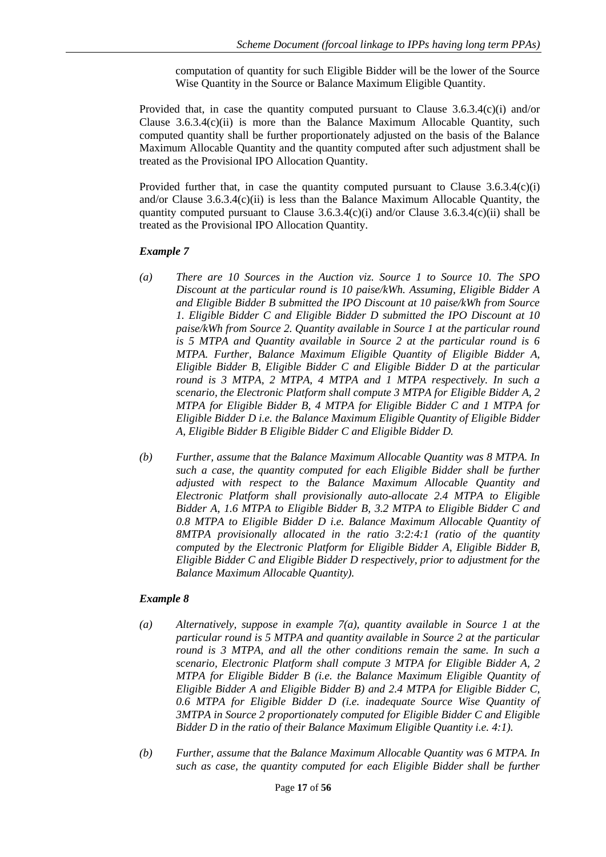computation of quantity for such Eligible Bidder will be the lower of the Source Wise Quantity in the Source or Balance Maximum Eligible Quantity.

Provided that, in case the quantity computed pursuant to Clause 3.6.3.4(c)(i) and/or Clause  $3.6.3.4(c)(ii)$  is more than the Balance Maximum Allocable Quantity, such computed quantity shall be further proportionately adjusted on the basis of the Balance Maximum Allocable Quantity and the quantity computed after such adjustment shall be treated as the Provisional IPO Allocation Quantity.

Provided further that, in case the quantity computed pursuant to Clause  $3.6.3.4(c)(i)$ and/or Clause 3.6.3.4(c)(ii) is less than the Balance Maximum Allocable Quantity, the quantity computed pursuant to Clause  $3.6.3.4(c)(i)$  and/or Clause  $3.6.3.4(c)(ii)$  shall be treated as the Provisional IPO Allocation Quantity.

#### *Example 7*

- *(a) There are 10 Sources in the Auction viz. Source 1 to Source 10. The SPO Discount at the particular round is 10 paise/kWh. Assuming, Eligible Bidder A and Eligible Bidder B submitted the IPO Discount at 10 paise/kWh from Source 1. Eligible Bidder C and Eligible Bidder D submitted the IPO Discount at 10 paise/kWh from Source 2. Quantity available in Source 1 at the particular round is 5 MTPA and Quantity available in Source 2 at the particular round is 6 MTPA. Further, Balance Maximum Eligible Quantity of Eligible Bidder A, Eligible Bidder B, Eligible Bidder C and Eligible Bidder D at the particular round is 3 MTPA, 2 MTPA, 4 MTPA and 1 MTPA respectively. In such a scenario, the Electronic Platform shall compute 3 MTPA for Eligible Bidder A, 2 MTPA for Eligible Bidder B, 4 MTPA for Eligible Bidder C and 1 MTPA for Eligible Bidder D i.e. the Balance Maximum Eligible Quantity of Eligible Bidder A, Eligible Bidder B Eligible Bidder C and Eligible Bidder D.*
- *(b) Further, assume that the Balance Maximum Allocable Quantity was 8 MTPA. In such a case, the quantity computed for each Eligible Bidder shall be further adjusted with respect to the Balance Maximum Allocable Quantity and Electronic Platform shall provisionally auto-allocate 2.4 MTPA to Eligible Bidder A, 1.6 MTPA to Eligible Bidder B, 3.2 MTPA to Eligible Bidder C and 0.8 MTPA to Eligible Bidder D i.e. Balance Maximum Allocable Quantity of 8MTPA provisionally allocated in the ratio 3:2:4:1 (ratio of the quantity computed by the Electronic Platform for Eligible Bidder A, Eligible Bidder B, Eligible Bidder C and Eligible Bidder D respectively, prior to adjustment for the Balance Maximum Allocable Quantity).*

## *Example 8*

- *(a) Alternatively, suppose in example 7(a), quantity available in Source 1 at the particular round is 5 MTPA and quantity available in Source 2 at the particular round is 3 MTPA, and all the other conditions remain the same. In such a scenario, Electronic Platform shall compute 3 MTPA for Eligible Bidder A, 2 MTPA for Eligible Bidder B (i.e. the Balance Maximum Eligible Quantity of Eligible Bidder A and Eligible Bidder B) and 2.4 MTPA for Eligible Bidder C, 0.6 MTPA for Eligible Bidder D (i.e. inadequate Source Wise Quantity of 3MTPA in Source 2 proportionately computed for Eligible Bidder C and Eligible Bidder D in the ratio of their Balance Maximum Eligible Quantity i.e. 4:1).*
- *(b) Further, assume that the Balance Maximum Allocable Quantity was 6 MTPA. In such as case, the quantity computed for each Eligible Bidder shall be further*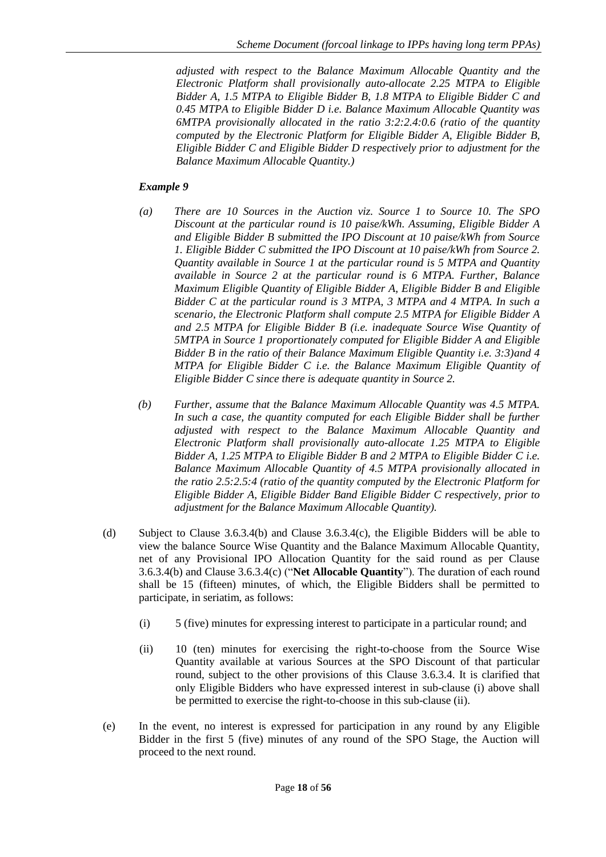*adjusted with respect to the Balance Maximum Allocable Quantity and the Electronic Platform shall provisionally auto-allocate 2.25 MTPA to Eligible Bidder A, 1.5 MTPA to Eligible Bidder B, 1.8 MTPA to Eligible Bidder C and 0.45 MTPA to Eligible Bidder D i.e. Balance Maximum Allocable Quantity was 6MTPA provisionally allocated in the ratio 3:2:2.4:0.6 (ratio of the quantity computed by the Electronic Platform for Eligible Bidder A, Eligible Bidder B, Eligible Bidder C and Eligible Bidder D respectively prior to adjustment for the Balance Maximum Allocable Quantity.)*

## *Example 9*

- *(a) There are 10 Sources in the Auction viz. Source 1 to Source 10. The SPO Discount at the particular round is 10 paise/kWh. Assuming, Eligible Bidder A and Eligible Bidder B submitted the IPO Discount at 10 paise/kWh from Source 1. Eligible Bidder C submitted the IPO Discount at 10 paise/kWh from Source 2. Quantity available in Source 1 at the particular round is 5 MTPA and Quantity available in Source 2 at the particular round is 6 MTPA. Further, Balance Maximum Eligible Quantity of Eligible Bidder A, Eligible Bidder B and Eligible Bidder C at the particular round is 3 MTPA, 3 MTPA and 4 MTPA. In such a scenario, the Electronic Platform shall compute 2.5 MTPA for Eligible Bidder A and 2.5 MTPA for Eligible Bidder B (i.e. inadequate Source Wise Quantity of 5MTPA in Source 1 proportionately computed for Eligible Bidder A and Eligible Bidder B in the ratio of their Balance Maximum Eligible Quantity i.e. 3:3)and 4 MTPA for Eligible Bidder C i.e. the Balance Maximum Eligible Quantity of Eligible Bidder C since there is adequate quantity in Source 2.*
- *(b) Further, assume that the Balance Maximum Allocable Quantity was 4.5 MTPA. In such a case, the quantity computed for each Eligible Bidder shall be further adjusted with respect to the Balance Maximum Allocable Quantity and Electronic Platform shall provisionally auto-allocate 1.25 MTPA to Eligible Bidder A, 1.25 MTPA to Eligible Bidder B and 2 MTPA to Eligible Bidder C i.e. Balance Maximum Allocable Quantity of 4.5 MTPA provisionally allocated in the ratio 2.5:2.5:4 (ratio of the quantity computed by the Electronic Platform for Eligible Bidder A, Eligible Bidder Band Eligible Bidder C respectively, prior to adjustment for the Balance Maximum Allocable Quantity).*
- (d) Subject to Clause 3.6.3.4(b) and Clause 3.6.3.4(c), the Eligible Bidders will be able to view the balance Source Wise Quantity and the Balance Maximum Allocable Quantity, net of any Provisional IPO Allocation Quantity for the said round as per Clause 3.6.3.4(b) and Clause 3.6.3.4(c) ("**Net Allocable Quantity**"). The duration of each round shall be 15 (fifteen) minutes, of which, the Eligible Bidders shall be permitted to participate, in seriatim, as follows:
	- (i) 5 (five) minutes for expressing interest to participate in a particular round; and
	- (ii) 10 (ten) minutes for exercising the right-to-choose from the Source Wise Quantity available at various Sources at the SPO Discount of that particular round, subject to the other provisions of this Clause 3.6.3.4. It is clarified that only Eligible Bidders who have expressed interest in sub-clause (i) above shall be permitted to exercise the right-to-choose in this sub-clause (ii).
- (e) In the event, no interest is expressed for participation in any round by any Eligible Bidder in the first 5 (five) minutes of any round of the SPO Stage, the Auction will proceed to the next round.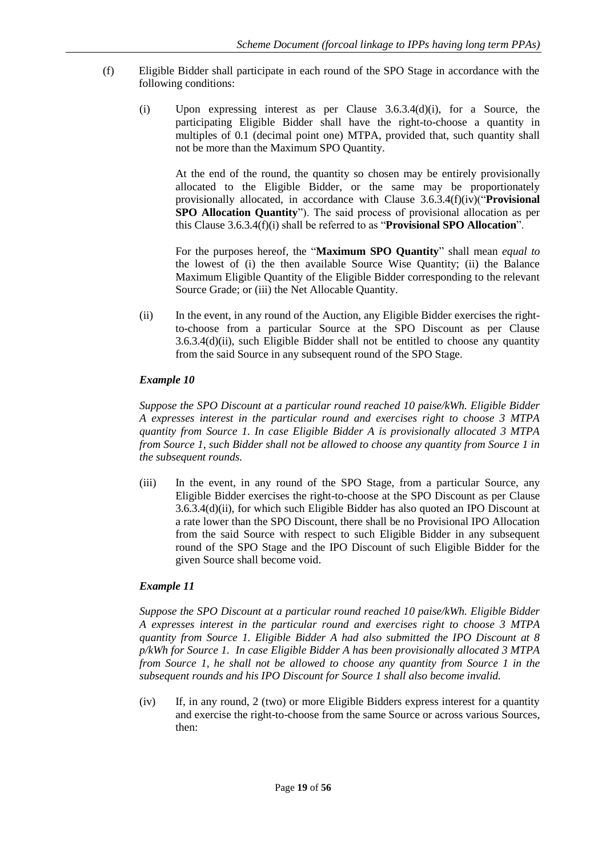- (f) Eligible Bidder shall participate in each round of the SPO Stage in accordance with the following conditions:
	- (i) Upon expressing interest as per Clause 3.6.3.4(d)(i), for a Source, the participating Eligible Bidder shall have the right-to-choose a quantity in multiples of 0.1 (decimal point one) MTPA, provided that, such quantity shall not be more than the Maximum SPO Quantity.

At the end of the round, the quantity so chosen may be entirely provisionally allocated to the Eligible Bidder, or the same may be proportionately provisionally allocated, in accordance with Clause 3.6.3.4(f)(iv)("**Provisional SPO Allocation Quantity**"). The said process of provisional allocation as per this Clause 3.6.3.4(f)(i) shall be referred to as "**Provisional SPO Allocation**".

For the purposes hereof, the "**Maximum SPO Quantity**" shall mean *equal to* the lowest of (i) the then available Source Wise Quantity; (ii) the Balance Maximum Eligible Quantity of the Eligible Bidder corresponding to the relevant Source Grade; or (iii) the Net Allocable Quantity.

(ii) In the event, in any round of the Auction, any Eligible Bidder exercises the rightto-choose from a particular Source at the SPO Discount as per Clause 3.6.3.4(d)(ii), such Eligible Bidder shall not be entitled to choose any quantity from the said Source in any subsequent round of the SPO Stage.

#### *Example 10*

*Suppose the SPO Discount at a particular round reached 10 paise/kWh. Eligible Bidder A expresses interest in the particular round and exercises right to choose 3 MTPA quantity from Source 1. In case Eligible Bidder A is provisionally allocated 3 MTPA from Source 1, such Bidder shall not be allowed to choose any quantity from Source 1 in the subsequent rounds.*

(iii) In the event, in any round of the SPO Stage, from a particular Source, any Eligible Bidder exercises the right-to-choose at the SPO Discount as per Clause 3.6.3.4(d)(ii), for which such Eligible Bidder has also quoted an IPO Discount at a rate lower than the SPO Discount, there shall be no Provisional IPO Allocation from the said Source with respect to such Eligible Bidder in any subsequent round of the SPO Stage and the IPO Discount of such Eligible Bidder for the given Source shall become void.

## *Example 11*

*Suppose the SPO Discount at a particular round reached 10 paise/kWh. Eligible Bidder A expresses interest in the particular round and exercises right to choose 3 MTPA quantity from Source 1. Eligible Bidder A had also submitted the IPO Discount at 8 p/kWh for Source 1. In case Eligible Bidder A has been provisionally allocated 3 MTPA from Source 1, he shall not be allowed to choose any quantity from Source 1 in the subsequent rounds and his IPO Discount for Source 1 shall also become invalid.*

(iv) If, in any round, 2 (two) or more Eligible Bidders express interest for a quantity and exercise the right-to-choose from the same Source or across various Sources, then: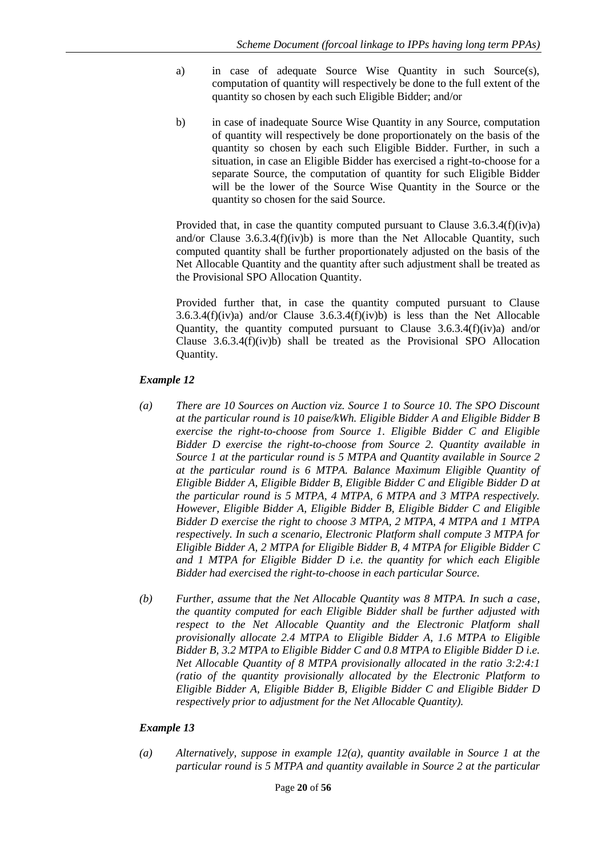- a) in case of adequate Source Wise Quantity in such Source(s), computation of quantity will respectively be done to the full extent of the quantity so chosen by each such Eligible Bidder; and/or
- b) in case of inadequate Source Wise Quantity in any Source, computation of quantity will respectively be done proportionately on the basis of the quantity so chosen by each such Eligible Bidder. Further, in such a situation, in case an Eligible Bidder has exercised a right-to-choose for a separate Source, the computation of quantity for such Eligible Bidder will be the lower of the Source Wise Quantity in the Source or the quantity so chosen for the said Source.

Provided that, in case the quantity computed pursuant to Clause  $3.6.3.4(f)(iv)a$ and/or Clause  $3.6.3.4(f)(iv)b$ ) is more than the Net Allocable Quantity, such computed quantity shall be further proportionately adjusted on the basis of the Net Allocable Quantity and the quantity after such adjustment shall be treated as the Provisional SPO Allocation Quantity.

Provided further that, in case the quantity computed pursuant to Clause 3.6.3.4(f)(iv)a) and/or Clause 3.6.3.4(f)(iv)b) is less than the Net Allocable Quantity, the quantity computed pursuant to Clause  $3.6.3.4(f)(iv)a$  and/or Clause  $3.6.3.4(f)(iv)b$  shall be treated as the Provisional SPO Allocation Quantity.

## *Example 12*

- *(a) There are 10 Sources on Auction viz. Source 1 to Source 10. The SPO Discount at the particular round is 10 paise/kWh. Eligible Bidder A and Eligible Bidder B exercise the right-to-choose from Source 1. Eligible Bidder C and Eligible Bidder D exercise the right-to-choose from Source 2. Quantity available in Source 1 at the particular round is 5 MTPA and Quantity available in Source 2 at the particular round is 6 MTPA. Balance Maximum Eligible Quantity of Eligible Bidder A, Eligible Bidder B, Eligible Bidder C and Eligible Bidder D at the particular round is 5 MTPA, 4 MTPA, 6 MTPA and 3 MTPA respectively. However, Eligible Bidder A, Eligible Bidder B, Eligible Bidder C and Eligible Bidder D exercise the right to choose 3 MTPA, 2 MTPA, 4 MTPA and 1 MTPA respectively. In such a scenario, Electronic Platform shall compute 3 MTPA for Eligible Bidder A, 2 MTPA for Eligible Bidder B, 4 MTPA for Eligible Bidder C and 1 MTPA for Eligible Bidder D i.e. the quantity for which each Eligible Bidder had exercised the right-to-choose in each particular Source.*
- *(b) Further, assume that the Net Allocable Quantity was 8 MTPA. In such a case, the quantity computed for each Eligible Bidder shall be further adjusted with respect to the Net Allocable Quantity and the Electronic Platform shall provisionally allocate 2.4 MTPA to Eligible Bidder A, 1.6 MTPA to Eligible Bidder B, 3.2 MTPA to Eligible Bidder C and 0.8 MTPA to Eligible Bidder D i.e. Net Allocable Quantity of 8 MTPA provisionally allocated in the ratio 3:2:4:1 (ratio of the quantity provisionally allocated by the Electronic Platform to Eligible Bidder A, Eligible Bidder B, Eligible Bidder C and Eligible Bidder D respectively prior to adjustment for the Net Allocable Quantity).*

## *Example 13*

*(a) Alternatively, suppose in example 12(a), quantity available in Source 1 at the particular round is 5 MTPA and quantity available in Source 2 at the particular*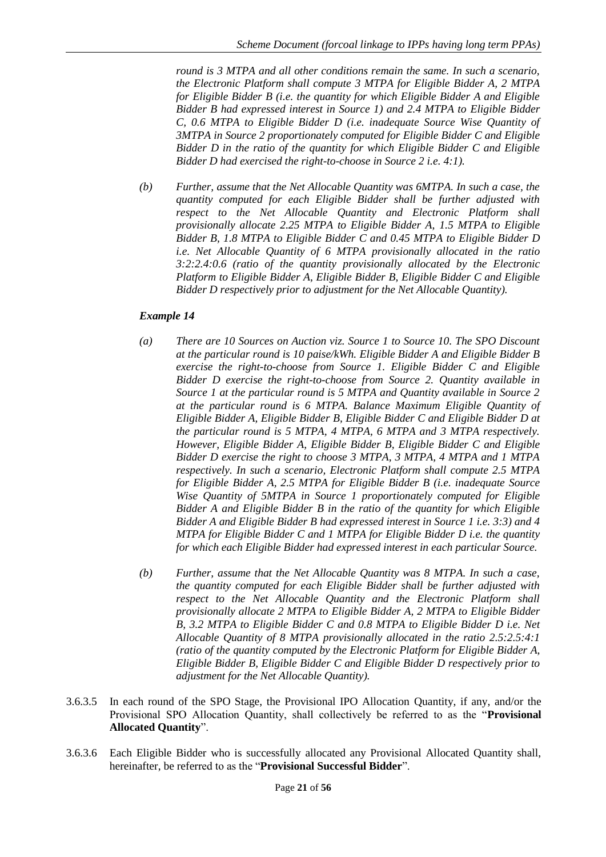*round is 3 MTPA and all other conditions remain the same. In such a scenario, the Electronic Platform shall compute 3 MTPA for Eligible Bidder A, 2 MTPA for Eligible Bidder B (i.e. the quantity for which Eligible Bidder A and Eligible Bidder B had expressed interest in Source 1) and 2.4 MTPA to Eligible Bidder C, 0.6 MTPA to Eligible Bidder D (i.e. inadequate Source Wise Quantity of 3MTPA in Source 2 proportionately computed for Eligible Bidder C and Eligible Bidder D in the ratio of the quantity for which Eligible Bidder C and Eligible Bidder D had exercised the right-to-choose in Source 2 i.e. 4:1).*

*(b) Further, assume that the Net Allocable Quantity was 6MTPA. In such a case, the quantity computed for each Eligible Bidder shall be further adjusted with respect to the Net Allocable Quantity and Electronic Platform shall provisionally allocate 2.25 MTPA to Eligible Bidder A, 1.5 MTPA to Eligible Bidder B, 1.8 MTPA to Eligible Bidder C and 0.45 MTPA to Eligible Bidder D i.e. Net Allocable Quantity of 6 MTPA provisionally allocated in the ratio 3:2:2.4:0.6 (ratio of the quantity provisionally allocated by the Electronic Platform to Eligible Bidder A, Eligible Bidder B, Eligible Bidder C and Eligible Bidder D respectively prior to adjustment for the Net Allocable Quantity).*

## *Example 14*

- *(a) There are 10 Sources on Auction viz. Source 1 to Source 10. The SPO Discount at the particular round is 10 paise/kWh. Eligible Bidder A and Eligible Bidder B exercise the right-to-choose from Source 1. Eligible Bidder C and Eligible Bidder D exercise the right-to-choose from Source 2. Quantity available in Source 1 at the particular round is 5 MTPA and Quantity available in Source 2 at the particular round is 6 MTPA. Balance Maximum Eligible Quantity of Eligible Bidder A, Eligible Bidder B, Eligible Bidder C and Eligible Bidder D at the particular round is 5 MTPA, 4 MTPA, 6 MTPA and 3 MTPA respectively. However, Eligible Bidder A, Eligible Bidder B, Eligible Bidder C and Eligible Bidder D exercise the right to choose 3 MTPA, 3 MTPA, 4 MTPA and 1 MTPA respectively. In such a scenario, Electronic Platform shall compute 2.5 MTPA for Eligible Bidder A, 2.5 MTPA for Eligible Bidder B (i.e. inadequate Source Wise Quantity of 5MTPA in Source 1 proportionately computed for Eligible Bidder A and Eligible Bidder B in the ratio of the quantity for which Eligible Bidder A and Eligible Bidder B had expressed interest in Source 1 i.e. 3:3) and 4 MTPA for Eligible Bidder C and 1 MTPA for Eligible Bidder D i.e. the quantity for which each Eligible Bidder had expressed interest in each particular Source.*
- *(b) Further, assume that the Net Allocable Quantity was 8 MTPA. In such a case, the quantity computed for each Eligible Bidder shall be further adjusted with respect to the Net Allocable Quantity and the Electronic Platform shall provisionally allocate 2 MTPA to Eligible Bidder A, 2 MTPA to Eligible Bidder B, 3.2 MTPA to Eligible Bidder C and 0.8 MTPA to Eligible Bidder D i.e. Net Allocable Quantity of 8 MTPA provisionally allocated in the ratio 2.5:2.5:4:1 (ratio of the quantity computed by the Electronic Platform for Eligible Bidder A, Eligible Bidder B, Eligible Bidder C and Eligible Bidder D respectively prior to adjustment for the Net Allocable Quantity).*
- 3.6.3.5 In each round of the SPO Stage, the Provisional IPO Allocation Quantity, if any, and/or the Provisional SPO Allocation Quantity, shall collectively be referred to as the "**Provisional Allocated Quantity**".
- 3.6.3.6 Each Eligible Bidder who is successfully allocated any Provisional Allocated Quantity shall, hereinafter, be referred to as the "**Provisional Successful Bidder**".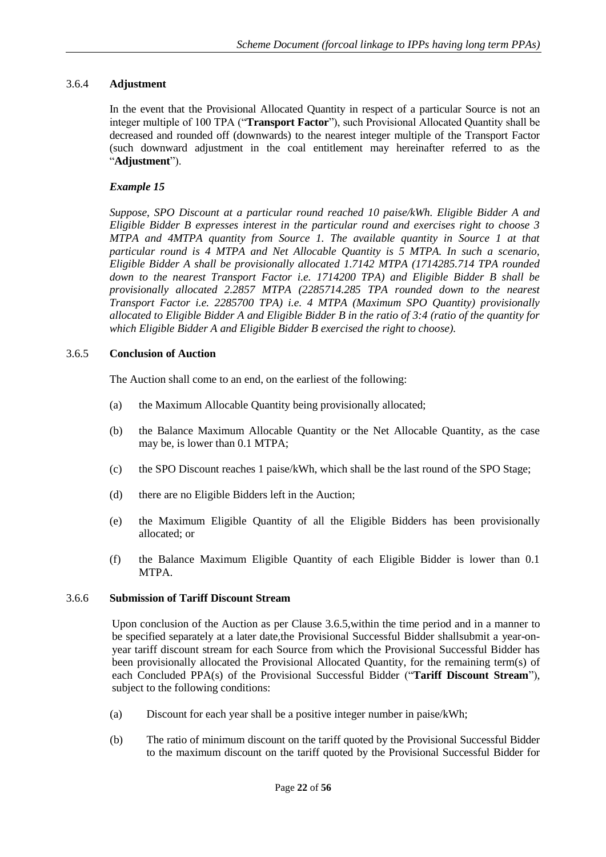## <span id="page-22-0"></span>3.6.4 **Adjustment**

In the event that the Provisional Allocated Quantity in respect of a particular Source is not an integer multiple of 100 TPA ("**Transport Factor**"), such Provisional Allocated Quantity shall be decreased and rounded off (downwards) to the nearest integer multiple of the Transport Factor (such downward adjustment in the coal entitlement may hereinafter referred to as the "**Adjustment**").

## *Example 15*

*Suppose, SPO Discount at a particular round reached 10 paise/kWh. Eligible Bidder A and Eligible Bidder B expresses interest in the particular round and exercises right to choose 3 MTPA and 4MTPA quantity from Source 1. The available quantity in Source 1 at that particular round is 4 MTPA and Net Allocable Quantity is 5 MTPA. In such a scenario, Eligible Bidder A shall be provisionally allocated 1.7142 MTPA (1714285.714 TPA rounded down to the nearest Transport Factor i.e. 1714200 TPA) and Eligible Bidder B shall be provisionally allocated 2.2857 MTPA (2285714.285 TPA rounded down to the nearest Transport Factor i.e. 2285700 TPA) i.e. 4 MTPA (Maximum SPO Quantity) provisionally allocated to Eligible Bidder A and Eligible Bidder B in the ratio of 3:4 (ratio of the quantity for which Eligible Bidder A and Eligible Bidder B exercised the right to choose).*

## <span id="page-22-1"></span>3.6.5 **Conclusion of Auction**

The Auction shall come to an end, on the earliest of the following:

- (a) the Maximum Allocable Quantity being provisionally allocated;
- (b) the Balance Maximum Allocable Quantity or the Net Allocable Quantity, as the case may be, is lower than 0.1 MTPA;
- (c) the SPO Discount reaches 1 paise/kWh, which shall be the last round of the SPO Stage;
- (d) there are no Eligible Bidders left in the Auction;
- (e) the Maximum Eligible Quantity of all the Eligible Bidders has been provisionally allocated; or
- (f) the Balance Maximum Eligible Quantity of each Eligible Bidder is lower than 0.1 MTPA.

## <span id="page-22-2"></span>3.6.6 **Submission of Tariff Discount Stream**

Upon conclusion of the Auction as per Clause 3.6.5,within the time period and in a manner to be specified separately at a later date,the Provisional Successful Bidder shallsubmit a year-onyear tariff discount stream for each Source from which the Provisional Successful Bidder has been provisionally allocated the Provisional Allocated Quantity, for the remaining term(s) of each Concluded PPA(s) of the Provisional Successful Bidder ("**Tariff Discount Stream**"), subject to the following conditions:

- (a) Discount for each year shall be a positive integer number in paise/kWh;
- (b) The ratio of minimum discount on the tariff quoted by the Provisional Successful Bidder to the maximum discount on the tariff quoted by the Provisional Successful Bidder for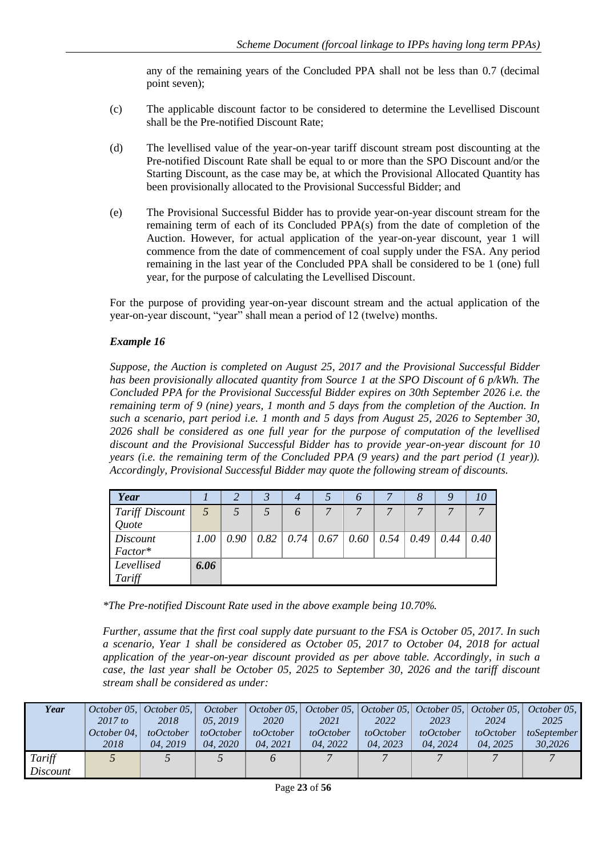any of the remaining years of the Concluded PPA shall not be less than 0.7 (decimal point seven);

- (c) The applicable discount factor to be considered to determine the Levellised Discount shall be the Pre-notified Discount Rate;
- (d) The levellised value of the year-on-year tariff discount stream post discounting at the Pre-notified Discount Rate shall be equal to or more than the SPO Discount and/or the Starting Discount, as the case may be, at which the Provisional Allocated Quantity has been provisionally allocated to the Provisional Successful Bidder; and
- (e) The Provisional Successful Bidder has to provide year-on-year discount stream for the remaining term of each of its Concluded PPA(s) from the date of completion of the Auction. However, for actual application of the year-on-year discount, year 1 will commence from the date of commencement of coal supply under the FSA. Any period remaining in the last year of the Concluded PPA shall be considered to be 1 (one) full year, for the purpose of calculating the Levellised Discount.

For the purpose of providing year-on-year discount stream and the actual application of the year-on-year discount, "year" shall mean a period of 12 (twelve) months.

## *Example 16*

*Suppose, the Auction is completed on August 25, 2017 and the Provisional Successful Bidder has been provisionally allocated quantity from Source 1 at the SPO Discount of 6 p/kWh. The Concluded PPA for the Provisional Successful Bidder expires on 30th September 2026 i.e. the remaining term of 9 (nine) years, 1 month and 5 days from the completion of the Auction. In such a scenario, part period i.e. 1 month and 5 days from August 25, 2026 to September 30, 2026 shall be considered as one full year for the purpose of computation of the levellised discount and the Provisional Successful Bidder has to provide year-on-year discount for 10 years (i.e. the remaining term of the Concluded PPA (9 years) and the part period (1 year)). Accordingly, Provisional Successful Bidder may quote the following stream of discounts.*

| Year                   |      |      |      |          |   | O |                                           |      |      | 10   |
|------------------------|------|------|------|----------|---|---|-------------------------------------------|------|------|------|
| <b>Tariff Discount</b> |      |      |      | $\theta$ | ⇁ |   |                                           |      |      |      |
| Quote                  |      |      |      |          |   |   |                                           |      |      |      |
| Discount               | 1.00 | 0.90 | 0.82 |          |   |   | $0.74 \mid 0.67 \mid 0.60 \mid 0.54 \mid$ | 0.49 | 0.44 | 0.40 |
| Factor*                |      |      |      |          |   |   |                                           |      |      |      |
| Levellised             | 6.06 |      |      |          |   |   |                                           |      |      |      |
| Tariff                 |      |      |      |          |   |   |                                           |      |      |      |

*\*The Pre-notified Discount Rate used in the above example being 10.70%.*

*Further, assume that the first coal supply date pursuant to the FSA is October 05, 2017. In such a scenario, Year 1 shall be considered as October 05, 2017 to October 04, 2018 for actual application of the year-on-year discount provided as per above table. Accordingly, in such a case, the last year shall be October 05, 2025 to September 30, 2026 and the tariff discount stream shall be considered as under:*

| Year     |             | October 05, $ $ October 05, $ $ | October    |             | October 05, $\vert$ October 05, $\vert$ October 05, $\vert$ October 05, $\vert$ October 05, $\vert$ |           |           |           | October 05. |
|----------|-------------|---------------------------------|------------|-------------|-----------------------------------------------------------------------------------------------------|-----------|-----------|-----------|-------------|
|          | $2017$ to   | 2018                            | 05, 2019   | <i>2020</i> | 2021                                                                                                | 2022      | 2023      | 2024      | 2025        |
|          | October 04. | toOctober                       | to October | toOctober   | toOctober                                                                                           | toOctober | toOctober | toOctober | toSeptember |
|          | 2018        | 04.2019                         | 04.2020    | 04.2021     | 04.2022                                                                                             | 04.2023   | 04.2024   | 04.2025   | 30,2026     |
| Tariff   |             |                                 |            | $\sigma$    |                                                                                                     |           |           |           |             |
| Discount |             |                                 |            |             |                                                                                                     |           |           |           |             |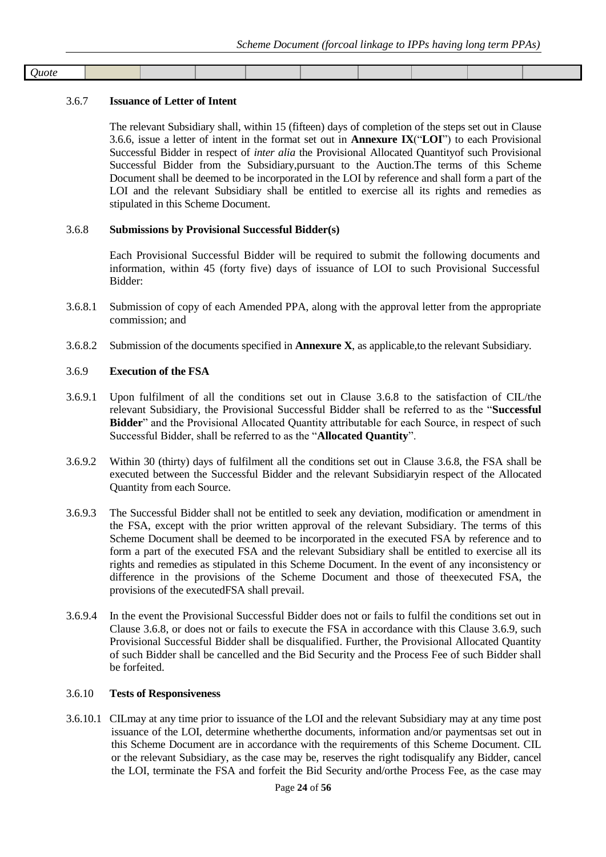| <b>Juote</b> |  |  |  |  |  |
|--------------|--|--|--|--|--|
|              |  |  |  |  |  |

#### <span id="page-24-0"></span>3.6.7 **Issuance of Letter of Intent**

The relevant Subsidiary shall, within 15 (fifteen) days of completion of the steps set out in Clause 3.6.6, issue a letter of intent in the format set out in **Annexure IX**("**LOI**") to each Provisional Successful Bidder in respect of *inter alia* the Provisional Allocated Quantityof such Provisional Successful Bidder from the Subsidiary,pursuant to the Auction.The terms of this Scheme Document shall be deemed to be incorporated in the LOI by reference and shall form a part of the LOI and the relevant Subsidiary shall be entitled to exercise all its rights and remedies as stipulated in this Scheme Document.

#### <span id="page-24-1"></span>3.6.8 **Submissions by Provisional Successful Bidder(s)**

Each Provisional Successful Bidder will be required to submit the following documents and information, within 45 (forty five) days of issuance of LOI to such Provisional Successful Bidder:

- 3.6.8.1 Submission of copy of each Amended PPA, along with the approval letter from the appropriate commission; and
- 3.6.8.2 Submission of the documents specified in **Annexure X**, as applicable,to the relevant Subsidiary*.*

#### <span id="page-24-2"></span>3.6.9 **Execution of the FSA**

- 3.6.9.1 Upon fulfilment of all the conditions set out in Clause 3.6.8 to the satisfaction of CIL/the relevant Subsidiary, the Provisional Successful Bidder shall be referred to as the "**Successful Bidder**" and the Provisional Allocated Quantity attributable for each Source, in respect of such Successful Bidder, shall be referred to as the "**Allocated Quantity**".
- 3.6.9.2 Within 30 (thirty) days of fulfilment all the conditions set out in Clause 3.6.8, the FSA shall be executed between the Successful Bidder and the relevant Subsidiaryin respect of the Allocated Quantity from each Source.
- 3.6.9.3 The Successful Bidder shall not be entitled to seek any deviation, modification or amendment in the FSA, except with the prior written approval of the relevant Subsidiary. The terms of this Scheme Document shall be deemed to be incorporated in the executed FSA by reference and to form a part of the executed FSA and the relevant Subsidiary shall be entitled to exercise all its rights and remedies as stipulated in this Scheme Document. In the event of any inconsistency or difference in the provisions of the Scheme Document and those of theexecuted FSA, the provisions of the executedFSA shall prevail.
- 3.6.9.4 In the event the Provisional Successful Bidder does not or fails to fulfil the conditions set out in Clause 3.6.8, or does not or fails to execute the FSA in accordance with this Clause 3.6.9, such Provisional Successful Bidder shall be disqualified. Further, the Provisional Allocated Quantity of such Bidder shall be cancelled and the Bid Security and the Process Fee of such Bidder shall be forfeited.

#### <span id="page-24-3"></span>3.6.10 **Tests of Responsiveness**

3.6.10.1 CILmay at any time prior to issuance of the LOI and the relevant Subsidiary may at any time post issuance of the LOI, determine whetherthe documents, information and/or paymentsas set out in this Scheme Document are in accordance with the requirements of this Scheme Document. CIL or the relevant Subsidiary, as the case may be, reserves the right todisqualify any Bidder, cancel the LOI, terminate the FSA and forfeit the Bid Security and/orthe Process Fee, as the case may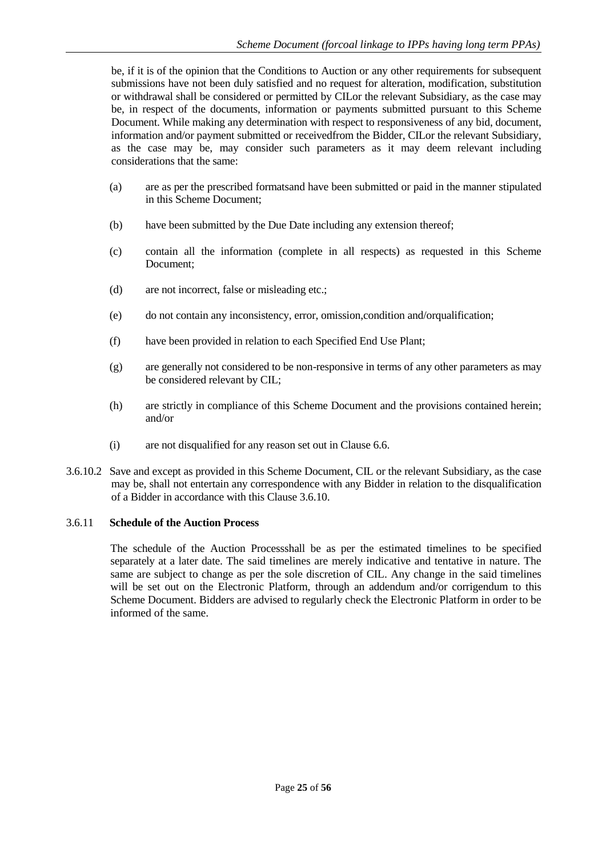be, if it is of the opinion that the Conditions to Auction or any other requirements for subsequent submissions have not been duly satisfied and no request for alteration, modification, substitution or withdrawal shall be considered or permitted by CILor the relevant Subsidiary, as the case may be, in respect of the documents, information or payments submitted pursuant to this Scheme Document. While making any determination with respect to responsiveness of any bid, document, information and/or payment submitted or receivedfrom the Bidder, CILor the relevant Subsidiary, as the case may be, may consider such parameters as it may deem relevant including considerations that the same:

- (a) are as per the prescribed formatsand have been submitted or paid in the manner stipulated in this Scheme Document;
- (b) have been submitted by the Due Date including any extension thereof;
- (c) contain all the information (complete in all respects) as requested in this Scheme Document;
- (d) are not incorrect, false or misleading etc.;
- (e) do not contain any inconsistency, error, omission,condition and/orqualification;
- (f) have been provided in relation to each Specified End Use Plant;
- (g) are generally not considered to be non-responsive in terms of any other parameters as may be considered relevant by CIL;
- (h) are strictly in compliance of this Scheme Document and the provisions contained herein; and/or
- (i) are not disqualified for any reason set out in Clause 6.6.
- 3.6.10.2 Save and except as provided in this Scheme Document, CIL or the relevant Subsidiary, as the case may be, shall not entertain any correspondence with any Bidder in relation to the disqualification of a Bidder in accordance with this Clause 3.6.10.

## <span id="page-25-0"></span>3.6.11 **Schedule of the Auction Process**

The schedule of the Auction Processshall be as per the estimated timelines to be specified separately at a later date. The said timelines are merely indicative and tentative in nature. The same are subject to change as per the sole discretion of CIL. Any change in the said timelines will be set out on the Electronic Platform, through an addendum and/or corrigendum to this Scheme Document. Bidders are advised to regularly check the Electronic Platform in order to be informed of the same.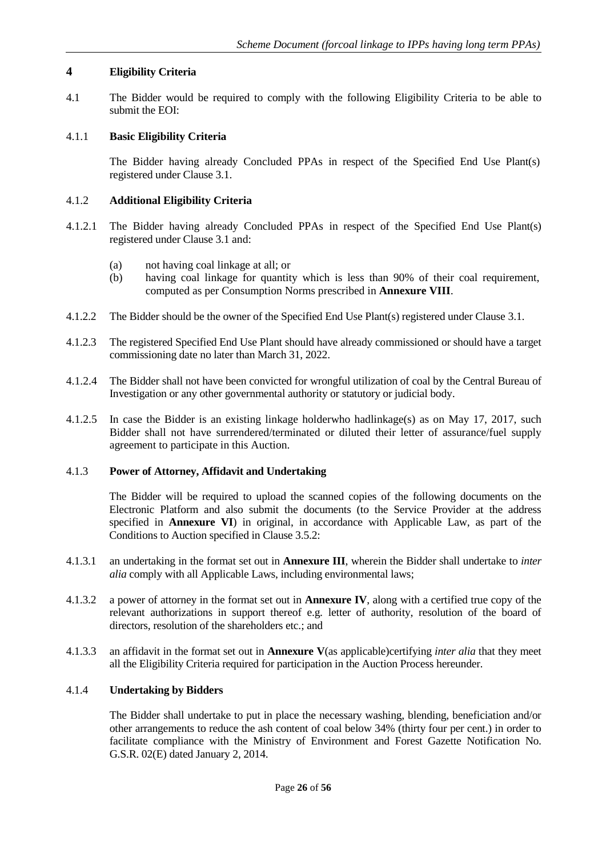## <span id="page-26-0"></span>**4 Eligibility Criteria**

4.1 The Bidder would be required to comply with the following Eligibility Criteria to be able to submit the EOI:

#### 4.1.1 **Basic Eligibility Criteria**

The Bidder having already Concluded PPAs in respect of the Specified End Use Plant(s) registered under Clause 3.1.

#### 4.1.2 **Additional Eligibility Criteria**

- 4.1.2.1 The Bidder having already Concluded PPAs in respect of the Specified End Use Plant(s) registered under Clause 3.1 and:
	- (a) not having coal linkage at all; or
	- (b) having coal linkage for quantity which is less than 90% of their coal requirement, computed as per Consumption Norms prescribed in **Annexure VIII**.
- 4.1.2.2 The Bidder should be the owner of the Specified End Use Plant(s) registered under Clause 3.1.
- 4.1.2.3 The registered Specified End Use Plant should have already commissioned or should have a target commissioning date no later than March 31, 2022.
- 4.1.2.4 The Bidder shall not have been convicted for wrongful utilization of coal by the Central Bureau of Investigation or any other governmental authority or statutory or judicial body.
- 4.1.2.5 In case the Bidder is an existing linkage holderwho hadlinkage(s) as on May 17, 2017, such Bidder shall not have surrendered/terminated or diluted their letter of assurance/fuel supply agreement to participate in this Auction.

#### 4.1.3 **Power of Attorney, Affidavit and Undertaking**

The Bidder will be required to upload the scanned copies of the following documents on the Electronic Platform and also submit the documents (to the Service Provider at the address specified in **Annexure VI**) in original, in accordance with Applicable Law, as part of the Conditions to Auction specified in Clause 3.5.2:

- 4.1.3.1 an undertaking in the format set out in **Annexure III**, wherein the Bidder shall undertake to *inter alia* comply with all Applicable Laws, including environmental laws;
- 4.1.3.2 a power of attorney in the format set out in **Annexure IV**, along with a certified true copy of the relevant authorizations in support thereof e.g. letter of authority, resolution of the board of directors, resolution of the shareholders etc.; and
- 4.1.3.3 an affidavit in the format set out in **Annexure V**(as applicable)certifying *inter alia* that they meet all the Eligibility Criteria required for participation in the Auction Process hereunder.

## 4.1.4 **Undertaking by Bidders**

The Bidder shall undertake to put in place the necessary washing, blending, beneficiation and/or other arrangements to reduce the ash content of coal below 34% (thirty four per cent.) in order to facilitate compliance with the Ministry of Environment and Forest Gazette Notification No. G.S.R. 02(E) dated January 2, 2014.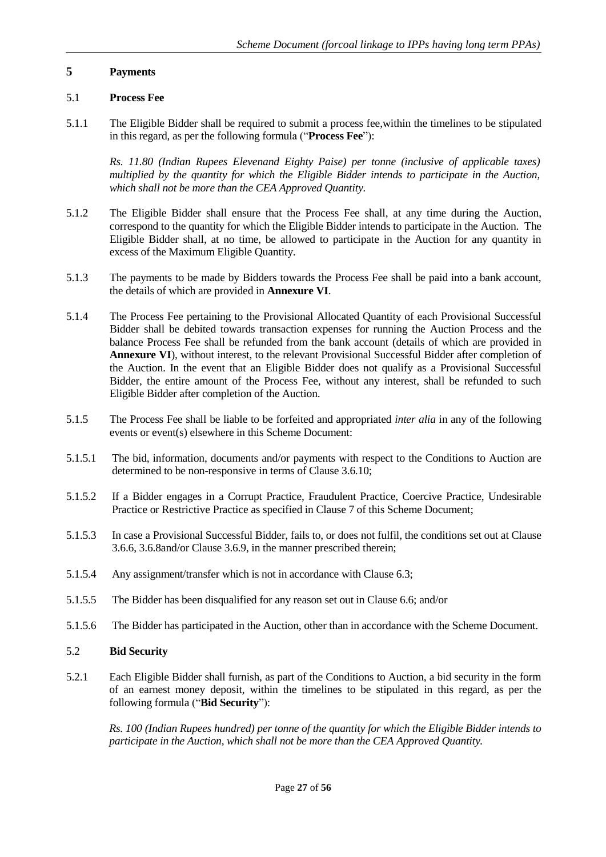#### <span id="page-27-0"></span>**5 Payments**

#### <span id="page-27-1"></span>5.1 **Process Fee**

5.1.1 The Eligible Bidder shall be required to submit a process fee,within the timelines to be stipulated in this regard, as per the following formula ("**Process Fee**"):

*Rs. 11.80 (Indian Rupees Elevenand Eighty Paise) per tonne (inclusive of applicable taxes) multiplied by the quantity for which the Eligible Bidder intends to participate in the Auction, which shall not be more than the CEA Approved Quantity.* 

- 5.1.2 The Eligible Bidder shall ensure that the Process Fee shall, at any time during the Auction, correspond to the quantity for which the Eligible Bidder intends to participate in the Auction. The Eligible Bidder shall, at no time, be allowed to participate in the Auction for any quantity in excess of the Maximum Eligible Quantity.
- 5.1.3 The payments to be made by Bidders towards the Process Fee shall be paid into a bank account, the details of which are provided in **Annexure VI**.
- 5.1.4 The Process Fee pertaining to the Provisional Allocated Quantity of each Provisional Successful Bidder shall be debited towards transaction expenses for running the Auction Process and the balance Process Fee shall be refunded from the bank account (details of which are provided in **Annexure VI**), without interest, to the relevant Provisional Successful Bidder after completion of the Auction. In the event that an Eligible Bidder does not qualify as a Provisional Successful Bidder, the entire amount of the Process Fee, without any interest, shall be refunded to such Eligible Bidder after completion of the Auction.
- 5.1.5 The Process Fee shall be liable to be forfeited and appropriated *inter alia* in any of the following events or event(s) elsewhere in this Scheme Document:
- 5.1.5.1 The bid, information, documents and/or payments with respect to the Conditions to Auction are determined to be non-responsive in terms of Clause 3.6.10;
- 5.1.5.2 If a Bidder engages in a Corrupt Practice, Fraudulent Practice, Coercive Practice, Undesirable Practice or Restrictive Practice as specified in Clause 7 of this Scheme Document;
- 5.1.5.3 In case a Provisional Successful Bidder, fails to, or does not fulfil, the conditions set out at Clause 3.6.6, 3.6.8and/or Clause 3.6.9, in the manner prescribed therein;
- 5.1.5.4 Any assignment/transfer which is not in accordance with Clause 6.3;
- 5.1.5.5 The Bidder has been disqualified for any reason set out in Clause 6.6; and/or
- 5.1.5.6 The Bidder has participated in the Auction, other than in accordance with the Scheme Document.

#### <span id="page-27-2"></span>5.2 **Bid Security**

5.2.1 Each Eligible Bidder shall furnish, as part of the Conditions to Auction, a bid security in the form of an earnest money deposit, within the timelines to be stipulated in this regard, as per the following formula ("**Bid Security**"):

*Rs. 100 (Indian Rupees hundred) per tonne of the quantity for which the Eligible Bidder intends to participate in the Auction, which shall not be more than the CEA Approved Quantity.*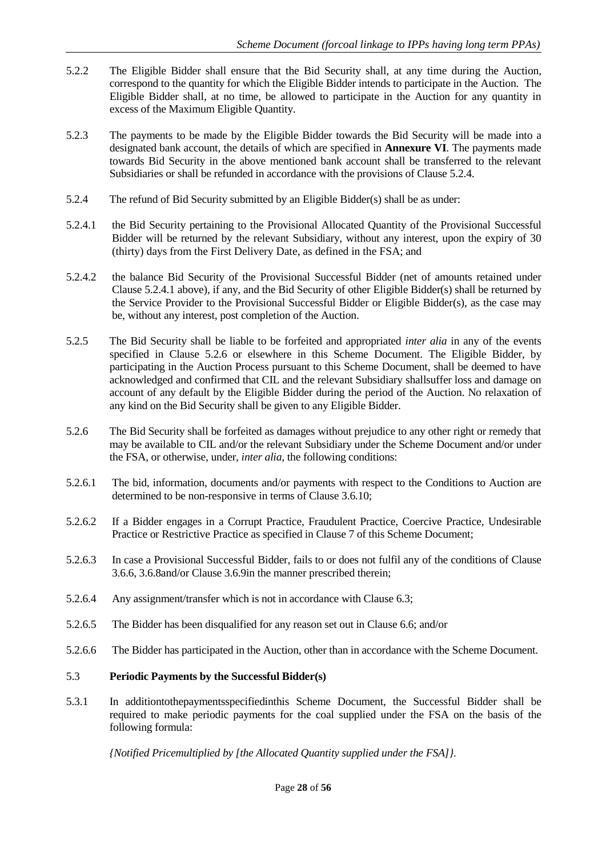- 5.2.2 The Eligible Bidder shall ensure that the Bid Security shall, at any time during the Auction, correspond to the quantity for which the Eligible Bidder intends to participate in the Auction. The Eligible Bidder shall, at no time, be allowed to participate in the Auction for any quantity in excess of the Maximum Eligible Quantity.
- 5.2.3 The payments to be made by the Eligible Bidder towards the Bid Security will be made into a designated bank account, the details of which are specified in **Annexure VI**. The payments made towards Bid Security in the above mentioned bank account shall be transferred to the relevant Subsidiaries or shall be refunded in accordance with the provisions of Clause 5.2.4.
- 5.2.4 The refund of Bid Security submitted by an Eligible Bidder(s) shall be as under:
- 5.2.4.1 the Bid Security pertaining to the Provisional Allocated Quantity of the Provisional Successful Bidder will be returned by the relevant Subsidiary, without any interest, upon the expiry of 30 (thirty) days from the First Delivery Date, as defined in the FSA; and
- 5.2.4.2 the balance Bid Security of the Provisional Successful Bidder (net of amounts retained under Clause 5.2.4.1 above), if any, and the Bid Security of other Eligible Bidder(s) shall be returned by the Service Provider to the Provisional Successful Bidder or Eligible Bidder(s), as the case may be, without any interest, post completion of the Auction.
- 5.2.5 The Bid Security shall be liable to be forfeited and appropriated *inter alia* in any of the events specified in Clause 5.2.6 or elsewhere in this Scheme Document. The Eligible Bidder, by participating in the Auction Process pursuant to this Scheme Document, shall be deemed to have acknowledged and confirmed that CIL and the relevant Subsidiary shallsuffer loss and damage on account of any default by the Eligible Bidder during the period of the Auction. No relaxation of any kind on the Bid Security shall be given to any Eligible Bidder.
- 5.2.6 The Bid Security shall be forfeited as damages without prejudice to any other right or remedy that may be available to CIL and/or the relevant Subsidiary under the Scheme Document and/or under the FSA, or otherwise, under, *inter alia*, the following conditions:
- 5.2.6.1 The bid, information, documents and/or payments with respect to the Conditions to Auction are determined to be non-responsive in terms of Clause 3.6.10;
- 5.2.6.2 If a Bidder engages in a Corrupt Practice, Fraudulent Practice, Coercive Practice, Undesirable Practice or Restrictive Practice as specified in Clause 7 of this Scheme Document;
- 5.2.6.3 In case a Provisional Successful Bidder, fails to or does not fulfil any of the conditions of Clause 3.6.6, 3.6.8and/or Clause 3.6.9in the manner prescribed therein;
- 5.2.6.4 Any assignment/transfer which is not in accordance with Clause 6.3;
- 5.2.6.5 The Bidder has been disqualified for any reason set out in Clause 6.6; and/or
- 5.2.6.6 The Bidder has participated in the Auction, other than in accordance with the Scheme Document.

#### <span id="page-28-0"></span>5.3 **Periodic Payments by the Successful Bidder(s)**

5.3.1 In additiontothepaymentsspecifiedinthis Scheme Document, the Successful Bidder shall be required to make periodic payments for the coal supplied under the FSA on the basis of the following formula:

*{Notified Pricemultiplied by [the Allocated Quantity supplied under the FSA]}.*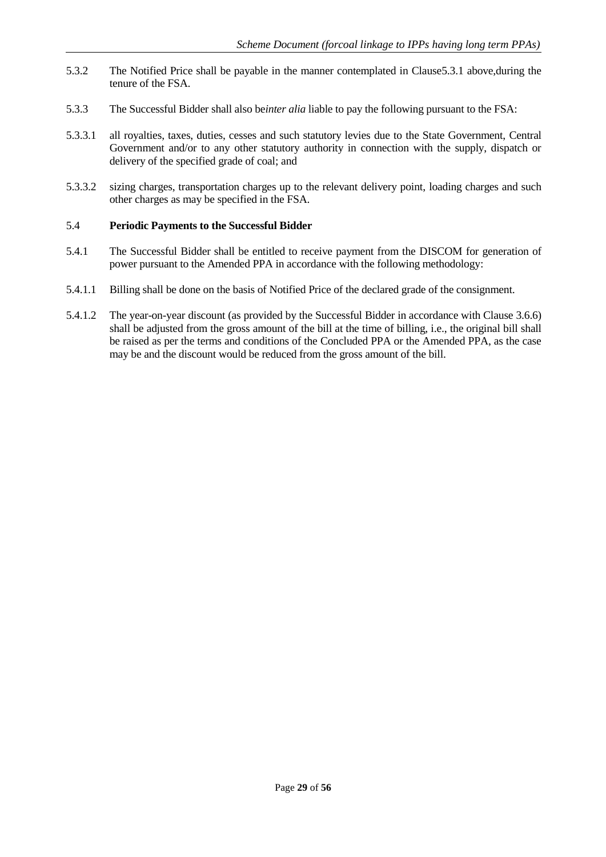- 5.3.2 The Notified Price shall be payable in the manner contemplated in Clause5.3.1 above,during the tenure of the FSA.
- 5.3.3 The Successful Bidder shall also be*inter alia* liable to pay the following pursuant to the FSA:
- 5.3.3.1 all royalties, taxes, duties, cesses and such statutory levies due to the State Government, Central Government and/or to any other statutory authority in connection with the supply, dispatch or delivery of the specified grade of coal; and
- 5.3.3.2 sizing charges, transportation charges up to the relevant delivery point, loading charges and such other charges as may be specified in the FSA.

## <span id="page-29-0"></span>5.4 **Periodic Payments to the Successful Bidder**

- 5.4.1 The Successful Bidder shall be entitled to receive payment from the DISCOM for generation of power pursuant to the Amended PPA in accordance with the following methodology:
- 5.4.1.1 Billing shall be done on the basis of Notified Price of the declared grade of the consignment.
- 5.4.1.2 The year-on-year discount (as provided by the Successful Bidder in accordance with Clause 3.6.6) shall be adjusted from the gross amount of the bill at the time of billing, i.e., the original bill shall be raised as per the terms and conditions of the Concluded PPA or the Amended PPA, as the case may be and the discount would be reduced from the gross amount of the bill.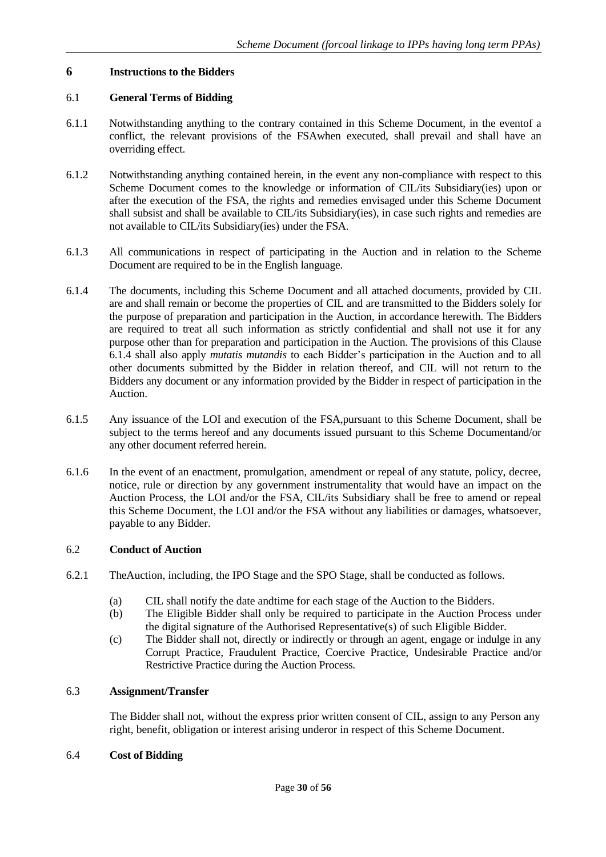## <span id="page-30-0"></span>**6 Instructions to the Bidders**

## <span id="page-30-1"></span>6.1 **General Terms of Bidding**

- 6.1.1 Notwithstanding anything to the contrary contained in this Scheme Document, in the eventof a conflict, the relevant provisions of the FSAwhen executed, shall prevail and shall have an overriding effect.
- 6.1.2 Notwithstanding anything contained herein, in the event any non-compliance with respect to this Scheme Document comes to the knowledge or information of CIL/its Subsidiary(ies) upon or after the execution of the FSA, the rights and remedies envisaged under this Scheme Document shall subsist and shall be available to CIL/its Subsidiary(ies), in case such rights and remedies are not available to CIL/its Subsidiary(ies) under the FSA.
- 6.1.3 All communications in respect of participating in the Auction and in relation to the Scheme Document are required to be in the English language.
- 6.1.4 The documents, including this Scheme Document and all attached documents, provided by CIL are and shall remain or become the properties of CIL and are transmitted to the Bidders solely for the purpose of preparation and participation in the Auction, in accordance herewith. The Bidders are required to treat all such information as strictly confidential and shall not use it for any purpose other than for preparation and participation in the Auction. The provisions of this Clause 6.1.4 shall also apply *mutatis mutandis* to each Bidder's participation in the Auction and to all other documents submitted by the Bidder in relation thereof, and CIL will not return to the Bidders any document or any information provided by the Bidder in respect of participation in the Auction.
- 6.1.5 Any issuance of the LOI and execution of the FSA,pursuant to this Scheme Document, shall be subject to the terms hereof and any documents issued pursuant to this Scheme Documentand/or any other document referred herein.
- 6.1.6 In the event of an enactment, promulgation, amendment or repeal of any statute, policy, decree, notice, rule or direction by any government instrumentality that would have an impact on the Auction Process, the LOI and/or the FSA, CIL/its Subsidiary shall be free to amend or repeal this Scheme Document, the LOI and/or the FSA without any liabilities or damages, whatsoever, payable to any Bidder.

## <span id="page-30-2"></span>6.2 **Conduct of Auction**

- 6.2.1 TheAuction, including, the IPO Stage and the SPO Stage, shall be conducted as follows.
	- (a) CIL shall notify the date andtime for each stage of the Auction to the Bidders.
		- (b) The Eligible Bidder shall only be required to participate in the Auction Process under the digital signature of the Authorised Representative(s) of such Eligible Bidder.
		- (c) The Bidder shall not, directly or indirectly or through an agent, engage or indulge in any Corrupt Practice, Fraudulent Practice, Coercive Practice, Undesirable Practice and/or Restrictive Practice during the Auction Process.

## <span id="page-30-3"></span>6.3 **Assignment/Transfer**

The Bidder shall not, without the express prior written consent of CIL, assign to any Person any right, benefit, obligation or interest arising underor in respect of this Scheme Document.

## <span id="page-30-4"></span>6.4 **Cost of Bidding**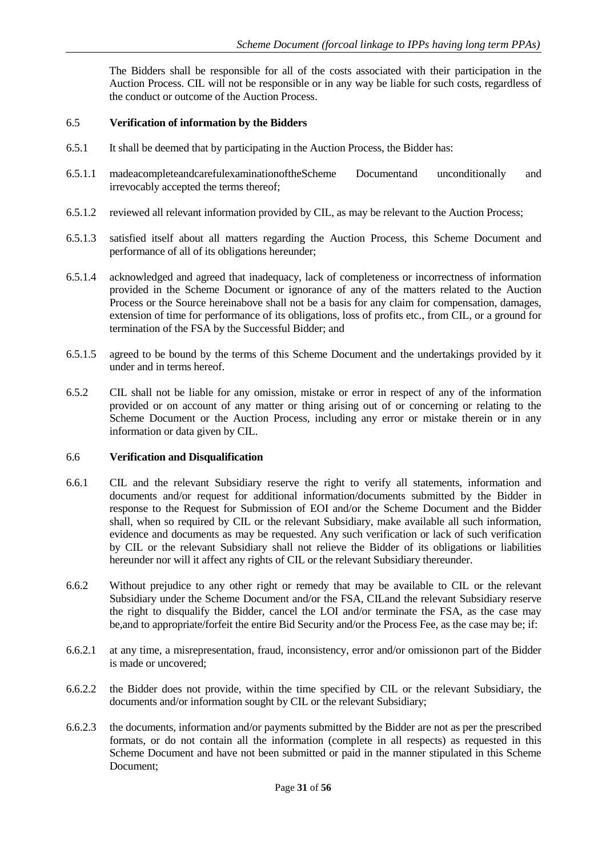The Bidders shall be responsible for all of the costs associated with their participation in the Auction Process. CIL will not be responsible or in any way be liable for such costs, regardless of the conduct or outcome of the Auction Process.

#### <span id="page-31-0"></span>6.5 **Verification of information by the Bidders**

- 6.5.1 It shall be deemed that by participating in the Auction Process, the Bidder has:
- 6.5.1.1 madeacompleteandcarefulexaminationoftheScheme Documentand unconditionally and irrevocably accepted the terms thereof;
- 6.5.1.2 reviewed all relevant information provided by CIL, as may be relevant to the Auction Process;
- 6.5.1.3 satisfied itself about all matters regarding the Auction Process, this Scheme Document and performance of all of its obligations hereunder;
- 6.5.1.4 acknowledged and agreed that inadequacy, lack of completeness or incorrectness of information provided in the Scheme Document or ignorance of any of the matters related to the Auction Process or the Source hereinabove shall not be a basis for any claim for compensation, damages, extension of time for performance of its obligations, loss of profits etc., from CIL, or a ground for termination of the FSA by the Successful Bidder; and
- 6.5.1.5 agreed to be bound by the terms of this Scheme Document and the undertakings provided by it under and in terms hereof.
- 6.5.2 CIL shall not be liable for any omission, mistake or error in respect of any of the information provided or on account of any matter or thing arising out of or concerning or relating to the Scheme Document or the Auction Process, including any error or mistake therein or in any information or data given by CIL.

#### <span id="page-31-1"></span>6.6 **Verification and Disqualification**

- 6.6.1 CIL and the relevant Subsidiary reserve the right to verify all statements, information and documents and/or request for additional information/documents submitted by the Bidder in response to the Request for Submission of EOI and/or the Scheme Document and the Bidder shall, when so required by CIL or the relevant Subsidiary, make available all such information, evidence and documents as may be requested. Any such verification or lack of such verification by CIL or the relevant Subsidiary shall not relieve the Bidder of its obligations or liabilities hereunder nor will it affect any rights of CIL or the relevant Subsidiary thereunder.
- 6.6.2 Without prejudice to any other right or remedy that may be available to CIL or the relevant Subsidiary under the Scheme Document and/or the FSA, CILand the relevant Subsidiary reserve the right to disqualify the Bidder, cancel the LOI and/or terminate the FSA, as the case may be,and to appropriate/forfeit the entire Bid Security and/or the Process Fee, as the case may be; if:
- 6.6.2.1 at any time, a misrepresentation, fraud, inconsistency, error and/or omissionon part of the Bidder is made or uncovered;
- 6.6.2.2 the Bidder does not provide, within the time specified by CIL or the relevant Subsidiary, the documents and/or information sought by CIL or the relevant Subsidiary;
- 6.6.2.3 the documents, information and/or payments submitted by the Bidder are not as per the prescribed formats, or do not contain all the information (complete in all respects) as requested in this Scheme Document and have not been submitted or paid in the manner stipulated in this Scheme Document;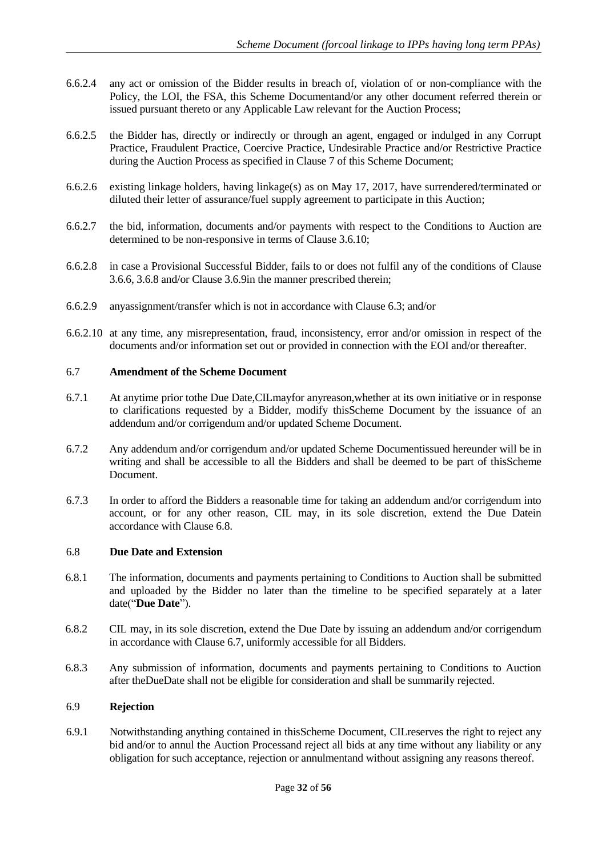- 6.6.2.4 any act or omission of the Bidder results in breach of, violation of or non-compliance with the Policy, the LOI, the FSA, this Scheme Documentand/or any other document referred therein or issued pursuant thereto or any Applicable Law relevant for the Auction Process;
- 6.6.2.5 the Bidder has, directly or indirectly or through an agent, engaged or indulged in any Corrupt Practice, Fraudulent Practice, Coercive Practice, Undesirable Practice and/or Restrictive Practice during the Auction Process as specified in Clause 7 of this Scheme Document;
- 6.6.2.6 existing linkage holders, having linkage(s) as on May 17, 2017, have surrendered/terminated or diluted their letter of assurance/fuel supply agreement to participate in this Auction;
- 6.6.2.7 the bid, information, documents and/or payments with respect to the Conditions to Auction are determined to be non-responsive in terms of Clause 3.6.10;
- 6.6.2.8 in case a Provisional Successful Bidder, fails to or does not fulfil any of the conditions of Clause 3.6.6, 3.6.8 and/or Clause 3.6.9in the manner prescribed therein;
- 6.6.2.9 anyassignment/transfer which is not in accordance with Clause 6.3; and/or
- 6.6.2.10 at any time, any misrepresentation, fraud, inconsistency, error and/or omission in respect of the documents and/or information set out or provided in connection with the EOI and/or thereafter.

#### <span id="page-32-0"></span>6.7 **Amendment of the Scheme Document**

- 6.7.1 At anytime prior tothe Due Date,CILmayfor anyreason,whether at its own initiative or in response to clarifications requested by a Bidder, modify thisScheme Document by the issuance of an addendum and/or corrigendum and/or updated Scheme Document.
- 6.7.2 Any addendum and/or corrigendum and/or updated Scheme Documentissued hereunder will be in writing and shall be accessible to all the Bidders and shall be deemed to be part of thisScheme Document.
- 6.7.3 In order to afford the Bidders a reasonable time for taking an addendum and/or corrigendum into account, or for any other reason, CIL may, in its sole discretion, extend the Due Datein accordance with Clause [6.8.](#page-32-1)

#### <span id="page-32-1"></span>6.8 **Due Date and Extension**

- 6.8.1 The information, documents and payments pertaining to Conditions to Auction shall be submitted and uploaded by the Bidder no later than the timeline to be specified separately at a later date("**Due Date**").
- 6.8.2 CIL may, in its sole discretion, extend the Due Date by issuing an addendum and/or corrigendum in accordance with Clause [6.7,](#page-32-0) uniformly accessible for all Bidders.
- 6.8.3 Any submission of information, documents and payments pertaining to Conditions to Auction after theDueDate shall not be eligible for consideration and shall be summarily rejected.

## <span id="page-32-2"></span>6.9 **Rejection**

6.9.1 Notwithstanding anything contained in thisScheme Document, CILreserves the right to reject any bid and/or to annul the Auction Processand reject all bids at any time without any liability or any obligation for such acceptance, rejection or annulmentand without assigning any reasons thereof.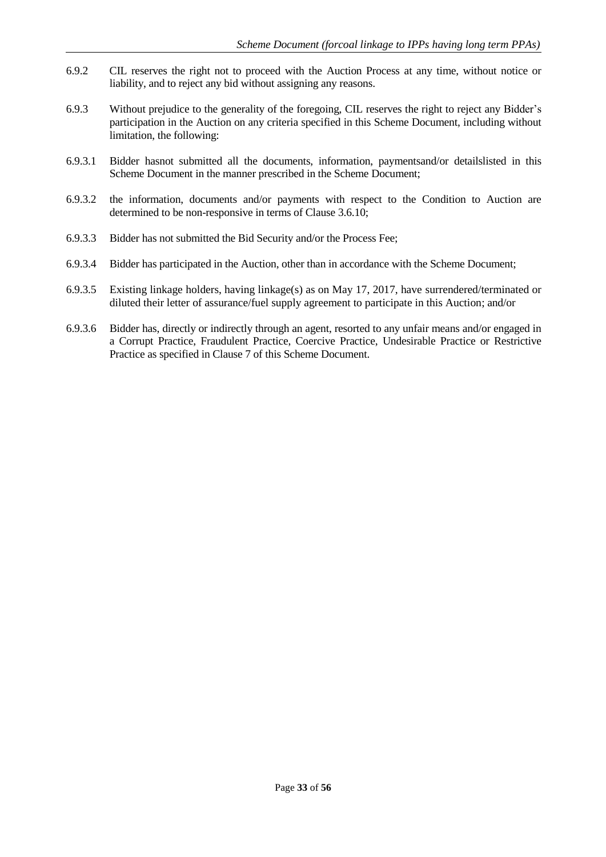- 6.9.2 CIL reserves the right not to proceed with the Auction Process at any time, without notice or liability, and to reject any bid without assigning any reasons.
- 6.9.3 Without prejudice to the generality of the foregoing, CIL reserves the right to reject any Bidder's participation in the Auction on any criteria specified in this Scheme Document, including without limitation, the following:
- 6.9.3.1 Bidder hasnot submitted all the documents, information, paymentsand/or detailslisted in this Scheme Document in the manner prescribed in the Scheme Document;
- 6.9.3.2 the information, documents and/or payments with respect to the Condition to Auction are determined to be non-responsive in terms of Clause 3.6.10;
- 6.9.3.3 Bidder has not submitted the Bid Security and/or the Process Fee;
- 6.9.3.4 Bidder has participated in the Auction, other than in accordance with the Scheme Document;
- 6.9.3.5 Existing linkage holders, having linkage(s) as on May 17, 2017, have surrendered/terminated or diluted their letter of assurance/fuel supply agreement to participate in this Auction; and/or
- 6.9.3.6 Bidder has, directly or indirectly through an agent, resorted to any unfair means and/or engaged in a Corrupt Practice, Fraudulent Practice, Coercive Practice, Undesirable Practice or Restrictive Practice as specified in Clause 7 of this Scheme Document.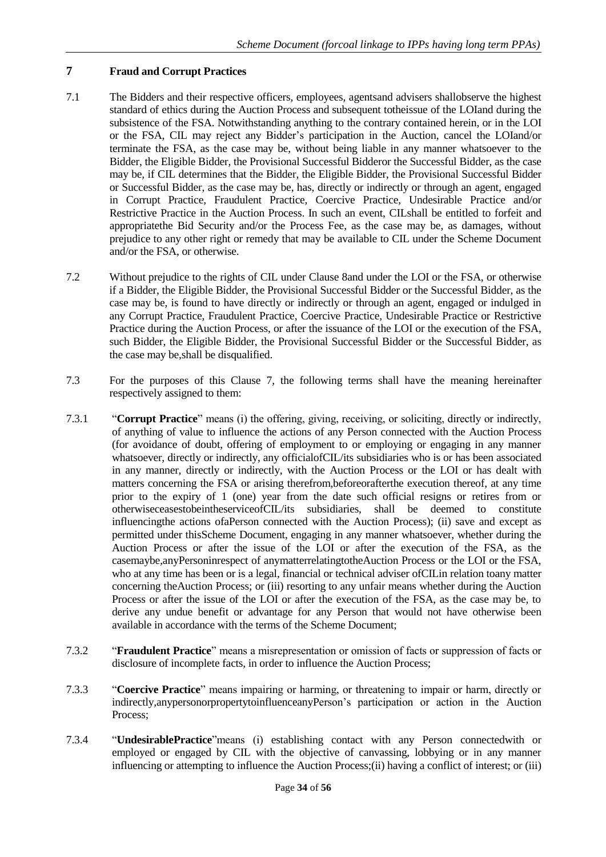## <span id="page-34-0"></span>**7 Fraud and Corrupt Practices**

- 7.1 The Bidders and their respective officers, employees, agentsand advisers shallobserve the highest standard of ethics during the Auction Process and subsequent totheissue of the LOIand during the subsistence of the FSA. Notwithstanding anything to the contrary contained herein, or in the LOI or the FSA, CIL may reject any Bidder's participation in the Auction, cancel the LOIand/or terminate the FSA, as the case may be, without being liable in any manner whatsoever to the Bidder, the Eligible Bidder, the Provisional Successful Bidderor the Successful Bidder, as the case may be, if CIL determines that the Bidder, the Eligible Bidder, the Provisional Successful Bidder or Successful Bidder, as the case may be, has, directly or indirectly or through an agent, engaged in Corrupt Practice, Fraudulent Practice, Coercive Practice, Undesirable Practice and/or Restrictive Practice in the Auction Process. In such an event, CILshall be entitled to forfeit and appropriatethe Bid Security and/or the Process Fee, as the case may be, as damages, without prejudice to any other right or remedy that may be available to CIL under the Scheme Document and/or the FSA, or otherwise.
- 7.2 Without prejudice to the rights of CIL under Clause 8and under the LOI or the FSA, or otherwise if a Bidder, the Eligible Bidder, the Provisional Successful Bidder or the Successful Bidder, as the case may be, is found to have directly or indirectly or through an agent, engaged or indulged in any Corrupt Practice, Fraudulent Practice, Coercive Practice, Undesirable Practice or Restrictive Practice during the Auction Process, or after the issuance of the LOI or the execution of the FSA, such Bidder, the Eligible Bidder, the Provisional Successful Bidder or the Successful Bidder, as the case may be,shall be disqualified.
- 7.3 For the purposes of this Clause 7, the following terms shall have the meaning hereinafter respectively assigned to them:
- 7.3.1 "**Corrupt Practice**" means (i) the offering, giving, receiving, or soliciting, directly or indirectly, of anything of value to influence the actions of any Person connected with the Auction Process (for avoidance of doubt, offering of employment to or employing or engaging in any manner whatsoever, directly or indirectly, any officialofCIL/its subsidiaries who is or has been associated in any manner, directly or indirectly, with the Auction Process or the LOI or has dealt with matters concerning the FSA or arising therefrom,beforeorafterthe execution thereof, at any time prior to the expiry of 1 (one) year from the date such official resigns or retires from or otherwiseceasestobeintheserviceofCIL/its subsidiaries, shall be deemed to constitute influencingthe actions ofaPerson connected with the Auction Process); (ii) save and except as permitted under thisScheme Document, engaging in any manner whatsoever, whether during the Auction Process or after the issue of the LOI or after the execution of the FSA, as the casemaybe,anyPersoninrespect of anymatterrelatingtotheAuction Process or the LOI or the FSA, who at any time has been or is a legal, financial or technical adviser ofCILin relation toany matter concerning theAuction Process; or (iii) resorting to any unfair means whether during the Auction Process or after the issue of the LOI or after the execution of the FSA, as the case may be, to derive any undue benefit or advantage for any Person that would not have otherwise been available in accordance with the terms of the Scheme Document;
- 7.3.2 "**Fraudulent Practice**" means a misrepresentation or omission of facts or suppression of facts or disclosure of incomplete facts, in order to influence the Auction Process;
- 7.3.3 "**Coercive Practice**" means impairing or harming, or threatening to impair or harm, directly or indirectly,anypersonorpropertytoinfluenceanyPerson's participation or action in the Auction Process;
- 7.3.4 "**UndesirablePractice**"means (i) establishing contact with any Person connectedwith or employed or engaged by CIL with the objective of canvassing, lobbying or in any manner influencing or attempting to influence the Auction Process;(ii) having a conflict of interest; or (iii)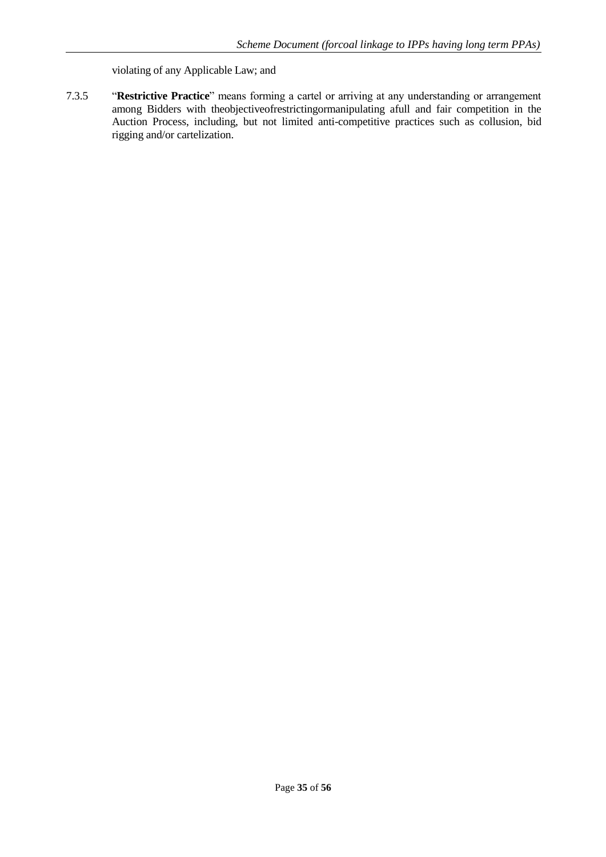violating of any Applicable Law; and

7.3.5 "**Restrictive Practice**" means forming a cartel or arriving at any understanding or arrangement among Bidders with theobjectiveofrestrictingormanipulating afull and fair competition in the Auction Process, including, but not limited anti-competitive practices such as collusion, bid rigging and/or cartelization.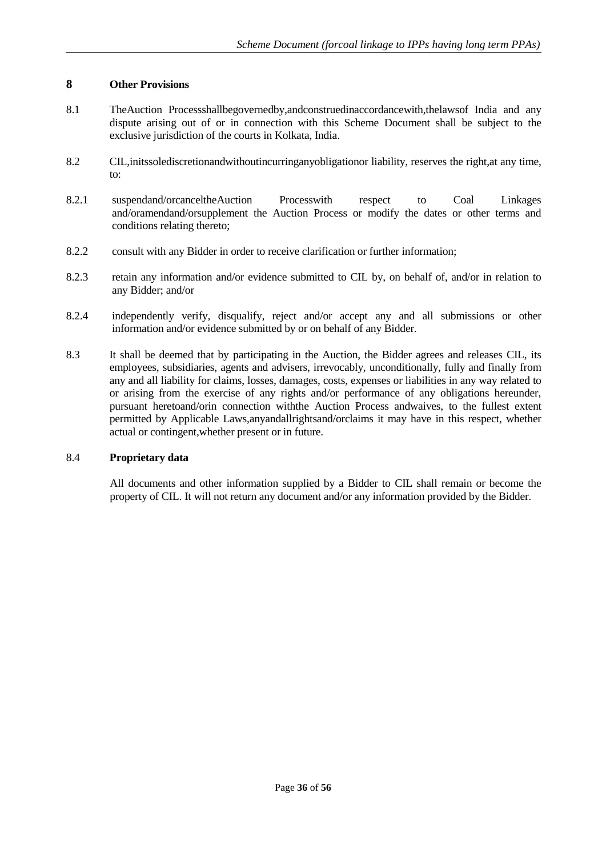## <span id="page-36-0"></span>**8 Other Provisions**

- 8.1 TheAuction Processshallbegovernedby,andconstruedinaccordancewith,thelawsof India and any dispute arising out of or in connection with this Scheme Document shall be subject to the exclusive jurisdiction of the courts in Kolkata, India.
- 8.2 CIL,initssolediscretionandwithoutincurringanyobligationor liability, reserves the right,at any time, to:
- 8.2.1 suspendand/orcanceltheAuction Processwith respect to Coal Linkages and/oramendand/orsupplement the Auction Process or modify the dates or other terms and conditions relating thereto;
- 8.2.2 consult with any Bidder in order to receive clarification or further information;
- 8.2.3 retain any information and/or evidence submitted to CIL by, on behalf of, and/or in relation to any Bidder; and/or
- 8.2.4 independently verify, disqualify, reject and/or accept any and all submissions or other information and/or evidence submitted by or on behalf of any Bidder.
- 8.3 It shall be deemed that by participating in the Auction, the Bidder agrees and releases CIL, its employees, subsidiaries, agents and advisers, irrevocably, unconditionally, fully and finally from any and all liability for claims, losses, damages, costs, expenses or liabilities in any way related to or arising from the exercise of any rights and/or performance of any obligations hereunder, pursuant heretoand/orin connection withthe Auction Process andwaives, to the fullest extent permitted by Applicable Laws,anyandallrightsand/orclaims it may have in this respect, whether actual or contingent,whether present or in future.

## 8.4 **Proprietary data**

All documents and other information supplied by a Bidder to CIL shall remain or become the property of CIL. It will not return any document and/or any information provided by the Bidder.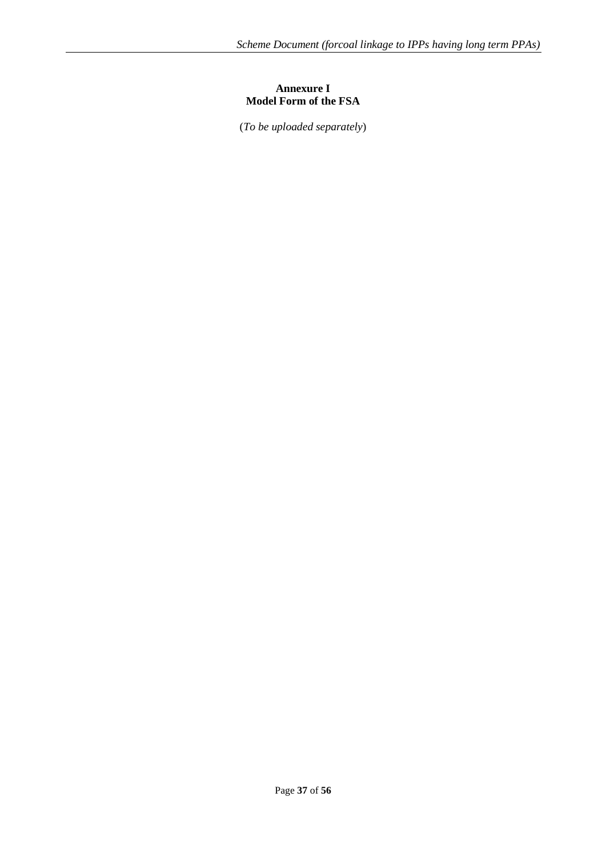## **Annexure I Model Form of the FSA**

<span id="page-37-0"></span>(*To be uploaded separately*)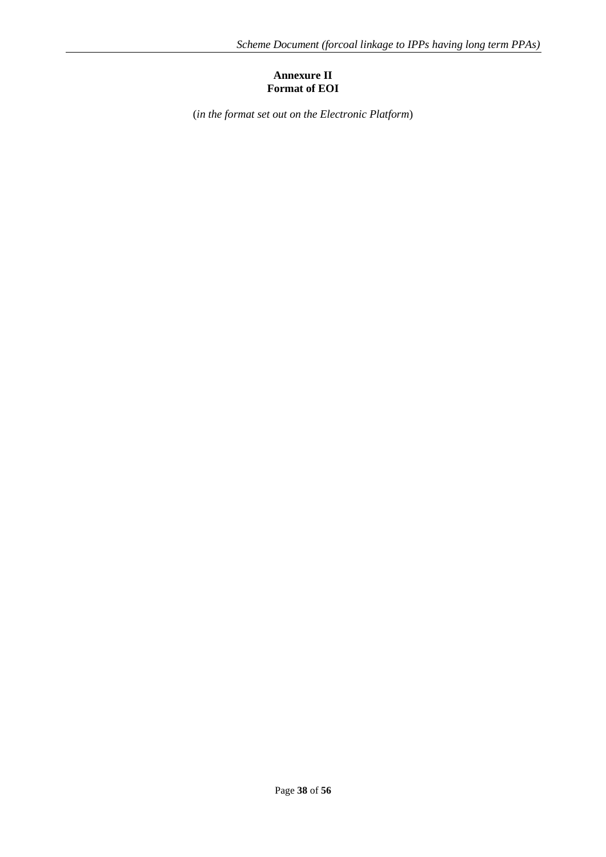## **Annexure II Format of EOI**

<span id="page-38-0"></span>(*in the format set out on the Electronic Platform*)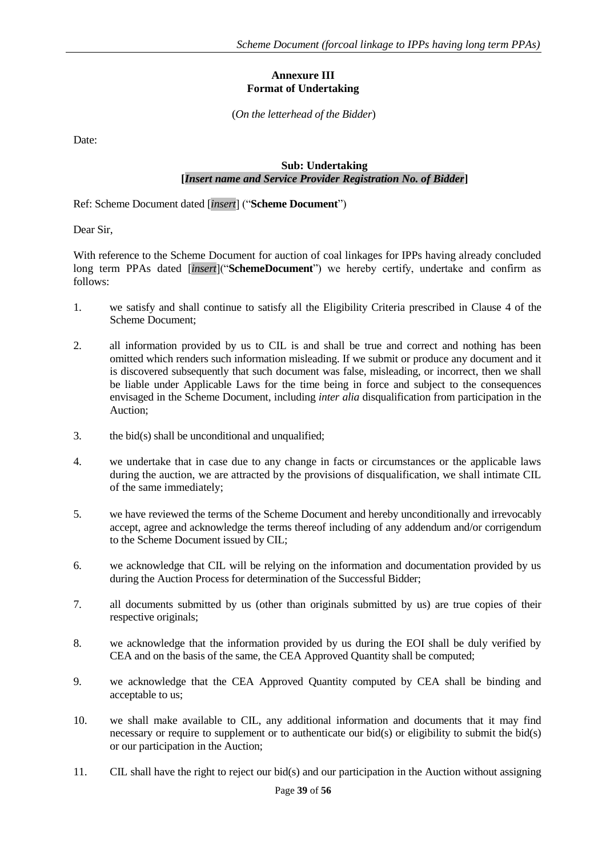## **Annexure III Format of Undertaking**

(*On the letterhead of the Bidder*)

<span id="page-39-0"></span>Date:

#### **Sub: Undertaking [***Insert name and Service Provider Registration No. of Bidder***]**

Ref: Scheme Document dated [*insert*] ("**Scheme Document**")

Dear Sir,

With reference to the Scheme Document for auction of coal linkages for IPPs having already concluded long term PPAs dated [*insert*]("**SchemeDocument**") we hereby certify, undertake and confirm as follows:

- 1. we satisfy and shall continue to satisfy all the Eligibility Criteria prescribed in Clause 4 of the Scheme Document;
- 2. all information provided by us to CIL is and shall be true and correct and nothing has been omitted which renders such information misleading. If we submit or produce any document and it is discovered subsequently that such document was false, misleading, or incorrect, then we shall be liable under Applicable Laws for the time being in force and subject to the consequences envisaged in the Scheme Document, including *inter alia* disqualification from participation in the Auction;
- 3. the bid(s) shall be unconditional and unqualified;
- 4. we undertake that in case due to any change in facts or circumstances or the applicable laws during the auction, we are attracted by the provisions of disqualification, we shall intimate CIL of the same immediately;
- 5. we have reviewed the terms of the Scheme Document and hereby unconditionally and irrevocably accept, agree and acknowledge the terms thereof including of any addendum and/or corrigendum to the Scheme Document issued by CIL;
- 6. we acknowledge that CIL will be relying on the information and documentation provided by us during the Auction Process for determination of the Successful Bidder;
- 7. all documents submitted by us (other than originals submitted by us) are true copies of their respective originals;
- 8. we acknowledge that the information provided by us during the EOI shall be duly verified by CEA and on the basis of the same, the CEA Approved Quantity shall be computed;
- 9. we acknowledge that the CEA Approved Quantity computed by CEA shall be binding and acceptable to us;
- 10. we shall make available to CIL, any additional information and documents that it may find necessary or require to supplement or to authenticate our bid(s) or eligibility to submit the bid(s) or our participation in the Auction;
- 11. CIL shall have the right to reject our bid(s) and our participation in the Auction without assigning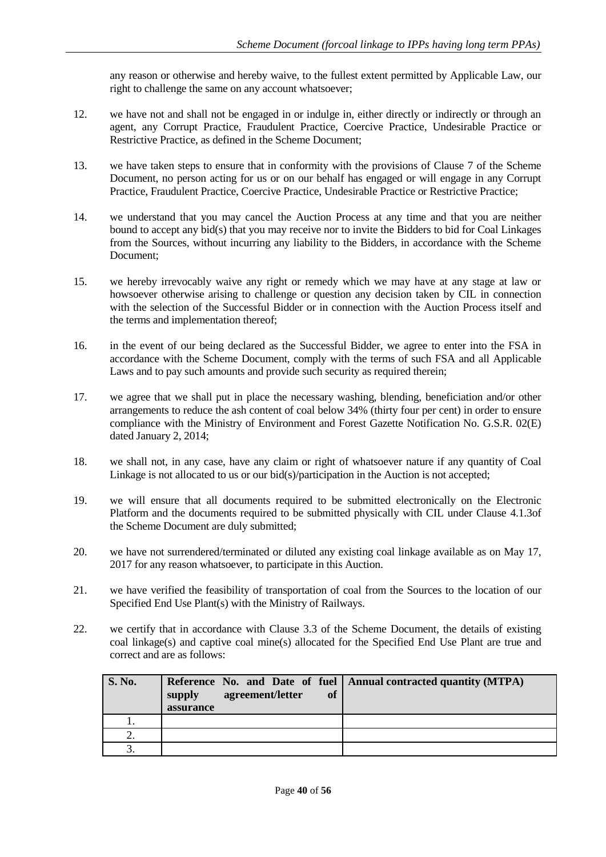any reason or otherwise and hereby waive, to the fullest extent permitted by Applicable Law, our right to challenge the same on any account whatsoever;

- 12. we have not and shall not be engaged in or indulge in, either directly or indirectly or through an agent, any Corrupt Practice, Fraudulent Practice, Coercive Practice, Undesirable Practice or Restrictive Practice, as defined in the Scheme Document;
- 13. we have taken steps to ensure that in conformity with the provisions of Clause [7](#page-34-0) of the Scheme Document, no person acting for us or on our behalf has engaged or will engage in any Corrupt Practice, Fraudulent Practice, Coercive Practice, Undesirable Practice or Restrictive Practice;
- 14. we understand that you may cancel the Auction Process at any time and that you are neither bound to accept any bid(s) that you may receive nor to invite the Bidders to bid for Coal Linkages from the Sources, without incurring any liability to the Bidders, in accordance with the Scheme Document;
- 15. we hereby irrevocably waive any right or remedy which we may have at any stage at law or howsoever otherwise arising to challenge or question any decision taken by CIL in connection with the selection of the Successful Bidder or in connection with the Auction Process itself and the terms and implementation thereof;
- 16. in the event of our being declared as the Successful Bidder, we agree to enter into the FSA in accordance with the Scheme Document, comply with the terms of such FSA and all Applicable Laws and to pay such amounts and provide such security as required therein;
- 17. we agree that we shall put in place the necessary washing, blending, beneficiation and/or other arrangements to reduce the ash content of coal below 34% (thirty four per cent) in order to ensure compliance with the Ministry of Environment and Forest Gazette Notification No. G.S.R. 02(E) dated January 2, 2014;
- 18. we shall not, in any case, have any claim or right of whatsoever nature if any quantity of Coal Linkage is not allocated to us or our bid(s)/participation in the Auction is not accepted;
- 19. we will ensure that all documents required to be submitted electronically on the Electronic Platform and the documents required to be submitted physically with CIL under Clause 4.1.3of the Scheme Document are duly submitted;
- 20. we have not surrendered/terminated or diluted any existing coal linkage available as on May 17, 2017 for any reason whatsoever, to participate in this Auction.
- 21. we have verified the feasibility of transportation of coal from the Sources to the location of our Specified End Use Plant(s) with the Ministry of Railways.
- 22. we certify that in accordance with Clause 3.3 of the Scheme Document, the details of existing coal linkage(s) and captive coal mine(s) allocated for the Specified End Use Plant are true and correct and are as follows:

| <b>S. No.</b> | agreement/letter<br><b>of</b><br>supply<br>assurance | Reference No. and Date of fuel   Annual contracted quantity (MTPA) |
|---------------|------------------------------------------------------|--------------------------------------------------------------------|
| . .           |                                                      |                                                                    |
| ۷.            |                                                      |                                                                    |
|               |                                                      |                                                                    |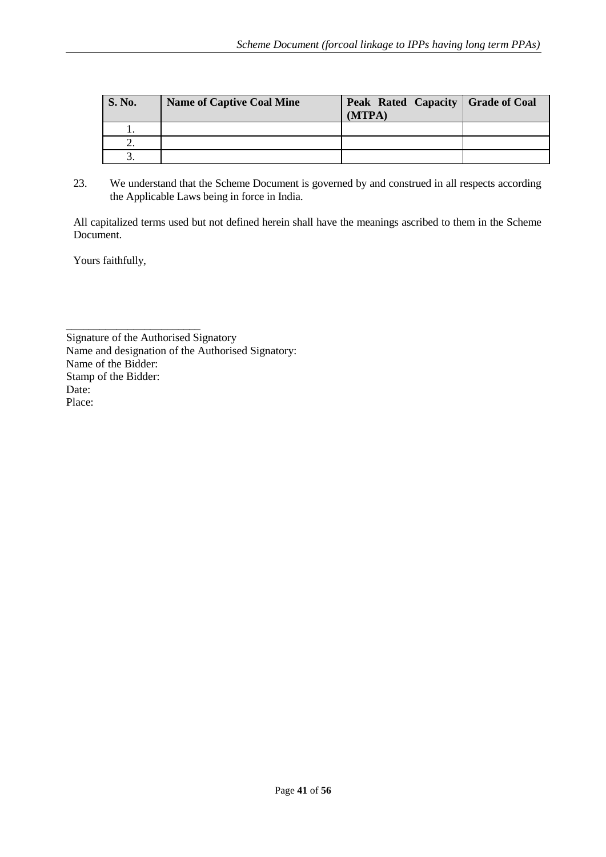| <b>S. No.</b> | <b>Name of Captive Coal Mine</b> | Peak Rated Capacity   Grade of Coal<br>(MTPA) |  |
|---------------|----------------------------------|-----------------------------------------------|--|
|               |                                  |                                               |  |
| ٠.            |                                  |                                               |  |
|               |                                  |                                               |  |

23. We understand that the Scheme Document is governed by and construed in all respects according the Applicable Laws being in force in India.

All capitalized terms used but not defined herein shall have the meanings ascribed to them in the Scheme Document.

Yours faithfully,

\_\_\_\_\_\_\_\_\_\_\_\_\_\_\_\_\_\_\_\_\_\_\_\_ Signature of the Authorised Signatory Name and designation of the Authorised Signatory: Name of the Bidder: Stamp of the Bidder: Date: Place: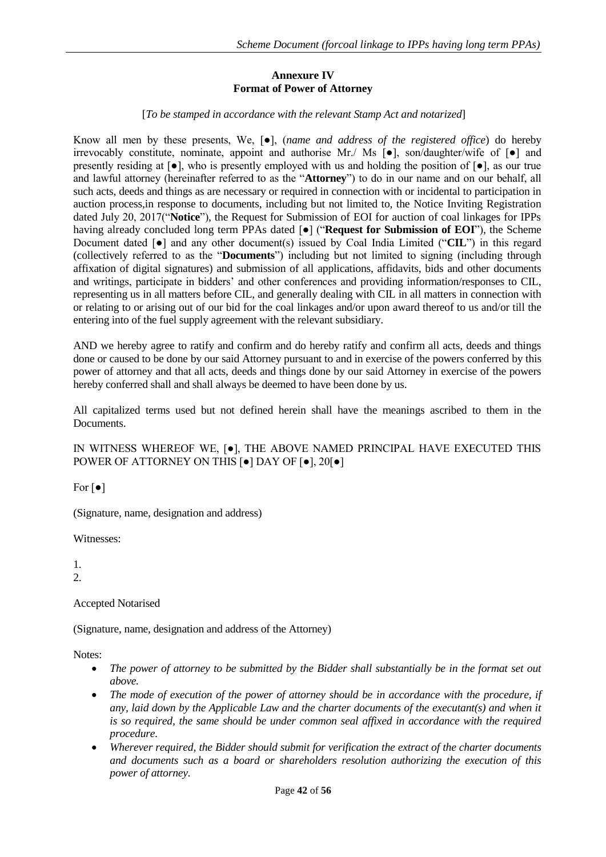## **Annexure IV Format of Power of Attorney**

[*To be stamped in accordance with the relevant Stamp Act and notarized*]

<span id="page-42-0"></span>Know all men by these presents, We, [●], (*name and address of the registered office*) do hereby irrevocably constitute, nominate, appoint and authorise Mr./ Ms [●], son/daughter/wife of [●] and presently residing at  $[\bullet]$ , who is presently employed with us and holding the position of  $[\bullet]$ , as our true and lawful attorney (hereinafter referred to as the "**Attorney**") to do in our name and on our behalf, all such acts, deeds and things as are necessary or required in connection with or incidental to participation in auction process,in response to documents, including but not limited to, the Notice Inviting Registration dated July 20, 2017("**Notice**"), the Request for Submission of EOI for auction of coal linkages for IPPs having already concluded long term PPAs dated [●] ("**Request for Submission of EOI**"), the Scheme Document dated  $\lceil \bullet \rceil$  and any other document(s) issued by Coal India Limited ("**CIL**") in this regard (collectively referred to as the "**Documents**") including but not limited to signing (including through affixation of digital signatures) and submission of all applications, affidavits, bids and other documents and writings, participate in bidders' and other conferences and providing information/responses to CIL, representing us in all matters before CIL, and generally dealing with CIL in all matters in connection with or relating to or arising out of our bid for the coal linkages and/or upon award thereof to us and/or till the entering into of the fuel supply agreement with the relevant subsidiary.

AND we hereby agree to ratify and confirm and do hereby ratify and confirm all acts, deeds and things done or caused to be done by our said Attorney pursuant to and in exercise of the powers conferred by this power of attorney and that all acts, deeds and things done by our said Attorney in exercise of the powers hereby conferred shall and shall always be deemed to have been done by us.

All capitalized terms used but not defined herein shall have the meanings ascribed to them in the Documents.

IN WITNESS WHEREOF WE, [●], THE ABOVE NAMED PRINCIPAL HAVE EXECUTED THIS POWER OF ATTORNEY ON THIS [●] DAY OF [●], 20[●]

For  $\lceil \bullet \rceil$ 

(Signature, name, designation and address)

Witnesses:

1. 2.

Accepted Notarised

(Signature, name, designation and address of the Attorney)

Notes:

- The power of attorney to be submitted by the Bidder shall substantially be in the format set out *above.*
- The mode of execution of the power of attorney should be in accordance with the procedure, if *any, laid down by the Applicable Law and the charter documents of the executant(s) and when it is so required, the same should be under common seal affixed in accordance with the required procedure.*
- *Wherever required, the Bidder should submit for verification the extract of the charter documents and documents such as a board or shareholders resolution authorizing the execution of this power of attorney.*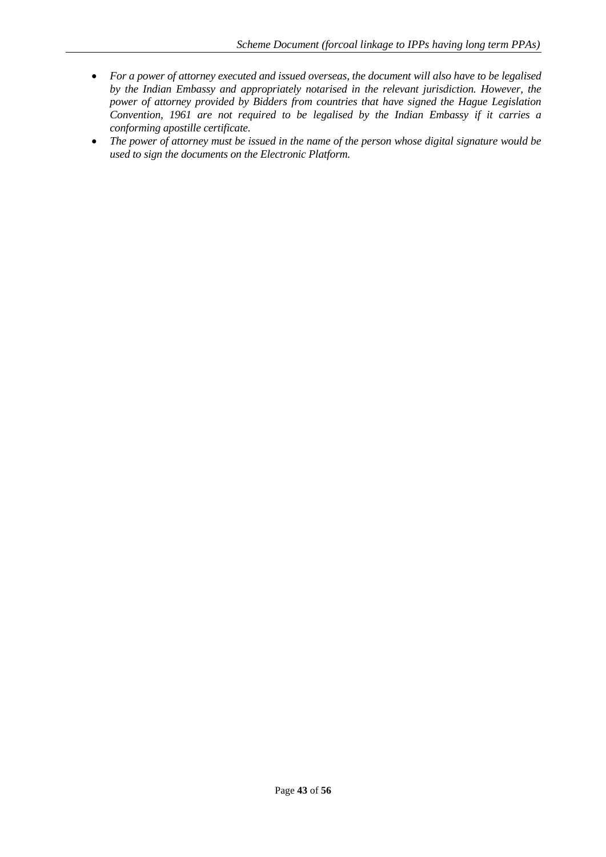- *For a power of attorney executed and issued overseas, the document will also have to be legalised by the Indian Embassy and appropriately notarised in the relevant jurisdiction. However, the power of attorney provided by Bidders from countries that have signed the Hague Legislation Convention, 1961 are not required to be legalised by the Indian Embassy if it carries a conforming apostille certificate.*
- *The power of attorney must be issued in the name of the person whose digital signature would be used to sign the documents on the Electronic Platform.*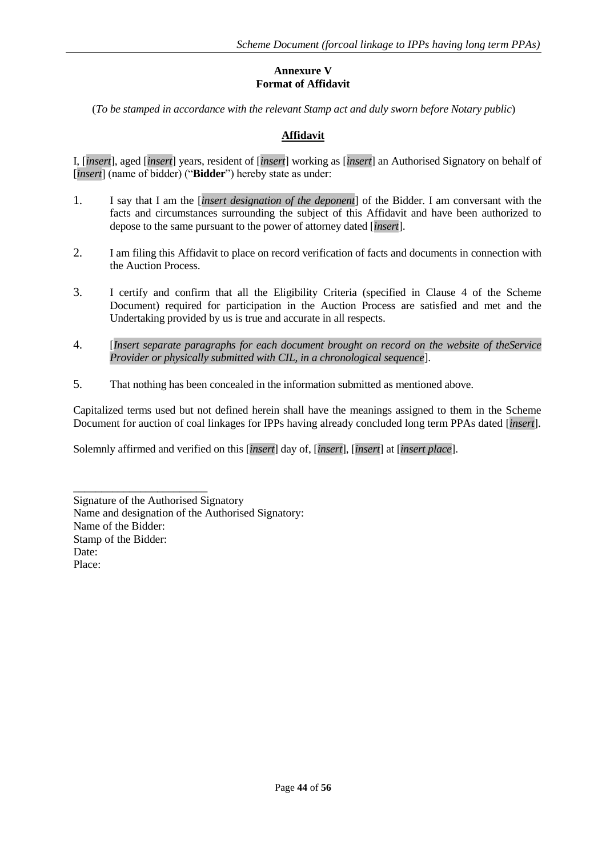## **Annexure V Format of Affidavit**

<span id="page-44-0"></span>(*To be stamped in accordance with the relevant Stamp act and duly sworn before Notary public*)

## **Affidavit**

I, [*insert*], aged [*insert*] years, resident of [*insert*] working as [*insert*] an Authorised Signatory on behalf of [*insert*] (name of bidder) ("**Bidder**") hereby state as under:

- 1. I say that I am the [*insert designation of the deponent*] of the Bidder. I am conversant with the facts and circumstances surrounding the subject of this Affidavit and have been authorized to depose to the same pursuant to the power of attorney dated [*insert*].
- 2. I am filing this Affidavit to place on record verification of facts and documents in connection with the Auction Process.
- 3. I certify and confirm that all the Eligibility Criteria (specified in Clause 4 of the Scheme Document) required for participation in the Auction Process are satisfied and met and the Undertaking provided by us is true and accurate in all respects.
- 4. [*Insert separate paragraphs for each document brought on record on the website of theService Provider or physically submitted with CIL, in a chronological sequence*].
- 5. That nothing has been concealed in the information submitted as mentioned above.

Capitalized terms used but not defined herein shall have the meanings assigned to them in the Scheme Document for auction of coal linkages for IPPs having already concluded long term PPAs dated [*insert*].

Solemnly affirmed and verified on this [*insert*] day of, [*insert*], [*insert*] at [*insert place*].

Signature of the Authorised Signatory Name and designation of the Authorised Signatory: Name of the Bidder: Stamp of the Bidder: Date: Place:

\_\_\_\_\_\_\_\_\_\_\_\_\_\_\_\_\_\_\_\_\_\_\_\_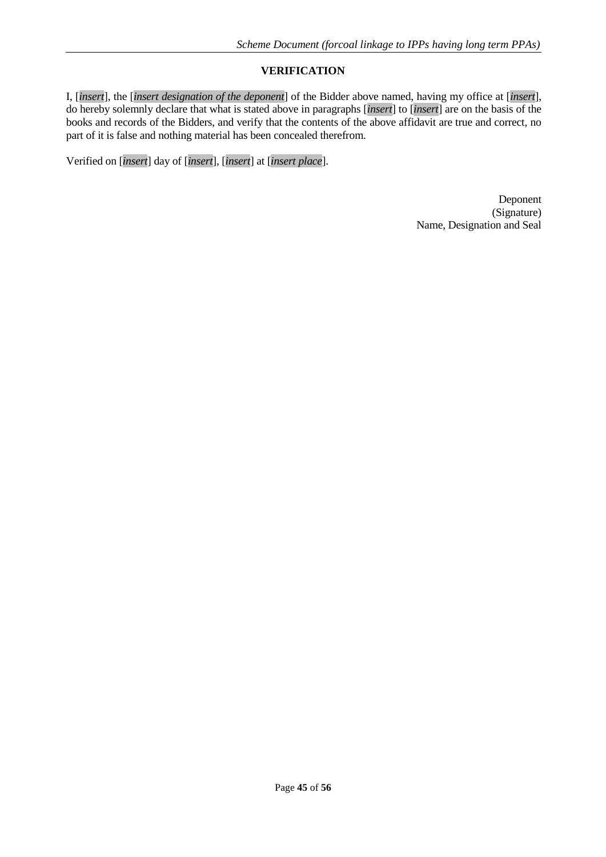## **VERIFICATION**

I, [*insert*], the [*insert designation of the deponent*] of the Bidder above named, having my office at [*insert*], do hereby solemnly declare that what is stated above in paragraphs [*insert*] to [*insert*] are on the basis of the books and records of the Bidders, and verify that the contents of the above affidavit are true and correct, no part of it is false and nothing material has been concealed therefrom.

Verified on [*insert*] day of [*insert*], [*insert*] at [*insert place*].

Deponent (Signature) Name, Designation and Seal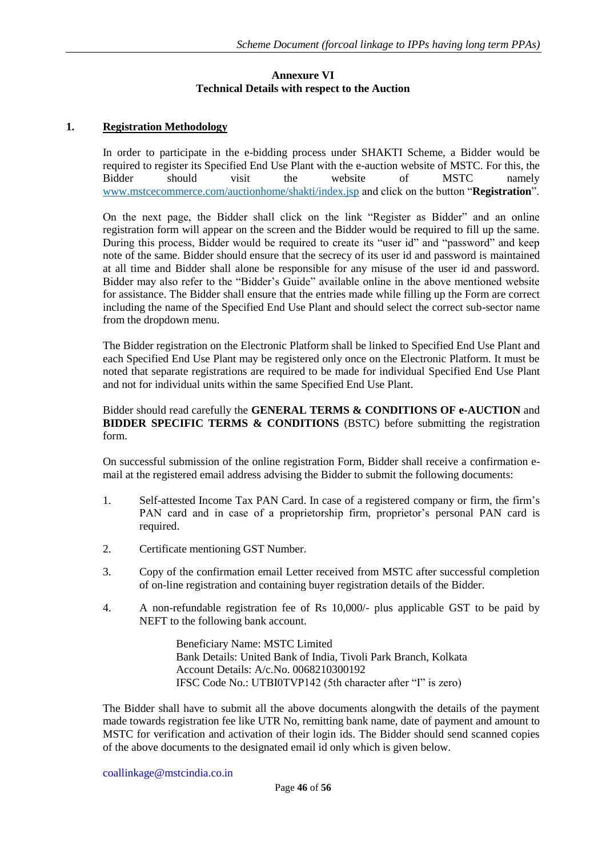## **Annexure VI Technical Details with respect to the Auction**

## <span id="page-46-0"></span>**1. Registration Methodology**

In order to participate in the e-bidding process under SHAKTI Scheme, a Bidder would be required to register its Specified End Use Plant with the e-auction website of MSTC. For this, the Bidder should visit the website of MSTC namely [www.mstcecommerce.com/auctionhome/shakti/index.jsp](http://www.mstcecommerce.com/auctionhome/shakti/index.jsp) and click on the button "**Registration**".

On the next page, the Bidder shall click on the link "Register as Bidder" and an online registration form will appear on the screen and the Bidder would be required to fill up the same. During this process, Bidder would be required to create its "user id" and "password" and keep note of the same. Bidder should ensure that the secrecy of its user id and password is maintained at all time and Bidder shall alone be responsible for any misuse of the user id and password. Bidder may also refer to the "Bidder's Guide" available online in the above mentioned website for assistance. The Bidder shall ensure that the entries made while filling up the Form are correct including the name of the Specified End Use Plant and should select the correct sub-sector name from the dropdown menu.

The Bidder registration on the Electronic Platform shall be linked to Specified End Use Plant and each Specified End Use Plant may be registered only once on the Electronic Platform. It must be noted that separate registrations are required to be made for individual Specified End Use Plant and not for individual units within the same Specified End Use Plant.

#### Bidder should read carefully the **GENERAL TERMS & CONDITIONS OF e-AUCTION** and **BIDDER SPECIFIC TERMS & CONDITIONS** (BSTC) before submitting the registration form.

On successful submission of the online registration Form, Bidder shall receive a confirmation email at the registered email address advising the Bidder to submit the following documents:

- 1. Self-attested Income Tax PAN Card. In case of a registered company or firm, the firm's PAN card and in case of a proprietorship firm, proprietor's personal PAN card is required.
- 2. Certificate mentioning GST Number.
- 3. Copy of the confirmation email Letter received from MSTC after successful completion of on-line registration and containing buyer registration details of the Bidder.
- 4. A non-refundable registration fee of Rs 10,000/- plus applicable GST to be paid by NEFT to the following bank account.

Beneficiary Name: MSTC Limited Bank Details: United Bank of India, Tivoli Park Branch, Kolkata Account Details: A/c.No. 0068210300192 IFSC Code No.: UTBI0TVP142 (5th character after "I" is zero)

The Bidder shall have to submit all the above documents alongwith the details of the payment made towards registration fee like UTR No, remitting bank name, date of payment and amount to MSTC for verification and activation of their login ids. The Bidder should send scanned copies of the above documents to the designated email id only which is given below.

coallinkage@mstcindia.co.in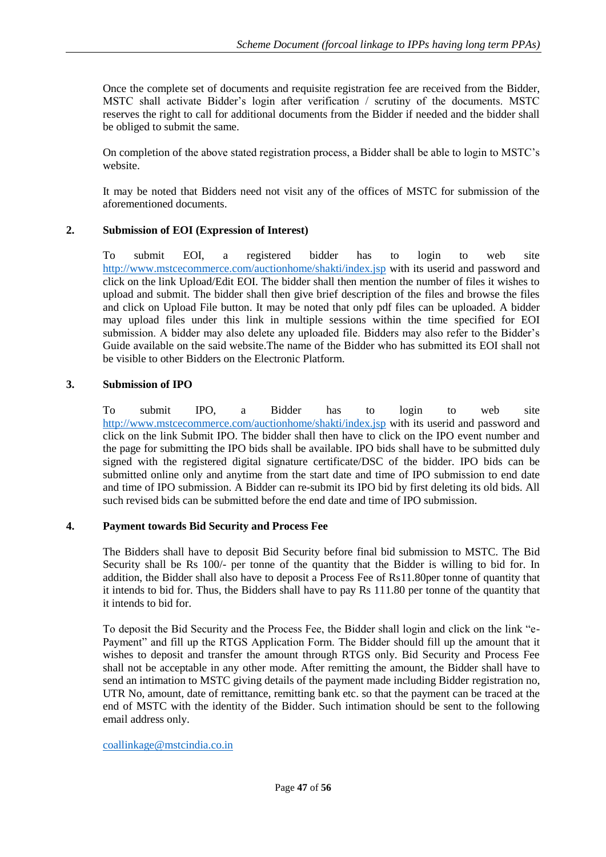Once the complete set of documents and requisite registration fee are received from the Bidder, MSTC shall activate Bidder's login after verification / scrutiny of the documents. MSTC reserves the right to call for additional documents from the Bidder if needed and the bidder shall be obliged to submit the same.

On completion of the above stated registration process, a Bidder shall be able to login to MSTC's website.

It may be noted that Bidders need not visit any of the offices of MSTC for submission of the aforementioned documents.

## **2. Submission of EOI (Expression of Interest)**

To submit EOI, a registered bidder has to login to web site <http://www.mstcecommerce.com/auctionhome/shakti/index.jsp> with its userid and password and click on the link Upload/Edit EOI. The bidder shall then mention the number of files it wishes to upload and submit. The bidder shall then give brief description of the files and browse the files and click on Upload File button. It may be noted that only pdf files can be uploaded. A bidder may upload files under this link in multiple sessions within the time specified for EOI submission. A bidder may also delete any uploaded file. Bidders may also refer to the Bidder's Guide available on the said website.The name of the Bidder who has submitted its EOI shall not be visible to other Bidders on the Electronic Platform.

## **3. Submission of IPO**

To submit IPO, a Bidder has to login to web site <http://www.mstcecommerce.com/auctionhome/shakti/index.jsp> with its userid and password and click on the link Submit IPO. The bidder shall then have to click on the IPO event number and the page for submitting the IPO bids shall be available. IPO bids shall have to be submitted duly signed with the registered digital signature certificate/DSC of the bidder. IPO bids can be submitted online only and anytime from the start date and time of IPO submission to end date and time of IPO submission. A Bidder can re-submit its IPO bid by first deleting its old bids. All such revised bids can be submitted before the end date and time of IPO submission.

## **4. Payment towards Bid Security and Process Fee**

The Bidders shall have to deposit Bid Security before final bid submission to MSTC. The Bid Security shall be Rs 100/- per tonne of the quantity that the Bidder is willing to bid for. In addition, the Bidder shall also have to deposit a Process Fee of Rs11.80per tonne of quantity that it intends to bid for. Thus, the Bidders shall have to pay Rs 111.80 per tonne of the quantity that it intends to bid for.

To deposit the Bid Security and the Process Fee, the Bidder shall login and click on the link "e-Payment" and fill up the RTGS Application Form. The Bidder should fill up the amount that it wishes to deposit and transfer the amount through RTGS only. Bid Security and Process Fee shall not be acceptable in any other mode. After remitting the amount, the Bidder shall have to send an intimation to MSTC giving details of the payment made including Bidder registration no, UTR No, amount, date of remittance, remitting bank etc. so that the payment can be traced at the end of MSTC with the identity of the Bidder. Such intimation should be sent to the following email address only.

#### [coallinkage@mstcindia.co.in](mailto:coallinkage@mstcindia.co.in)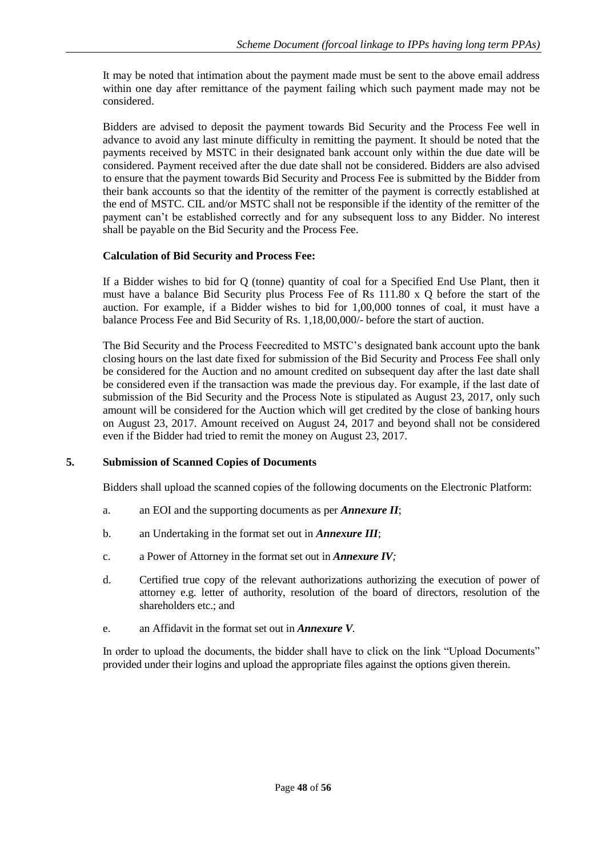It may be noted that intimation about the payment made must be sent to the above email address within one day after remittance of the payment failing which such payment made may not be considered.

Bidders are advised to deposit the payment towards Bid Security and the Process Fee well in advance to avoid any last minute difficulty in remitting the payment. It should be noted that the payments received by MSTC in their designated bank account only within the due date will be considered. Payment received after the due date shall not be considered. Bidders are also advised to ensure that the payment towards Bid Security and Process Fee is submitted by the Bidder from their bank accounts so that the identity of the remitter of the payment is correctly established at the end of MSTC. CIL and/or MSTC shall not be responsible if the identity of the remitter of the payment can't be established correctly and for any subsequent loss to any Bidder. No interest shall be payable on the Bid Security and the Process Fee.

## **Calculation of Bid Security and Process Fee:**

If a Bidder wishes to bid for Q (tonne) quantity of coal for a Specified End Use Plant, then it must have a balance Bid Security plus Process Fee of Rs 111.80 x Q before the start of the auction. For example, if a Bidder wishes to bid for 1,00,000 tonnes of coal, it must have a balance Process Fee and Bid Security of Rs. 1,18,00,000/- before the start of auction.

The Bid Security and the Process Feecredited to MSTC's designated bank account upto the bank closing hours on the last date fixed for submission of the Bid Security and Process Fee shall only be considered for the Auction and no amount credited on subsequent day after the last date shall be considered even if the transaction was made the previous day. For example, if the last date of submission of the Bid Security and the Process Note is stipulated as August 23, 2017, only such amount will be considered for the Auction which will get credited by the close of banking hours on August 23, 2017. Amount received on August 24, 2017 and beyond shall not be considered even if the Bidder had tried to remit the money on August 23, 2017.

## **5. Submission of Scanned Copies of Documents**

Bidders shall upload the scanned copies of the following documents on the Electronic Platform:

- a. an EOI and the supporting documents as per *Annexure II*;
- b. an Undertaking in the format set out in *Annexure III*;
- c. a Power of Attorney in the format set out in *Annexure IV;*
- d. Certified true copy of the relevant authorizations authorizing the execution of power of attorney e.g. letter of authority, resolution of the board of directors, resolution of the shareholders etc.; and
- e. an Affidavit in the format set out in *Annexure V.*

In order to upload the documents, the bidder shall have to click on the link "Upload Documents" provided under their logins and upload the appropriate files against the options given therein.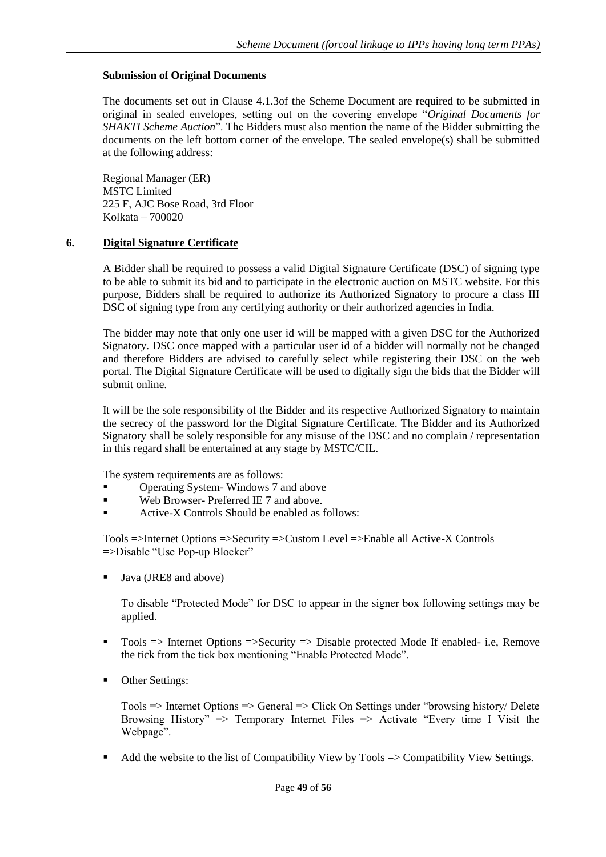## **Submission of Original Documents**

The documents set out in Clause 4.1.3of the Scheme Document are required to be submitted in original in sealed envelopes, setting out on the covering envelope "*Original Documents for SHAKTI Scheme Auction*". The Bidders must also mention the name of the Bidder submitting the documents on the left bottom corner of the envelope. The sealed envelope(s) shall be submitted at the following address:

Regional Manager (ER) MSTC Limited 225 F, AJC Bose Road, 3rd Floor Kolkata – 700020

#### **6. Digital Signature Certificate**

A Bidder shall be required to possess a valid Digital Signature Certificate (DSC) of signing type to be able to submit its bid and to participate in the electronic auction on MSTC website. For this purpose, Bidders shall be required to authorize its Authorized Signatory to procure a class III DSC of signing type from any certifying authority or their authorized agencies in India.

The bidder may note that only one user id will be mapped with a given DSC for the Authorized Signatory. DSC once mapped with a particular user id of a bidder will normally not be changed and therefore Bidders are advised to carefully select while registering their DSC on the web portal. The Digital Signature Certificate will be used to digitally sign the bids that the Bidder will submit online.

It will be the sole responsibility of the Bidder and its respective Authorized Signatory to maintain the secrecy of the password for the Digital Signature Certificate. The Bidder and its Authorized Signatory shall be solely responsible for any misuse of the DSC and no complain / representation in this regard shall be entertained at any stage by MSTC/CIL.

The system requirements are as follows:

- Operating System- Windows 7 and above
- Web Browser- Preferred IE 7 and above.
- Active-X Controls Should be enabled as follows:

Tools =>Internet Options =>Security =>Custom Level =>Enable all Active-X Controls =>Disable "Use Pop-up Blocker"

Java (JRE8 and above)

To disable "Protected Mode" for DSC to appear in the signer box following settings may be applied.

- Tools  $\Rightarrow$  Internet Options  $\Rightarrow$  Security  $\Rightarrow$  Disable protected Mode If enabled- i.e, Remove the tick from the tick box mentioning "Enable Protected Mode".
- Other Settings:

Tools => Internet Options => General => Click On Settings under "browsing history/ Delete Browsing History"  $\Rightarrow$  Temporary Internet Files  $\Rightarrow$  Activate "Every time I Visit the Webpage".

Add the website to the list of Compatibility View by Tools => Compatibility View Settings.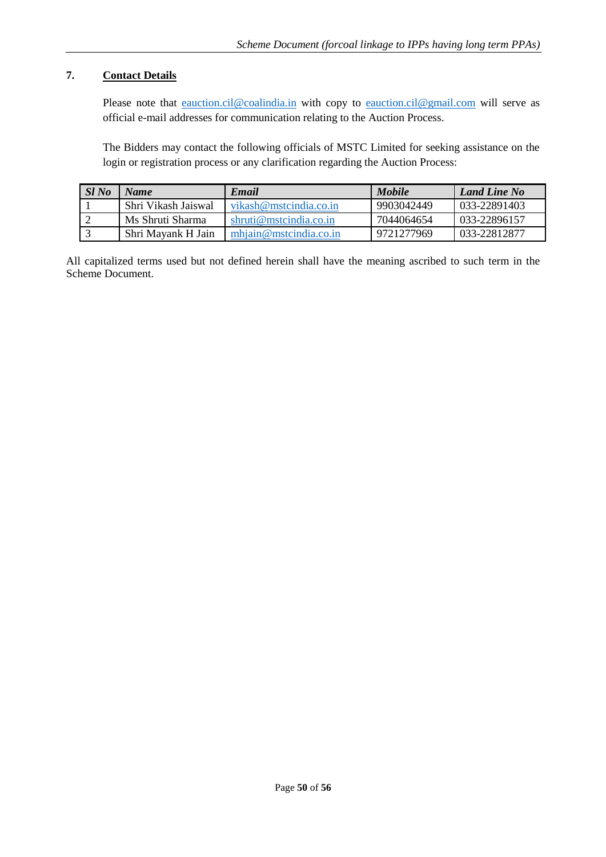## **7. Contact Details**

Please note that [eauction.cil@coalindia.in](mailto:eauction.cil@coalindia.in) with copy to [eauction.cil@gmail.com](mailto:eauction.cil@gmail.com) will serve as official e-mail addresses for communication relating to the Auction Process.

The Bidders may contact the following officials of MSTC Limited for seeking assistance on the login or registration process or any clarification regarding the Auction Process:

| Sl No | Name                | Email                  | <b>Mobile</b> | <b>Land Line No</b> |
|-------|---------------------|------------------------|---------------|---------------------|
|       | Shri Vikash Jaiswal | vikash@mstcindia.co.in | 9903042449    | 033-22891403        |
|       | Ms Shruti Sharma    | shruti@mstcindia.co.in | 7044064654    | 033-22896157        |
|       | Shri Mayank H Jain  | mhiain@mstcindia.co.in | 9721277969    | 033-22812877        |

All capitalized terms used but not defined herein shall have the meaning ascribed to such term in the Scheme Document.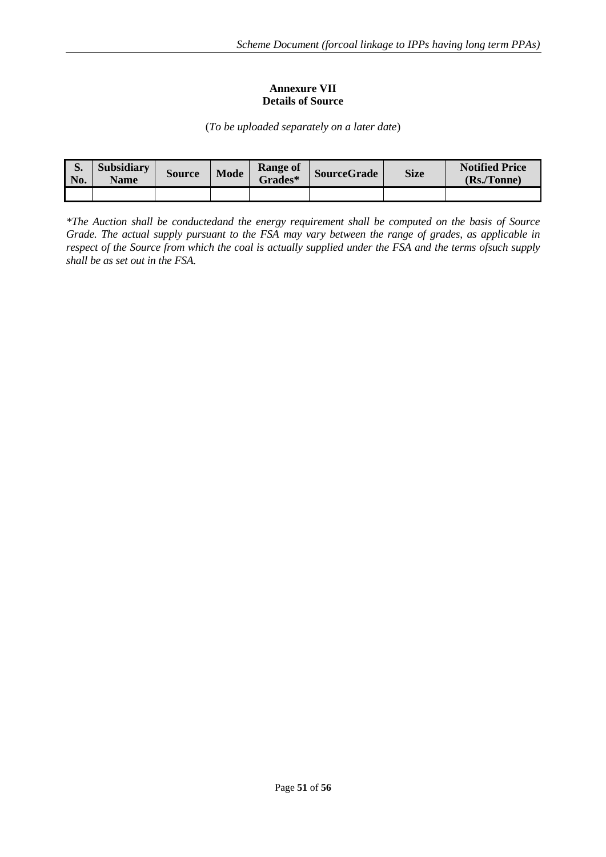#### **Annexure VII Details of Source**

(*To be uploaded separately on a later date*)

<span id="page-51-0"></span>

| IJ.<br>No. | <b>Subsidiary</b><br><b>Name</b> | <b>Source</b> | <b>Mode</b> | <b>Range of</b><br><b>Grades*</b> | <b>SourceGrade</b> | <b>Size</b> | <b>Notified Price</b><br>(Rs./Tonne) |
|------------|----------------------------------|---------------|-------------|-----------------------------------|--------------------|-------------|--------------------------------------|
|            |                                  |               |             |                                   |                    |             |                                      |

*\*The Auction shall be conductedand the energy requirement shall be computed on the basis of Source Grade. The actual supply pursuant to the FSA may vary between the range of grades, as applicable in respect of the Source from which the coal is actually supplied under the FSA and the terms ofsuch supply shall be as set out in the FSA.*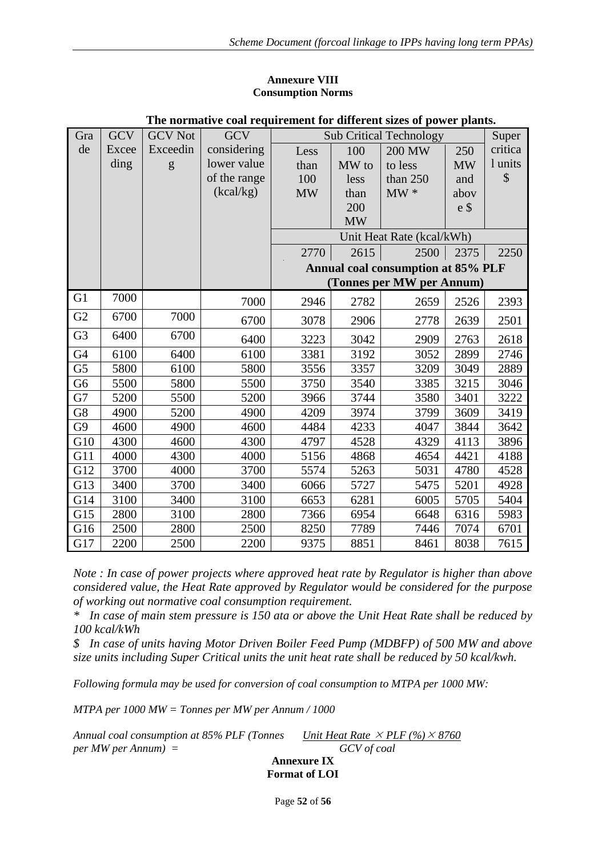#### **Annexure VIII Consumption Norms**

<span id="page-52-0"></span>

| The normalive coal requirement for unferent sizes of power plants. |            |                |              |                                         |           |                                    |                |         |  |
|--------------------------------------------------------------------|------------|----------------|--------------|-----------------------------------------|-----------|------------------------------------|----------------|---------|--|
| Gra                                                                | <b>GCV</b> | <b>GCV</b> Not | <b>GCV</b>   | <b>Sub Critical Technology</b><br>Super |           |                                    |                |         |  |
| de                                                                 | Excee      | Exceedin       | considering  | Less                                    | 100       | 200 MW                             | 250            | critica |  |
|                                                                    | ding       | g              | lower value  | than                                    | MW to     | to less                            | <b>MW</b>      | 1 units |  |
|                                                                    |            |                | of the range | 100                                     | less      | than 250                           | and            | \$      |  |
|                                                                    |            |                | (kcal/kg)    | <b>MW</b>                               | than      | $MW*$                              | abov           |         |  |
|                                                                    |            |                |              |                                         | 200       |                                    | e <sub>3</sub> |         |  |
|                                                                    |            |                |              |                                         | <b>MW</b> |                                    |                |         |  |
|                                                                    |            |                |              |                                         |           | Unit Heat Rate (kcal/kWh)          |                |         |  |
|                                                                    |            |                |              | 2770                                    | 2615      | 2500                               | 2375           | 2250    |  |
|                                                                    |            |                |              |                                         |           | Annual coal consumption at 85% PLF |                |         |  |
|                                                                    |            |                |              |                                         |           | (Tonnes per MW per Annum)          |                |         |  |
| G1                                                                 | 7000       |                | 7000         | 2946                                    | 2782      | 2659                               | 2526           | 2393    |  |
| G2                                                                 | 6700       | 7000           | 6700         | 3078                                    | 2906      | 2778                               | 2639           | 2501    |  |
| G <sub>3</sub>                                                     | 6400       | 6700           | 6400         | 3223                                    | 3042      | 2909                               | 2763           | 2618    |  |
| G <sub>4</sub>                                                     | 6100       | 6400           | 6100         | 3381                                    | 3192      | 3052                               | 2899           | 2746    |  |
| G <sub>5</sub>                                                     | 5800       | 6100           | 5800         | 3556                                    | 3357      | 3209                               | 3049           | 2889    |  |
| G <sub>6</sub>                                                     | 5500       | 5800           | 5500         | 3750                                    | 3540      | 3385                               | 3215           | 3046    |  |
| G7                                                                 | 5200       | 5500           | 5200         | 3966                                    | 3744      | 3580                               | 3401           | 3222    |  |
| G8                                                                 | 4900       | 5200           | 4900         | 4209                                    | 3974      | 3799                               | 3609           | 3419    |  |
| G9                                                                 | 4600       | 4900           | 4600         | 4484                                    | 4233      | 4047                               | 3844           | 3642    |  |
| G10                                                                | 4300       | 4600           | 4300         | 4797                                    | 4528      | 4329                               | 4113           | 3896    |  |
| G11                                                                | 4000       | 4300           | 4000         | 5156                                    | 4868      | 4654                               | 4421           | 4188    |  |
| G12                                                                | 3700       | 4000           | 3700         | 5574                                    | 5263      | 5031                               | 4780           | 4528    |  |
| G13                                                                | 3400       | 3700           | 3400         | 6066                                    | 5727      | 5475                               | 5201           | 4928    |  |
| G14                                                                | 3100       | 3400           | 3100         | 6653                                    | 6281      | 6005                               | 5705           | 5404    |  |
| G15                                                                | 2800       | 3100           | 2800         | 7366                                    | 6954      | 6648                               | 6316           | 5983    |  |
| G16                                                                | 2500       | 2800           | 2500         | 8250                                    | 7789      | 7446                               | 7074           | 6701    |  |
| G17                                                                | 2200       | 2500           | 2200         | 9375                                    | 8851      | 8461                               | 8038           | 7615    |  |

## **The normative coal requirement for different sizes of power plants.**

*Note : In case of power projects where approved heat rate by Regulator is higher than above considered value, the Heat Rate approved by Regulator would be considered for the purpose of working out normative coal consumption requirement.* 

*\* In case of main stem pressure is 150 ata or above the Unit Heat Rate shall be reduced by 100 kcal/kWh*

*\$ In case of units having Motor Driven Boiler Feed Pump (MDBFP) of 500 MW and above size units including Super Critical units the unit heat rate shall be reduced by 50 kcal/kwh.*

*Following formula may be used for conversion of coal consumption to MTPA per 1000 MW:*

*MTPA per 1000 MW = Tonnes per MW per Annum / 1000*

<span id="page-52-1"></span>*Annual coal consumption at 85% PLF (Tonnes per MW per Annum) = Unit Heat Rate*  $\times$  *PLF* (%)  $\times$  8760 *GCV of coal*

**Annexure IX Format of LOI**

Page **52** of **56**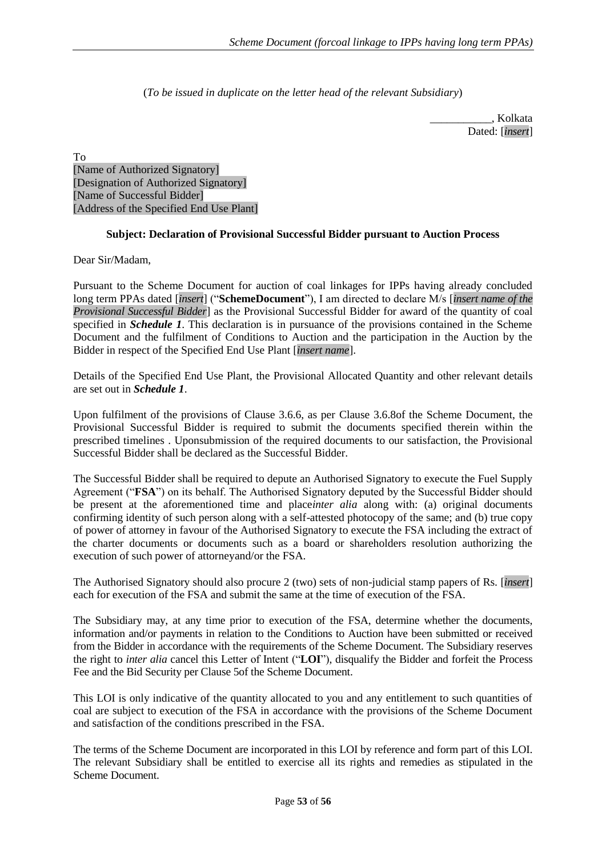(*To be issued in duplicate on the letter head of the relevant Subsidiary*)

\_\_\_\_\_\_\_\_\_\_\_, Kolkata Dated: [*insert*]

To [Name of Authorized Signatory] [Designation of Authorized Signatory] [Name of Successful Bidder] [Address of the Specified End Use Plant]

## **Subject: Declaration of Provisional Successful Bidder pursuant to Auction Process**

Dear Sir/Madam,

Pursuant to the Scheme Document for auction of coal linkages for IPPs having already concluded long term PPAs dated [*insert*] ("**SchemeDocument**"), I am directed to declare M/s [*insert name of the Provisional Successful Bidder*] as the Provisional Successful Bidder for award of the quantity of coal specified in *Schedule 1*. This declaration is in pursuance of the provisions contained in the Scheme Document and the fulfilment of Conditions to Auction and the participation in the Auction by the Bidder in respect of the Specified End Use Plant [*insert name*].

Details of the Specified End Use Plant, the Provisional Allocated Quantity and other relevant details are set out in *Schedule 1*.

Upon fulfilment of the provisions of Clause 3.6.6, as per Clause 3.6.8of the Scheme Document, the Provisional Successful Bidder is required to submit the documents specified therein within the prescribed timelines . Uponsubmission of the required documents to our satisfaction, the Provisional Successful Bidder shall be declared as the Successful Bidder.

The Successful Bidder shall be required to depute an Authorised Signatory to execute the Fuel Supply Agreement ("**FSA**") on its behalf. The Authorised Signatory deputed by the Successful Bidder should be present at the aforementioned time and place*inter alia* along with: (a) original documents confirming identity of such person along with a self-attested photocopy of the same; and (b) true copy of power of attorney in favour of the Authorised Signatory to execute the FSA including the extract of the charter documents or documents such as a board or shareholders resolution authorizing the execution of such power of attorneyand/or the FSA.

The Authorised Signatory should also procure 2 (two) sets of non-judicial stamp papers of Rs. [*insert*] each for execution of the FSA and submit the same at the time of execution of the FSA.

The Subsidiary may, at any time prior to execution of the FSA, determine whether the documents, information and/or payments in relation to the Conditions to Auction have been submitted or received from the Bidder in accordance with the requirements of the Scheme Document. The Subsidiary reserves the right to *inter alia* cancel this Letter of Intent ("**LOI**"), disqualify the Bidder and forfeit the Process Fee and the Bid Security per Clause 5of the Scheme Document.

This LOI is only indicative of the quantity allocated to you and any entitlement to such quantities of coal are subject to execution of the FSA in accordance with the provisions of the Scheme Document and satisfaction of the conditions prescribed in the FSA.

The terms of the Scheme Document are incorporated in this LOI by reference and form part of this LOI. The relevant Subsidiary shall be entitled to exercise all its rights and remedies as stipulated in the Scheme Document.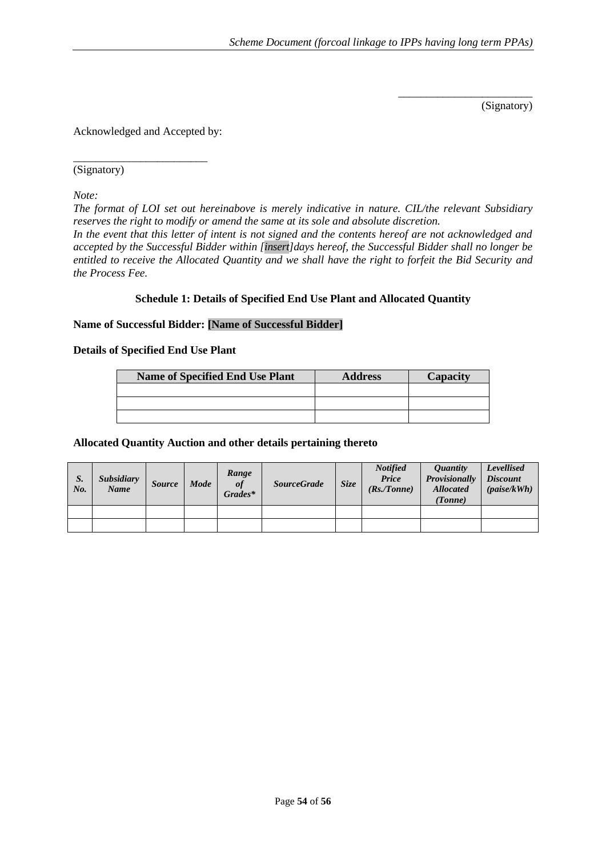(Signatory)

\_\_\_\_\_\_\_\_\_\_\_\_\_\_\_\_\_\_\_\_\_\_\_\_

Acknowledged and Accepted by:

\_\_\_\_\_\_\_\_\_\_\_\_\_\_\_\_\_\_\_\_\_\_\_\_ (Signatory)

*Note:* 

*The format of LOI set out hereinabove is merely indicative in nature. CIL/the relevant Subsidiary reserves the right to modify or amend the same at its sole and absolute discretion.*

*In the event that this letter of intent is not signed and the contents hereof are not acknowledged and accepted by the Successful Bidder within [insert]days hereof, the Successful Bidder shall no longer be entitled to receive the Allocated Quantity and we shall have the right to forfeit the Bid Security and the Process Fee.*

#### **Schedule 1: Details of Specified End Use Plant and Allocated Quantity**

## **Name of Successful Bidder: [Name of Successful Bidder]**

**Details of Specified End Use Plant**

| <b>Name of Specified End Use Plant</b> | <b>Address</b> | Capacity |  |  |
|----------------------------------------|----------------|----------|--|--|
|                                        |                |          |  |  |
|                                        |                |          |  |  |
|                                        |                |          |  |  |

#### **Allocated Quantity Auction and other details pertaining thereto**

| S.<br>$N_{0}$ | <b>Subsidiary</b><br><b>Name</b> | <b>Source</b> | Mode | Range<br>of<br>Grades* | <b>SourceGrade</b> | Size | <b>Notified</b><br>Price<br>(Rs./Tonne) | <i><b>Ouantity</b></i><br>Provisionally<br><b>Allocated</b><br>(Tonne) | <b>Levellised</b><br><b>Discount</b><br>$(\textit{paise/kWh})$ |
|---------------|----------------------------------|---------------|------|------------------------|--------------------|------|-----------------------------------------|------------------------------------------------------------------------|----------------------------------------------------------------|
|               |                                  |               |      |                        |                    |      |                                         |                                                                        |                                                                |
|               |                                  |               |      |                        |                    |      |                                         |                                                                        |                                                                |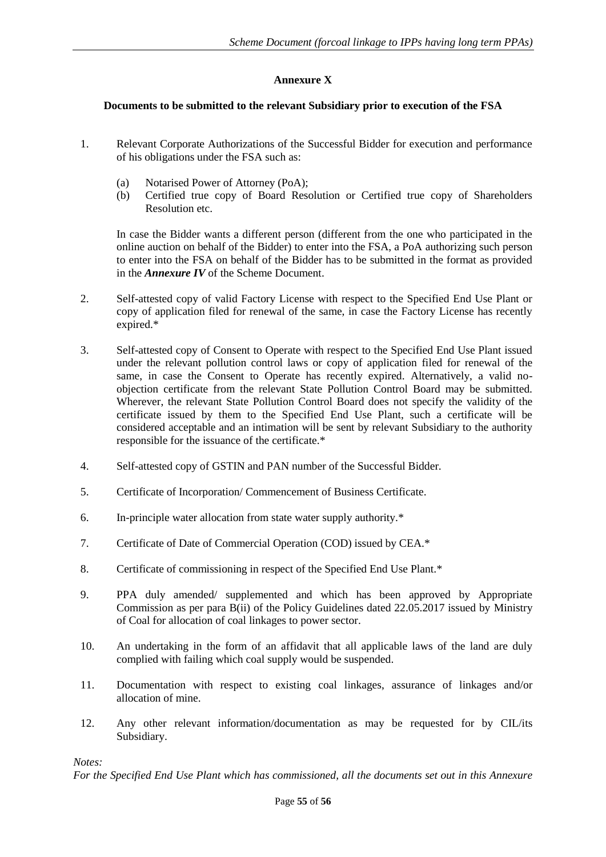## **Annexure X**

## <span id="page-55-1"></span><span id="page-55-0"></span>**Documents to be submitted to the relevant Subsidiary prior to execution of the FSA**

- 1. Relevant Corporate Authorizations of the Successful Bidder for execution and performance of his obligations under the FSA such as:
	- (a) Notarised Power of Attorney (PoA);
	- (b) Certified true copy of Board Resolution or Certified true copy of Shareholders Resolution etc.

In case the Bidder wants a different person (different from the one who participated in the online auction on behalf of the Bidder) to enter into the FSA, a PoA authorizing such person to enter into the FSA on behalf of the Bidder has to be submitted in the format as provided in the *Annexure IV* of the Scheme Document.

- 2. Self-attested copy of valid Factory License with respect to the Specified End Use Plant or copy of application filed for renewal of the same, in case the Factory License has recently expired.\*
- 3. Self-attested copy of Consent to Operate with respect to the Specified End Use Plant issued under the relevant pollution control laws or copy of application filed for renewal of the same, in case the Consent to Operate has recently expired. Alternatively, a valid noobjection certificate from the relevant State Pollution Control Board may be submitted. Wherever, the relevant State Pollution Control Board does not specify the validity of the certificate issued by them to the Specified End Use Plant, such a certificate will be considered acceptable and an intimation will be sent by relevant Subsidiary to the authority responsible for the issuance of the certificate.\*
- 4. Self-attested copy of GSTIN and PAN number of the Successful Bidder.
- 5. Certificate of Incorporation/ Commencement of Business Certificate.
- 6. In-principle water allocation from state water supply authority.\*
- 7. Certificate of Date of Commercial Operation (COD) issued by CEA.\*
- 8. Certificate of commissioning in respect of the Specified End Use Plant.\*
- 9. PPA duly amended/ supplemented and which has been approved by Appropriate Commission as per para  $\overline{B(ii)}$  of the Policy Guidelines dated 22.05.2017 issued by Ministry of Coal for allocation of coal linkages to power sector.
- 10. An undertaking in the form of an affidavit that all applicable laws of the land are duly complied with failing which coal supply would be suspended.
- 11. Documentation with respect to existing coal linkages, assurance of linkages and/or allocation of mine.
- 12. Any other relevant information/documentation as may be requested for by CIL/its Subsidiary.

*Notes:*

*For the Specified End Use Plant which has commissioned, all the documents set out in this Annexure*